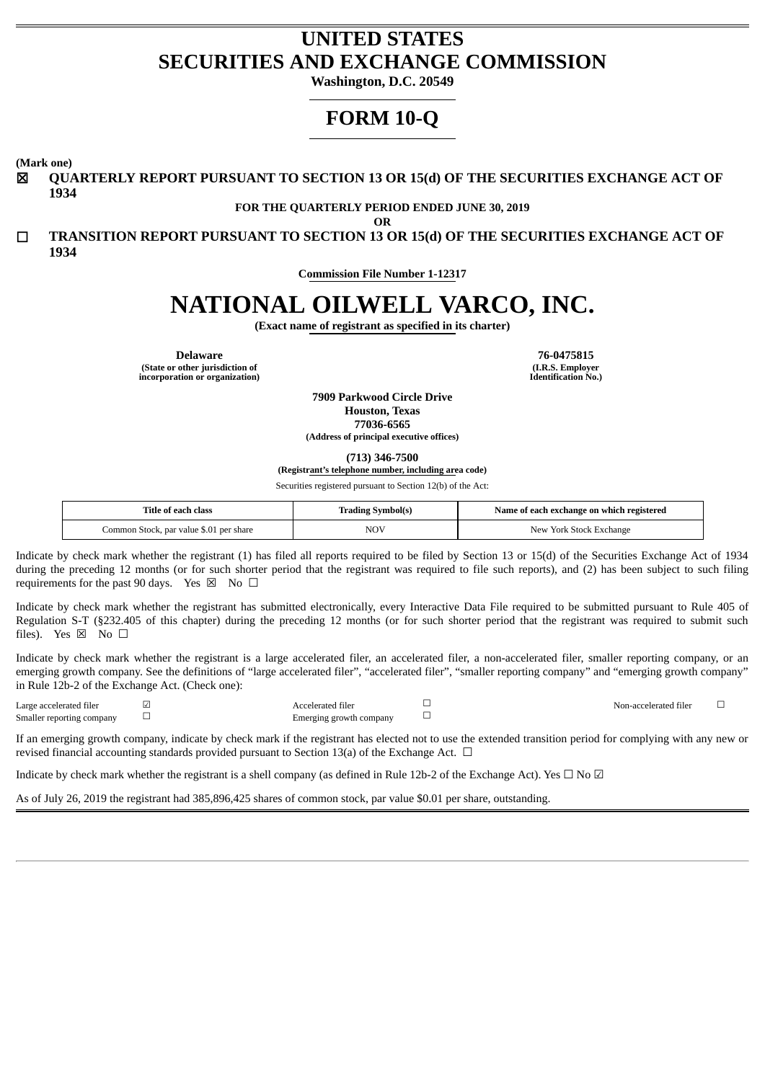## **UNITED STATES SECURITIES AND EXCHANGE COMMISSION**

**Washington, D.C. 20549**

# **FORM 10-Q**

**(Mark one)**

☒ **QUARTERLY REPORT PURSUANT TO SECTION 13 OR 15(d) OF THE SECURITIES EXCHANGE ACT OF 1934**

**FOR THE QUARTERLY PERIOD ENDED JUNE 30, 2019**

**OR**

☐ **TRANSITION REPORT PURSUANT TO SECTION 13 OR 15(d) OF THE SECURITIES EXCHANGE ACT OF 1934**

**Commission File Number 1-12317**

# **NATIONAL OILWELL VARCO, INC.**

**(Exact name of registrant as specified in its charter)**

**(State or other jurisdiction of incorporation or organization)**

**Delaware 76-0475815 (I.R.S. Employer Identification No.)**

> **7909 Parkwood Circle Drive Houston, Texas 77036-6565 (Address of principal executive offices)**

> > **(713) 346-7500**

**(Registrant's telephone number, including area code)**

Securities registered pursuant to Section 12(b) of the Act:

| Title of each class                     | <b>Trading Symbol(s)</b> | Name of each exchange on which registered |
|-----------------------------------------|--------------------------|-------------------------------------------|
| Common Stock, par value \$.01 per share | NOV                      | New York Stock Exchange                   |

Indicate by check mark whether the registrant (1) has filed all reports required to be filed by Section 13 or 15(d) of the Securities Exchange Act of 1934 during the preceding 12 months (or for such shorter period that the registrant was required to file such reports), and (2) has been subject to such filing requirements for the past 90 days. Yes  $\boxtimes$  No  $\Box$ 

Indicate by check mark whether the registrant has submitted electronically, every Interactive Data File required to be submitted pursuant to Rule 405 of Regulation S-T (§232.405 of this chapter) during the preceding 12 months (or for such shorter period that the registrant was required to submit such files). Yes  $\boxtimes$  No  $\square$ 

Indicate by check mark whether the registrant is a large accelerated filer, an accelerated filer, a non-accelerated filer, smaller reporting company, or an emerging growth company. See the definitions of "large accelerated filer", "accelerated filer", "smaller reporting company" and "emerging growth company" in Rule 12b-2 of the Exchange Act. (Check one):

| Large accelerated filer   | \ccelerated filer       | Non-accelerated filer |  |
|---------------------------|-------------------------|-----------------------|--|
| Smaller reporting company | Emerging growth company |                       |  |

If an emerging growth company, indicate by check mark if the registrant has elected not to use the extended transition period for complying with any new or revised financial accounting standards provided pursuant to Section 13(a) of the Exchange Act.  $\Box$ 

Indicate by check mark whether the registrant is a shell company (as defined in Rule 12b-2 of the Exchange Act). Yes  $\Box$  No  $\Box$ 

As of July 26, 2019 the registrant had 385,896,425 shares of common stock, par value \$0.01 per share, outstanding.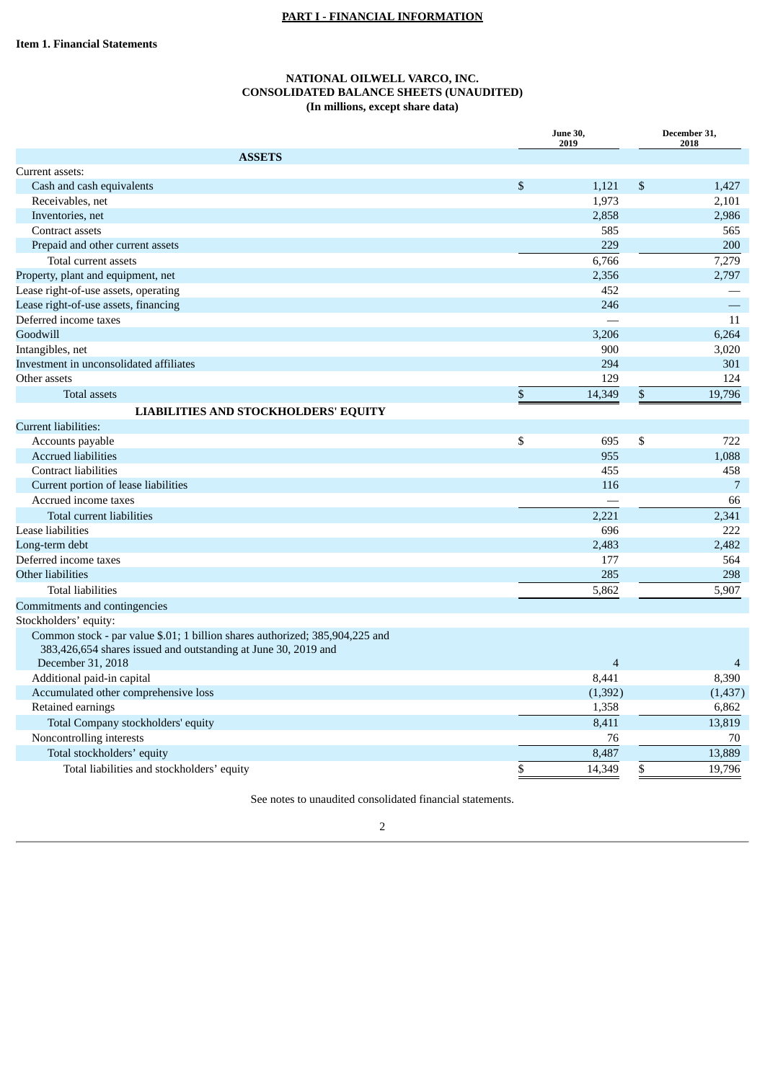## **PART I - FINANCIAL INFORMATION**

## **NATIONAL OILWELL VARCO, INC. CONSOLIDATED BALANCE SHEETS (UNAUDITED) (In millions, except share data)**

| <b>ASSETS</b><br>$\boldsymbol{\mathsf{S}}$<br>$\$$<br>Cash and cash equivalents<br>1,121<br>1,427<br>Receivables, net<br>1,973<br>2,101<br>2,858<br>2,986<br>Inventories, net<br>585<br>565<br>Contract assets<br>229<br>200<br>Prepaid and other current assets<br>7,279<br>6,766<br>Total current assets<br>2,356<br>2,797<br>452<br>246<br>Deferred income taxes<br>11<br>Goodwill<br>3,206<br>6,264<br>900<br>3,020<br>Investment in unconsolidated affiliates<br>294<br>301<br>129<br>Other assets<br>124<br>\$<br>19,796<br>$\mathbf{\hat{S}}$<br>14,349<br><b>Total assets</b><br><b>LIABILITIES AND STOCKHOLDERS' EQUITY</b><br><b>Current liabilities:</b><br>\$<br>\$<br>Accounts payable<br>695<br>722<br><b>Accrued liabilities</b><br>955<br>1,088<br><b>Contract liabilities</b><br>455<br>458<br>Current portion of lease liabilities<br>7<br>116<br>66<br>Accrued income taxes<br>2,221<br>2,341<br>Total current liabilities<br>696<br>222<br>2,483<br>2,482<br>Long-term debt<br>177<br>564<br>Other liabilities<br>285<br>298<br>5,907<br><b>Total liabilities</b><br>5,862<br>Commitments and contingencies<br>Stockholders' equity:<br>Common stock - par value \$.01; 1 billion shares authorized; 385,904,225 and<br>383,426,654 shares issued and outstanding at June 30, 2019 and<br>December 31, 2018<br>$\overline{4}$<br>Additional paid-in capital<br>8,441<br>8,390<br>Accumulated other comprehensive loss<br>(1, 392)<br>(1, 437)<br>1,358<br>6,862<br>Retained earnings<br>13,819<br>Total Company stockholders' equity<br>8,411<br>Noncontrolling interests<br>76<br>70<br>13,889<br>8,487<br>Total stockholders' equity<br>\$<br>14,349<br>\$<br>19,796<br>Total liabilities and stockholders' equity |                                      | <b>June 30,</b><br>2019 | December 31,<br>2018 |
|------------------------------------------------------------------------------------------------------------------------------------------------------------------------------------------------------------------------------------------------------------------------------------------------------------------------------------------------------------------------------------------------------------------------------------------------------------------------------------------------------------------------------------------------------------------------------------------------------------------------------------------------------------------------------------------------------------------------------------------------------------------------------------------------------------------------------------------------------------------------------------------------------------------------------------------------------------------------------------------------------------------------------------------------------------------------------------------------------------------------------------------------------------------------------------------------------------------------------------------------------------------------------------------------------------------------------------------------------------------------------------------------------------------------------------------------------------------------------------------------------------------------------------------------------------------------------------------------------------------------------------------------------------------------------------------------------------------------------------------|--------------------------------------|-------------------------|----------------------|
|                                                                                                                                                                                                                                                                                                                                                                                                                                                                                                                                                                                                                                                                                                                                                                                                                                                                                                                                                                                                                                                                                                                                                                                                                                                                                                                                                                                                                                                                                                                                                                                                                                                                                                                                          |                                      |                         |                      |
|                                                                                                                                                                                                                                                                                                                                                                                                                                                                                                                                                                                                                                                                                                                                                                                                                                                                                                                                                                                                                                                                                                                                                                                                                                                                                                                                                                                                                                                                                                                                                                                                                                                                                                                                          | Current assets:                      |                         |                      |
|                                                                                                                                                                                                                                                                                                                                                                                                                                                                                                                                                                                                                                                                                                                                                                                                                                                                                                                                                                                                                                                                                                                                                                                                                                                                                                                                                                                                                                                                                                                                                                                                                                                                                                                                          |                                      |                         |                      |
|                                                                                                                                                                                                                                                                                                                                                                                                                                                                                                                                                                                                                                                                                                                                                                                                                                                                                                                                                                                                                                                                                                                                                                                                                                                                                                                                                                                                                                                                                                                                                                                                                                                                                                                                          |                                      |                         |                      |
|                                                                                                                                                                                                                                                                                                                                                                                                                                                                                                                                                                                                                                                                                                                                                                                                                                                                                                                                                                                                                                                                                                                                                                                                                                                                                                                                                                                                                                                                                                                                                                                                                                                                                                                                          |                                      |                         |                      |
|                                                                                                                                                                                                                                                                                                                                                                                                                                                                                                                                                                                                                                                                                                                                                                                                                                                                                                                                                                                                                                                                                                                                                                                                                                                                                                                                                                                                                                                                                                                                                                                                                                                                                                                                          |                                      |                         |                      |
|                                                                                                                                                                                                                                                                                                                                                                                                                                                                                                                                                                                                                                                                                                                                                                                                                                                                                                                                                                                                                                                                                                                                                                                                                                                                                                                                                                                                                                                                                                                                                                                                                                                                                                                                          |                                      |                         |                      |
|                                                                                                                                                                                                                                                                                                                                                                                                                                                                                                                                                                                                                                                                                                                                                                                                                                                                                                                                                                                                                                                                                                                                                                                                                                                                                                                                                                                                                                                                                                                                                                                                                                                                                                                                          |                                      |                         |                      |
|                                                                                                                                                                                                                                                                                                                                                                                                                                                                                                                                                                                                                                                                                                                                                                                                                                                                                                                                                                                                                                                                                                                                                                                                                                                                                                                                                                                                                                                                                                                                                                                                                                                                                                                                          | Property, plant and equipment, net   |                         |                      |
|                                                                                                                                                                                                                                                                                                                                                                                                                                                                                                                                                                                                                                                                                                                                                                                                                                                                                                                                                                                                                                                                                                                                                                                                                                                                                                                                                                                                                                                                                                                                                                                                                                                                                                                                          | Lease right-of-use assets, operating |                         |                      |
|                                                                                                                                                                                                                                                                                                                                                                                                                                                                                                                                                                                                                                                                                                                                                                                                                                                                                                                                                                                                                                                                                                                                                                                                                                                                                                                                                                                                                                                                                                                                                                                                                                                                                                                                          | Lease right-of-use assets, financing |                         |                      |
|                                                                                                                                                                                                                                                                                                                                                                                                                                                                                                                                                                                                                                                                                                                                                                                                                                                                                                                                                                                                                                                                                                                                                                                                                                                                                                                                                                                                                                                                                                                                                                                                                                                                                                                                          |                                      |                         |                      |
|                                                                                                                                                                                                                                                                                                                                                                                                                                                                                                                                                                                                                                                                                                                                                                                                                                                                                                                                                                                                                                                                                                                                                                                                                                                                                                                                                                                                                                                                                                                                                                                                                                                                                                                                          |                                      |                         |                      |
|                                                                                                                                                                                                                                                                                                                                                                                                                                                                                                                                                                                                                                                                                                                                                                                                                                                                                                                                                                                                                                                                                                                                                                                                                                                                                                                                                                                                                                                                                                                                                                                                                                                                                                                                          | Intangibles, net                     |                         |                      |
|                                                                                                                                                                                                                                                                                                                                                                                                                                                                                                                                                                                                                                                                                                                                                                                                                                                                                                                                                                                                                                                                                                                                                                                                                                                                                                                                                                                                                                                                                                                                                                                                                                                                                                                                          |                                      |                         |                      |
|                                                                                                                                                                                                                                                                                                                                                                                                                                                                                                                                                                                                                                                                                                                                                                                                                                                                                                                                                                                                                                                                                                                                                                                                                                                                                                                                                                                                                                                                                                                                                                                                                                                                                                                                          |                                      |                         |                      |
|                                                                                                                                                                                                                                                                                                                                                                                                                                                                                                                                                                                                                                                                                                                                                                                                                                                                                                                                                                                                                                                                                                                                                                                                                                                                                                                                                                                                                                                                                                                                                                                                                                                                                                                                          |                                      |                         |                      |
|                                                                                                                                                                                                                                                                                                                                                                                                                                                                                                                                                                                                                                                                                                                                                                                                                                                                                                                                                                                                                                                                                                                                                                                                                                                                                                                                                                                                                                                                                                                                                                                                                                                                                                                                          |                                      |                         |                      |
|                                                                                                                                                                                                                                                                                                                                                                                                                                                                                                                                                                                                                                                                                                                                                                                                                                                                                                                                                                                                                                                                                                                                                                                                                                                                                                                                                                                                                                                                                                                                                                                                                                                                                                                                          |                                      |                         |                      |
|                                                                                                                                                                                                                                                                                                                                                                                                                                                                                                                                                                                                                                                                                                                                                                                                                                                                                                                                                                                                                                                                                                                                                                                                                                                                                                                                                                                                                                                                                                                                                                                                                                                                                                                                          |                                      |                         |                      |
|                                                                                                                                                                                                                                                                                                                                                                                                                                                                                                                                                                                                                                                                                                                                                                                                                                                                                                                                                                                                                                                                                                                                                                                                                                                                                                                                                                                                                                                                                                                                                                                                                                                                                                                                          |                                      |                         |                      |
|                                                                                                                                                                                                                                                                                                                                                                                                                                                                                                                                                                                                                                                                                                                                                                                                                                                                                                                                                                                                                                                                                                                                                                                                                                                                                                                                                                                                                                                                                                                                                                                                                                                                                                                                          |                                      |                         |                      |
|                                                                                                                                                                                                                                                                                                                                                                                                                                                                                                                                                                                                                                                                                                                                                                                                                                                                                                                                                                                                                                                                                                                                                                                                                                                                                                                                                                                                                                                                                                                                                                                                                                                                                                                                          |                                      |                         |                      |
|                                                                                                                                                                                                                                                                                                                                                                                                                                                                                                                                                                                                                                                                                                                                                                                                                                                                                                                                                                                                                                                                                                                                                                                                                                                                                                                                                                                                                                                                                                                                                                                                                                                                                                                                          |                                      |                         |                      |
|                                                                                                                                                                                                                                                                                                                                                                                                                                                                                                                                                                                                                                                                                                                                                                                                                                                                                                                                                                                                                                                                                                                                                                                                                                                                                                                                                                                                                                                                                                                                                                                                                                                                                                                                          |                                      |                         |                      |
|                                                                                                                                                                                                                                                                                                                                                                                                                                                                                                                                                                                                                                                                                                                                                                                                                                                                                                                                                                                                                                                                                                                                                                                                                                                                                                                                                                                                                                                                                                                                                                                                                                                                                                                                          | Lease liabilities                    |                         |                      |
|                                                                                                                                                                                                                                                                                                                                                                                                                                                                                                                                                                                                                                                                                                                                                                                                                                                                                                                                                                                                                                                                                                                                                                                                                                                                                                                                                                                                                                                                                                                                                                                                                                                                                                                                          |                                      |                         |                      |
|                                                                                                                                                                                                                                                                                                                                                                                                                                                                                                                                                                                                                                                                                                                                                                                                                                                                                                                                                                                                                                                                                                                                                                                                                                                                                                                                                                                                                                                                                                                                                                                                                                                                                                                                          | Deferred income taxes                |                         |                      |
|                                                                                                                                                                                                                                                                                                                                                                                                                                                                                                                                                                                                                                                                                                                                                                                                                                                                                                                                                                                                                                                                                                                                                                                                                                                                                                                                                                                                                                                                                                                                                                                                                                                                                                                                          |                                      |                         |                      |
|                                                                                                                                                                                                                                                                                                                                                                                                                                                                                                                                                                                                                                                                                                                                                                                                                                                                                                                                                                                                                                                                                                                                                                                                                                                                                                                                                                                                                                                                                                                                                                                                                                                                                                                                          |                                      |                         |                      |
|                                                                                                                                                                                                                                                                                                                                                                                                                                                                                                                                                                                                                                                                                                                                                                                                                                                                                                                                                                                                                                                                                                                                                                                                                                                                                                                                                                                                                                                                                                                                                                                                                                                                                                                                          |                                      |                         |                      |
|                                                                                                                                                                                                                                                                                                                                                                                                                                                                                                                                                                                                                                                                                                                                                                                                                                                                                                                                                                                                                                                                                                                                                                                                                                                                                                                                                                                                                                                                                                                                                                                                                                                                                                                                          |                                      |                         |                      |
|                                                                                                                                                                                                                                                                                                                                                                                                                                                                                                                                                                                                                                                                                                                                                                                                                                                                                                                                                                                                                                                                                                                                                                                                                                                                                                                                                                                                                                                                                                                                                                                                                                                                                                                                          |                                      |                         |                      |
|                                                                                                                                                                                                                                                                                                                                                                                                                                                                                                                                                                                                                                                                                                                                                                                                                                                                                                                                                                                                                                                                                                                                                                                                                                                                                                                                                                                                                                                                                                                                                                                                                                                                                                                                          |                                      |                         |                      |
|                                                                                                                                                                                                                                                                                                                                                                                                                                                                                                                                                                                                                                                                                                                                                                                                                                                                                                                                                                                                                                                                                                                                                                                                                                                                                                                                                                                                                                                                                                                                                                                                                                                                                                                                          |                                      |                         |                      |
|                                                                                                                                                                                                                                                                                                                                                                                                                                                                                                                                                                                                                                                                                                                                                                                                                                                                                                                                                                                                                                                                                                                                                                                                                                                                                                                                                                                                                                                                                                                                                                                                                                                                                                                                          |                                      |                         |                      |
|                                                                                                                                                                                                                                                                                                                                                                                                                                                                                                                                                                                                                                                                                                                                                                                                                                                                                                                                                                                                                                                                                                                                                                                                                                                                                                                                                                                                                                                                                                                                                                                                                                                                                                                                          |                                      |                         |                      |
|                                                                                                                                                                                                                                                                                                                                                                                                                                                                                                                                                                                                                                                                                                                                                                                                                                                                                                                                                                                                                                                                                                                                                                                                                                                                                                                                                                                                                                                                                                                                                                                                                                                                                                                                          |                                      |                         |                      |
|                                                                                                                                                                                                                                                                                                                                                                                                                                                                                                                                                                                                                                                                                                                                                                                                                                                                                                                                                                                                                                                                                                                                                                                                                                                                                                                                                                                                                                                                                                                                                                                                                                                                                                                                          |                                      |                         |                      |
|                                                                                                                                                                                                                                                                                                                                                                                                                                                                                                                                                                                                                                                                                                                                                                                                                                                                                                                                                                                                                                                                                                                                                                                                                                                                                                                                                                                                                                                                                                                                                                                                                                                                                                                                          |                                      |                         |                      |
|                                                                                                                                                                                                                                                                                                                                                                                                                                                                                                                                                                                                                                                                                                                                                                                                                                                                                                                                                                                                                                                                                                                                                                                                                                                                                                                                                                                                                                                                                                                                                                                                                                                                                                                                          |                                      |                         |                      |
|                                                                                                                                                                                                                                                                                                                                                                                                                                                                                                                                                                                                                                                                                                                                                                                                                                                                                                                                                                                                                                                                                                                                                                                                                                                                                                                                                                                                                                                                                                                                                                                                                                                                                                                                          |                                      |                         |                      |

See notes to unaudited consolidated financial statements.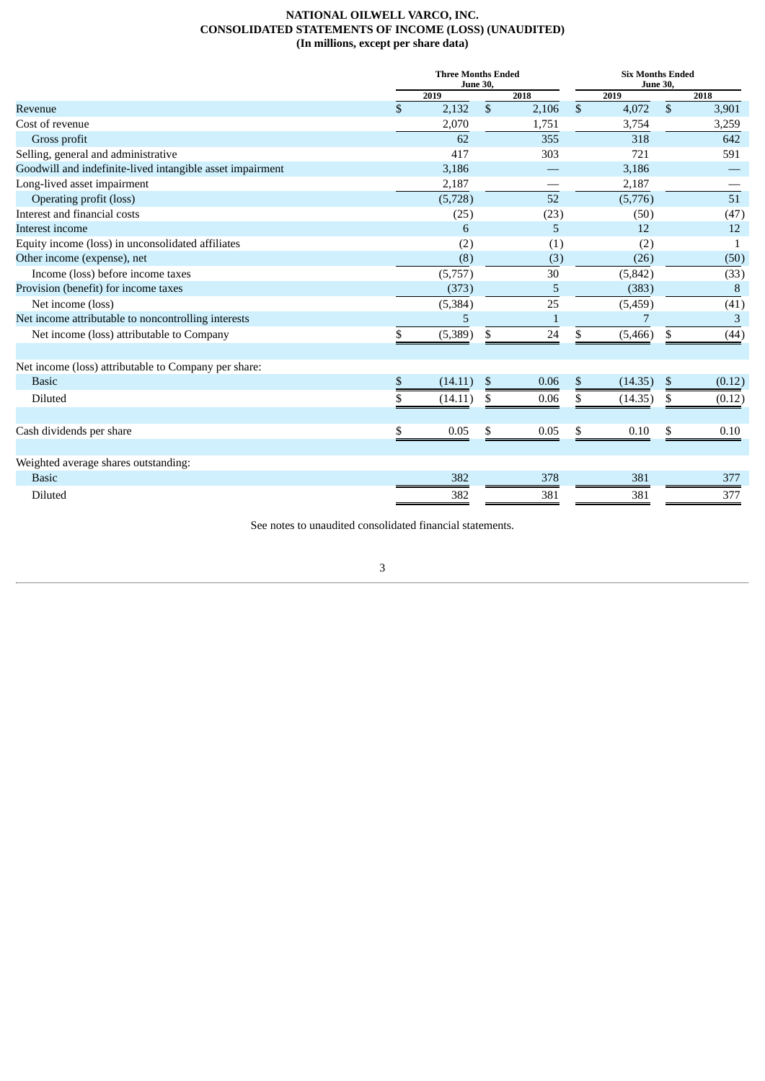## **NATIONAL OILWELL VARCO, INC. CONSOLIDATED STATEMENTS OF INCOME (LOSS) (UNAUDITED) (In millions, except per share data)**

|                                                           |      | <b>Three Months Ended</b><br><b>June 30,</b> |             | <b>Six Months Ended</b><br><b>June 30,</b> |                |        |  |  |
|-----------------------------------------------------------|------|----------------------------------------------|-------------|--------------------------------------------|----------------|--------|--|--|
|                                                           |      | 2019                                         | 2018        | 2019                                       |                | 2018   |  |  |
| Revenue                                                   | \$   | 2,132                                        | \$<br>2,106 | \$<br>4,072                                | \$             | 3,901  |  |  |
| Cost of revenue                                           |      | 2,070                                        | 1,751       | 3,754                                      |                | 3,259  |  |  |
| Gross profit                                              |      | 62                                           | 355         | 318                                        |                | 642    |  |  |
| Selling, general and administrative                       |      | 417                                          | 303         | 721                                        |                | 591    |  |  |
| Goodwill and indefinite-lived intangible asset impairment |      | 3,186                                        |             | 3,186                                      |                |        |  |  |
| Long-lived asset impairment                               |      | 2,187                                        |             | 2,187                                      |                |        |  |  |
| Operating profit (loss)                                   |      | (5,728)                                      | 52          | (5,776)                                    |                | 51     |  |  |
| Interest and financial costs                              |      | (25)                                         | (23)        | (50)                                       |                | (47)   |  |  |
| Interest income                                           |      | 6                                            | 5           | 12                                         |                | 12     |  |  |
| Equity income (loss) in unconsolidated affiliates         |      | (2)                                          | (1)         | (2)                                        |                | 1      |  |  |
| Other income (expense), net                               |      | (8)                                          | (3)         | (26)                                       |                | (50)   |  |  |
| Income (loss) before income taxes                         |      | (5,757)                                      | 30          | (5, 842)                                   |                | (33)   |  |  |
| Provision (benefit) for income taxes                      |      | (373)                                        | 5           | (383)                                      |                | 8      |  |  |
| Net income (loss)                                         |      | (5, 384)                                     | 25          | (5,459)                                    |                | (41)   |  |  |
| Net income attributable to noncontrolling interests       |      | 5                                            | 1           | 7                                          |                | 3      |  |  |
| Net income (loss) attributable to Company                 | \$   | (5,389)                                      | \$<br>24    | \$<br>(5,466)                              | \$             | (44)   |  |  |
| Net income (loss) attributable to Company per share:      |      |                                              |             |                                            |                |        |  |  |
| <b>Basic</b>                                              | $\,$ | (14.11)                                      | \$<br>0.06  | \$<br>(14.35)                              | $\mathfrak{F}$ | (0.12) |  |  |
| Diluted                                                   | \$   | (14.11)                                      | \$<br>0.06  | \$<br>(14.35)                              | \$             | (0.12) |  |  |
| Cash dividends per share                                  | \$   | 0.05                                         | \$<br>0.05  | \$<br>0.10                                 | \$             | 0.10   |  |  |
|                                                           |      |                                              |             |                                            |                |        |  |  |
| Weighted average shares outstanding:                      |      |                                              |             |                                            |                |        |  |  |
| <b>Basic</b>                                              |      | 382                                          | 378         | 381                                        |                | 377    |  |  |
| Diluted                                                   |      | 382                                          | 381         | 381                                        |                | 377    |  |  |

See notes to unaudited consolidated financial statements.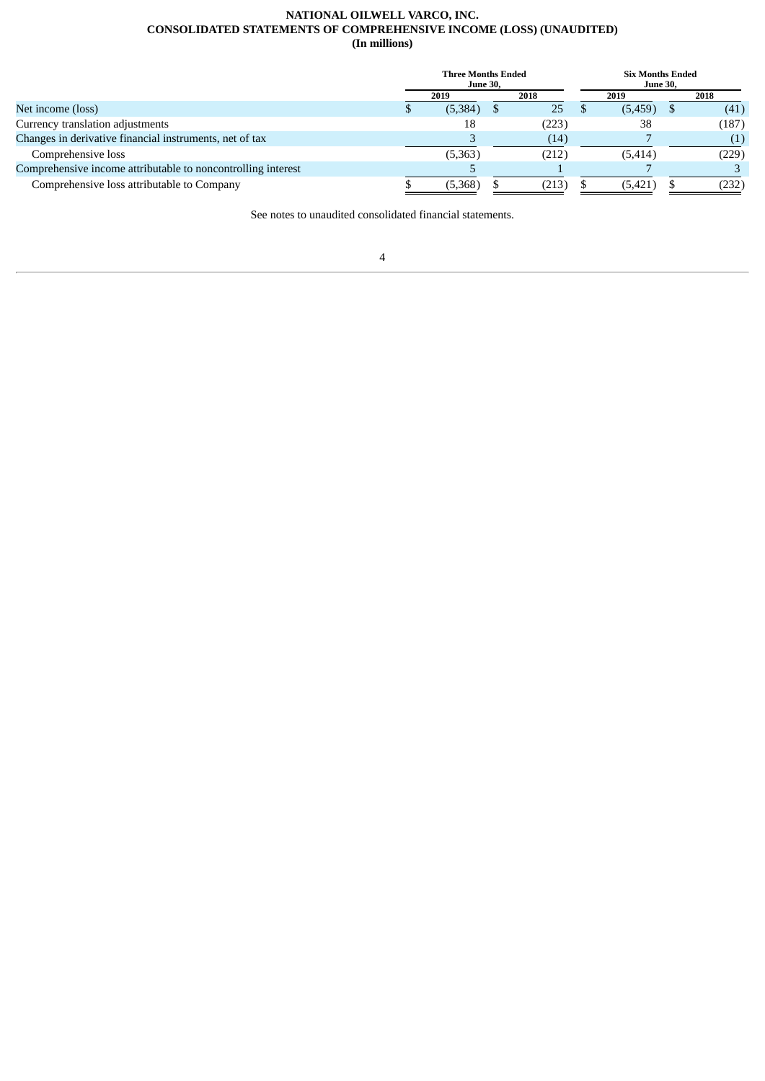## **NATIONAL OILWELL VARCO, INC. CONSOLIDATED STATEMENTS OF COMPREHENSIVE INCOME (LOSS) (UNAUDITED) (In millions)**

|                                                              | <b>Three Months Ended</b><br><b>June 30,</b> |       | <b>Six Months Ended</b><br><b>June 30,</b> |       |
|--------------------------------------------------------------|----------------------------------------------|-------|--------------------------------------------|-------|
|                                                              | 2019                                         | 2018  | 2019                                       | 2018  |
| Net income (loss)                                            | (5,384)                                      | 25    | (5,459)                                    | (41)  |
| Currency translation adjustments                             | 18                                           | (223) | 38                                         | (187) |
| Changes in derivative financial instruments, net of tax      |                                              | (14)  |                                            | (1)   |
| Comprehensive loss                                           | (5,363)                                      | (212) | (5, 414)                                   | (229) |
| Comprehensive income attributable to noncontrolling interest |                                              |       |                                            |       |
| Comprehensive loss attributable to Company                   | (5,368)                                      | (213) | (5, 421)                                   | (232) |

See notes to unaudited consolidated financial statements.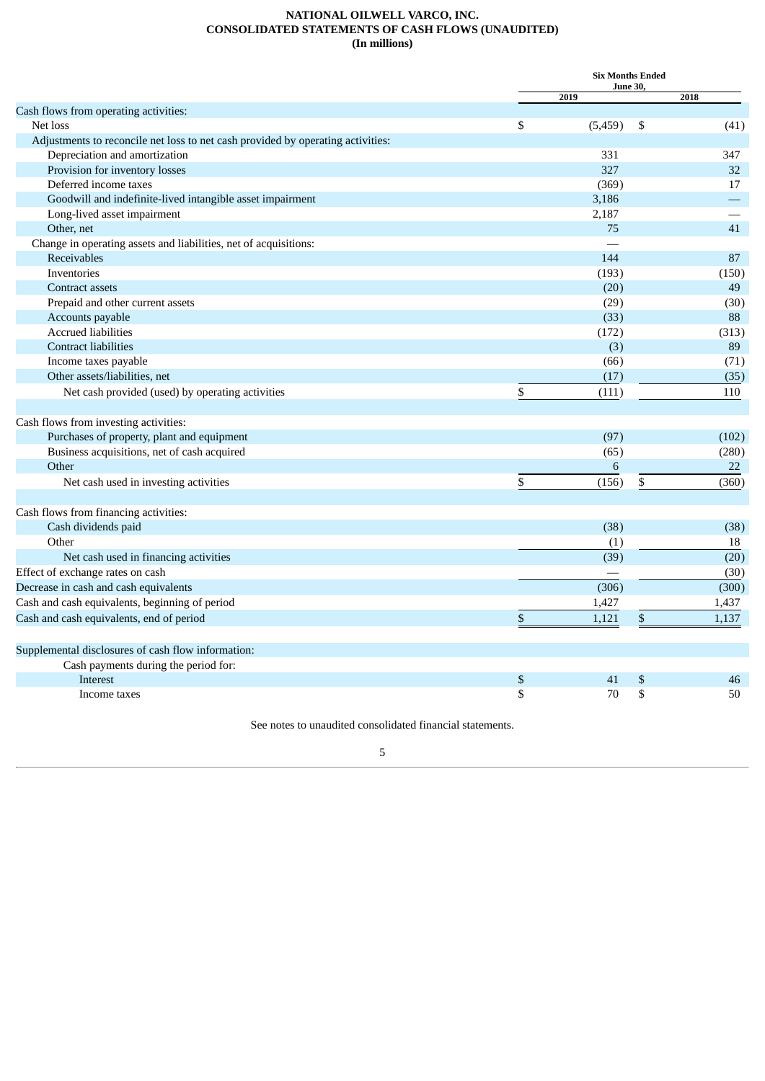## **NATIONAL OILWELL VARCO, INC. CONSOLIDATED STATEMENTS OF CASH FLOWS (UNAUDITED) (In millions)**

|                                                                                 | <b>Six Months Ended</b><br>June 30, |       |
|---------------------------------------------------------------------------------|-------------------------------------|-------|
|                                                                                 | 2019                                | 2018  |
| Cash flows from operating activities:<br>Net loss                               |                                     |       |
|                                                                                 | \$<br>(5,459)<br>\$                 | (41)  |
| Adjustments to reconcile net loss to net cash provided by operating activities: | 331                                 | 347   |
| Depreciation and amortization<br>Provision for inventory losses                 | 327                                 | 32    |
| Deferred income taxes                                                           |                                     | 17    |
| Goodwill and indefinite-lived intangible asset impairment                       | (369)                               |       |
|                                                                                 | 3,186                               |       |
| Long-lived asset impairment<br>Other, net                                       | 2,187<br>75                         | 41    |
| Change in operating assets and liabilities, net of acquisitions:                |                                     |       |
|                                                                                 |                                     |       |
| Receivables                                                                     | 144                                 | 87    |
| Inventories                                                                     | (193)                               | (150) |
| <b>Contract assets</b>                                                          | (20)                                | 49    |
| Prepaid and other current assets                                                | (29)                                | (30)  |
| Accounts payable                                                                | (33)                                | 88    |
| <b>Accrued liabilities</b>                                                      | (172)                               | (313) |
| <b>Contract liabilities</b>                                                     | (3)                                 | 89    |
| Income taxes payable                                                            | (66)                                | (71)  |
| Other assets/liabilities, net                                                   | (17)                                | (35)  |
| Net cash provided (used) by operating activities                                | \$<br>(111)                         | 110   |
| Cash flows from investing activities:                                           |                                     |       |
| Purchases of property, plant and equipment                                      | (97)                                | (102) |
| Business acquisitions, net of cash acquired                                     | (65)                                | (280) |
| Other                                                                           | $\sqrt{6}$                          | 22    |
| Net cash used in investing activities                                           | \$<br>\$<br>(156)                   | (360) |
| Cash flows from financing activities:                                           |                                     |       |
| Cash dividends paid                                                             | (38)                                | (38)  |
| Other                                                                           | (1)                                 | 18    |
| Net cash used in financing activities                                           | (39)                                | (20)  |
| Effect of exchange rates on cash                                                |                                     | (30)  |
| Decrease in cash and cash equivalents                                           | (306)                               | (300) |
| Cash and cash equivalents, beginning of period                                  | 1,427                               | 1,437 |
| Cash and cash equivalents, end of period                                        | \$<br>1,121<br>$\$$                 | 1,137 |
|                                                                                 |                                     |       |
| Supplemental disclosures of cash flow information:                              |                                     |       |
| Cash payments during the period for:                                            |                                     |       |
| Interest                                                                        | \$<br>\$<br>41                      | 46    |
| Income taxes                                                                    | \$<br>\$<br>70                      | 50    |

See notes to unaudited consolidated financial statements.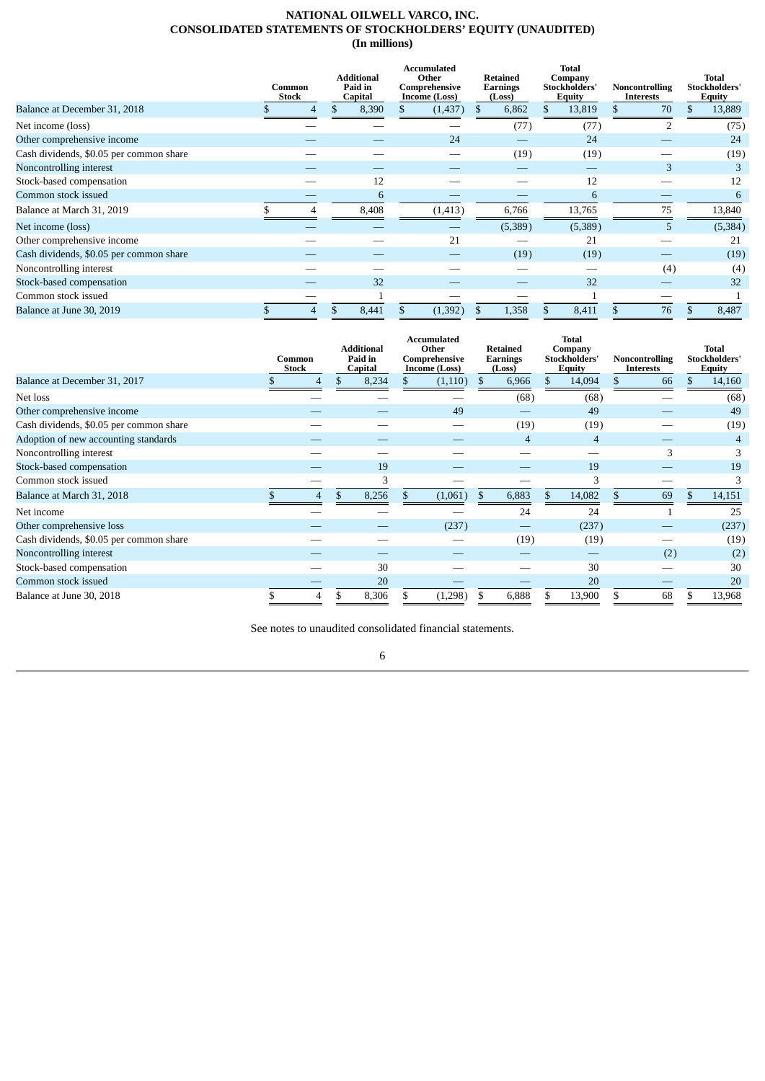#### **NATIONAL OILWELL VARCO, INC. CONSOLIDATED STATEMENTS OF STOCKHOLDERS' EQUITY (UNAUDITED) (In millions)**

|                                         | <b>Additional</b><br>Paid in<br>Common<br><b>Stock</b><br>Capital |  |       | Accumulated<br>Other<br>Comprehensive<br>Income (Loss) | Retained<br>Earnings<br>(Loss) | <b>Total</b><br>Company<br>Stockholders'<br><b>Equity</b> | <b>Noncontrolling</b><br>Interests | Total<br>Stockholders'<br>Equity |
|-----------------------------------------|-------------------------------------------------------------------|--|-------|--------------------------------------------------------|--------------------------------|-----------------------------------------------------------|------------------------------------|----------------------------------|
| Balance at December 31, 2018            | 4                                                                 |  | 8,390 | (1,437)                                                | 6,862                          | 13,819                                                    | 70                                 | \$<br>13,889                     |
| Net income (loss)                       |                                                                   |  |       |                                                        | (77)                           | (77)                                                      |                                    | (75)                             |
| Other comprehensive income              |                                                                   |  |       | 24                                                     |                                | 24                                                        |                                    | 24                               |
| Cash dividends, \$0.05 per common share |                                                                   |  |       |                                                        | (19)                           | (19)                                                      |                                    | (19)                             |
| Noncontrolling interest                 |                                                                   |  |       |                                                        |                                |                                                           | 3                                  |                                  |
| Stock-based compensation                |                                                                   |  | 12    |                                                        |                                | 12                                                        |                                    | 12                               |
| Common stock issued                     |                                                                   |  | 6     |                                                        |                                | 6                                                         |                                    | 6                                |
| Balance at March 31, 2019               | 4                                                                 |  | 8,408 | (1, 413)                                               | 6,766                          | 13,765                                                    | 75                                 | 13,840                           |
| Net income (loss)                       |                                                                   |  |       |                                                        | (5,389)                        | (5,389)                                                   | $\mathcal{F}$                      | (5, 384)                         |
| Other comprehensive income              |                                                                   |  |       | 21                                                     |                                | 21                                                        |                                    | 21                               |
| Cash dividends, \$0.05 per common share |                                                                   |  |       |                                                        | (19)                           | (19)                                                      |                                    | (19)                             |
| Noncontrolling interest                 |                                                                   |  |       |                                                        |                                |                                                           | (4)                                | (4)                              |
| Stock-based compensation                |                                                                   |  | 32    |                                                        |                                | 32                                                        |                                    | 32                               |
| Common stock issued                     |                                                                   |  |       |                                                        |                                |                                                           |                                    |                                  |
| Balance at June 30, 2019                | 4                                                                 |  | 8,441 | (1, 392)                                               | 1,358                          | 8,411                                                     | 76                                 | 8,487                            |

|                                         | Common<br><b>Stock</b> |   | <b>Additional</b><br>Paid in<br>Capital |  | <b>Accumulated</b><br>Other<br>Comprehensive<br>Income (Loss) |               | <b>Retained</b><br><b>Earnings</b><br>(Loss) |    | <b>Total</b><br>Company<br>Stockholders'<br><b>Equity</b> | Noncontrolling<br>Interests | <b>Total</b><br>Stockholders'<br><b>Equity</b> |
|-----------------------------------------|------------------------|---|-----------------------------------------|--|---------------------------------------------------------------|---------------|----------------------------------------------|----|-----------------------------------------------------------|-----------------------------|------------------------------------------------|
| Balance at December 31, 2017            |                        | 4 | 8,234                                   |  | (1,110)                                                       | <sup>\$</sup> | 6,966                                        | \$ | 14,094                                                    | 66                          | \$<br>14,160                                   |
| Net loss                                |                        |   |                                         |  |                                                               |               | (68)                                         |    | (68)                                                      |                             | (68)                                           |
| Other comprehensive income              |                        |   |                                         |  | 49                                                            |               |                                              |    | 49                                                        |                             | 49                                             |
| Cash dividends, \$0.05 per common share |                        |   |                                         |  |                                                               |               | (19)                                         |    | (19)                                                      |                             | (19)                                           |
| Adoption of new accounting standards    |                        |   |                                         |  |                                                               |               | $\overline{4}$                               |    | $\overline{4}$                                            |                             |                                                |
| Noncontrolling interest                 |                        |   |                                         |  |                                                               |               |                                              |    |                                                           | 3                           | 3                                              |
| Stock-based compensation                |                        |   | 19                                      |  |                                                               |               |                                              |    | 19                                                        |                             | 19                                             |
| Common stock issued                     |                        |   |                                         |  |                                                               |               |                                              |    | 3                                                         |                             | 3                                              |
| Balance at March 31, 2018               |                        | 4 | 8,256                                   |  | (1,061)                                                       | - \$          | 6,883                                        | \$ | 14,082                                                    | \$<br>69                    | \$<br>14,151                                   |
| Net income                              |                        |   |                                         |  |                                                               |               | 24                                           |    | 24                                                        |                             | 25                                             |
| Other comprehensive loss                |                        |   |                                         |  | (237)                                                         |               |                                              |    | (237)                                                     |                             | (237)                                          |
| Cash dividends, \$0.05 per common share |                        |   |                                         |  |                                                               |               | (19)                                         |    | (19)                                                      |                             | (19)                                           |
| Noncontrolling interest                 |                        |   |                                         |  |                                                               |               |                                              |    |                                                           | (2)                         | (2)                                            |
| Stock-based compensation                |                        |   | 30                                      |  |                                                               |               |                                              |    | 30                                                        |                             | 30                                             |
| Common stock issued                     |                        |   | 20                                      |  |                                                               |               |                                              |    | 20                                                        |                             | 20                                             |
| Balance at June 30, 2018                |                        | 4 | \$<br>8,306                             |  | (1,298)                                                       |               | 6,888                                        | \$ | 13,900                                                    | \$<br>68                    | 13,968                                         |

See notes to unaudited consolidated financial statements.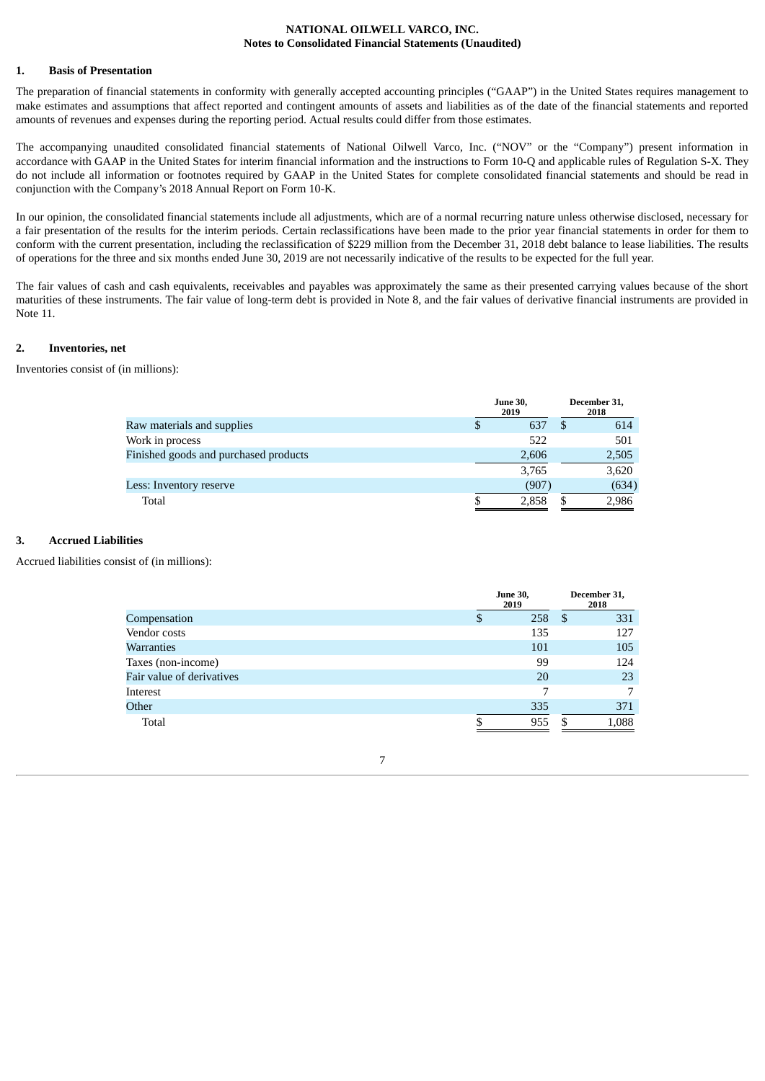#### **NATIONAL OILWELL VARCO, INC. Notes to Consolidated Financial Statements (Unaudited)**

#### **1. Basis of Presentation**

The preparation of financial statements in conformity with generally accepted accounting principles ("GAAP") in the United States requires management to make estimates and assumptions that affect reported and contingent amounts of assets and liabilities as of the date of the financial statements and reported amounts of revenues and expenses during the reporting period. Actual results could differ from those estimates.

The accompanying unaudited consolidated financial statements of National Oilwell Varco, Inc. ("NOV" or the "Company") present information in accordance with GAAP in the United States for interim financial information and the instructions to Form 10-Q and applicable rules of Regulation S-X. They do not include all information or footnotes required by GAAP in the United States for complete consolidated financial statements and should be read in conjunction with the Company's 2018 Annual Report on Form 10-K.

In our opinion, the consolidated financial statements include all adjustments, which are of a normal recurring nature unless otherwise disclosed, necessary for a fair presentation of the results for the interim periods. Certain reclassifications have been made to the prior year financial statements in order for them to conform with the current presentation, including the reclassification of \$229 million from the December 31, 2018 debt balance to lease liabilities. The results of operations for the three and six months ended June 30, 2019 are not necessarily indicative of the results to be expected for the full year.

The fair values of cash and cash equivalents, receivables and payables was approximately the same as their presented carrying values because of the short maturities of these instruments. The fair value of long-term debt is provided in Note 8, and the fair values of derivative financial instruments are provided in Note 11.

#### **2. Inventories, net**

Inventories consist of (in millions):

|                                       | <b>June 30,</b><br>2019 | December 31,<br>2018 |
|---------------------------------------|-------------------------|----------------------|
| Raw materials and supplies            | 637                     | 614                  |
| Work in process                       | 522                     | 501                  |
| Finished goods and purchased products | 2,606                   | 2,505                |
|                                       | 3,765                   | 3,620                |
| Less: Inventory reserve               | (907)                   | (634)                |
| Total                                 | 2,858                   | 2,986                |

## **3. Accrued Liabilities**

Accrued liabilities consist of (in millions):

|                           | <b>June 30,</b><br>2019 |    | December 31,<br>2018 |
|---------------------------|-------------------------|----|----------------------|
| Compensation              | \$<br>258               | \$ | 331                  |
| Vendor costs              | 135                     |    | 127                  |
| Warranties                | 101                     |    | 105                  |
| Taxes (non-income)        | 99                      |    | 124                  |
| Fair value of derivatives | 20                      |    | 23                   |
| Interest                  | 7                       |    | 7                    |
| Other                     | 335                     |    | 371                  |
| Total                     | 955                     | £. | 1,088                |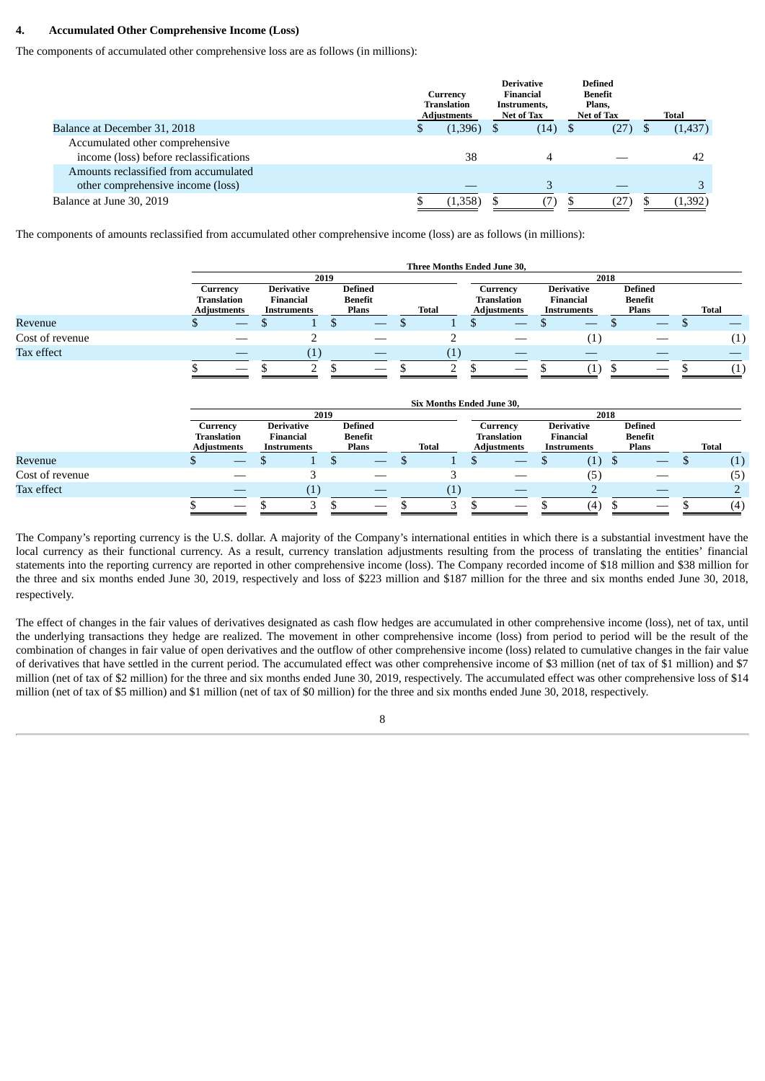#### **4. Accumulated Other Comprehensive Income (Loss)**

The components of accumulated other comprehensive loss are as follows (in millions):

|                                                                            | Currency<br><b>Translation</b><br><b>Adjustments</b> | <b>Derivative</b><br>Financial<br>Instruments,<br>Net of Tax |      | <b>Defined</b><br>Benefit<br>Plans.<br>Net of Tax |  | Total    |
|----------------------------------------------------------------------------|------------------------------------------------------|--------------------------------------------------------------|------|---------------------------------------------------|--|----------|
| Balance at December 31, 2018                                               | (1,396)                                              |                                                              | (14) | (27)                                              |  | (1, 437) |
| Accumulated other comprehensive<br>income (loss) before reclassifications  | 38                                                   |                                                              | 4    |                                                   |  | 42       |
| Amounts reclassified from accumulated<br>other comprehensive income (loss) |                                                      |                                                              |      |                                                   |  |          |
| Balance at June 30, 2019                                                   | (1,358)                                              |                                                              |      | (27                                               |  | (1, 392) |

The components of amounts reclassified from accumulated other comprehensive income (loss) are as follows (in millions):

|                 |                                                                                                                                                                    |                                               |                |              |                                                  |     | Three Months Ended June 30, |                                                                                                              |                                                      |    |                                                      |      |                                           |              |
|-----------------|--------------------------------------------------------------------------------------------------------------------------------------------------------------------|-----------------------------------------------|----------------|--------------|--------------------------------------------------|-----|-----------------------------|--------------------------------------------------------------------------------------------------------------|------------------------------------------------------|----|------------------------------------------------------|------|-------------------------------------------|--------------|
|                 |                                                                                                                                                                    |                                               |                | 2019         |                                                  |     |                             |                                                                                                              |                                                      |    |                                                      | 2018 |                                           |              |
|                 | <b>Defined</b><br>Currency<br><b>Derivative</b><br><b>Translation</b><br><b>Financial</b><br>Benefit<br>Plans<br><b>Adjustments</b><br>Total<br><b>Instruments</b> |                                               |                |              |                                                  |     |                             | <b>Derivative</b><br>Currency<br><b>Translation</b><br>Financial<br><b>Adjustments</b><br><b>Instruments</b> |                                                      |    |                                                      |      | <b>Defined</b><br><b>Benefit</b><br>Plans | <b>Total</b> |
| Revenue         | \$                                                                                                                                                                 |                                               |                | \$           |                                                  | \$  |                             | \$                                                                                                           |                                                      | \$ |                                                      |      |                                           | \$           |
| Cost of revenue |                                                                                                                                                                    |                                               | 2              |              |                                                  |     | 2                           |                                                                                                              |                                                      |    | (1)                                                  |      |                                           | (1)          |
| Tax effect      |                                                                                                                                                                    |                                               | (1)            |              |                                                  |     | (1)                         |                                                                                                              |                                                      |    |                                                      |      |                                           |              |
|                 |                                                                                                                                                                    |                                               | $\overline{2}$ |              |                                                  | \$  | 2                           | \$                                                                                                           |                                                      |    | (1)                                                  | \$   |                                           | (1)          |
|                 |                                                                                                                                                                    |                                               |                |              |                                                  |     | Six Months Ended June 30,   |                                                                                                              |                                                      |    |                                                      |      |                                           |              |
|                 |                                                                                                                                                                    |                                               |                | 2019         |                                                  |     |                             |                                                                                                              |                                                      |    |                                                      | 2018 |                                           |              |
|                 | Currency<br><b>Translation</b><br><b>Adjustments</b>                                                                                                               | <b>Derivative</b><br>Financial<br>Instruments |                |              | <b>Defined</b><br><b>Benefit</b><br><b>Plans</b> |     | <b>Total</b>                |                                                                                                              | Currency<br><b>Translation</b><br><b>Adjustments</b> |    | <b>Derivative</b><br><b>Financial</b><br>Instruments |      | <b>Defined</b><br><b>Benefit</b><br>Plans | <b>Total</b> |
| Revenue         | \$                                                                                                                                                                 |                                               |                | $\mathbf{s}$ |                                                  | \$. |                             | \$                                                                                                           |                                                      |    | (1)                                                  | \$   |                                           | \$<br>(1)    |
| Cost of revenue |                                                                                                                                                                    |                                               | 3              |              |                                                  |     | 3                           |                                                                                                              | $\overline{\phantom{a}}$                             |    | (5)                                                  |      |                                           | (5)          |
| Tax effect      |                                                                                                                                                                    |                                               | (1)            |              |                                                  |     | (1)                         |                                                                                                              |                                                      |    |                                                      |      |                                           |              |
|                 |                                                                                                                                                                    | \$                                            | 3              | \$           |                                                  | \$  | 3                           | \$                                                                                                           |                                                      |    | (4)                                                  | \$   |                                           | (4)          |

The Company's reporting currency is the U.S. dollar. A majority of the Company's international entities in which there is a substantial investment have the local currency as their functional currency. As a result, currency translation adjustments resulting from the process of translating the entities' financial statements into the reporting currency are reported in other comprehensive income (loss). The Company recorded income of \$18 million and \$38 million for the three and six months ended June 30, 2019, respectively and loss of \$223 million and \$187 million for the three and six months ended June 30, 2018, respectively.

The effect of changes in the fair values of derivatives designated as cash flow hedges are accumulated in other comprehensive income (loss), net of tax, until the underlying transactions they hedge are realized. The movement in other comprehensive income (loss) from period to period will be the result of the combination of changes in fair value of open derivatives and the outflow of other comprehensive income (loss) related to cumulative changes in the fair value of derivatives that have settled in the current period. The accumulated effect was other comprehensive income of \$3 million (net of tax of \$1 million) and \$7 million (net of tax of \$2 million) for the three and six months ended June 30, 2019, respectively. The accumulated effect was other comprehensive loss of \$14 million (net of tax of \$5 million) and \$1 million (net of tax of \$0 million) for the three and six months ended June 30, 2018, respectively.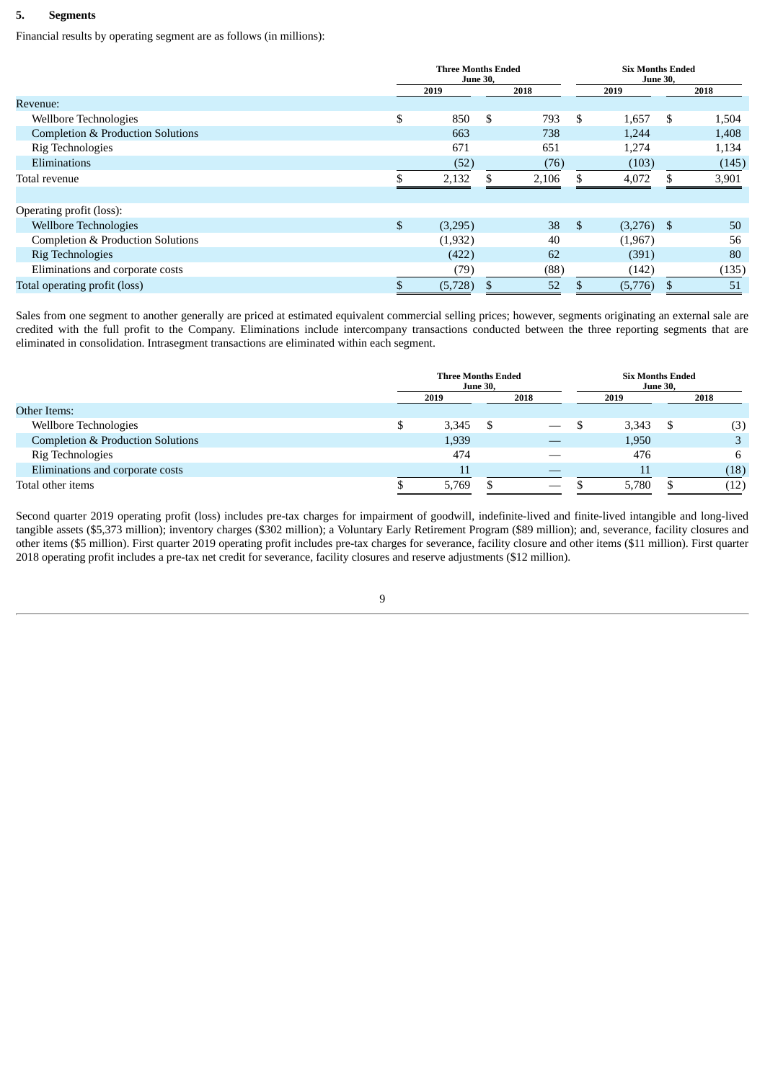#### **5. Segments**

Financial results by operating segment are as follows (in millions):

|                                   | <b>Three Months Ended</b><br><b>June 30,</b> |    |       | <b>Six Months Ended</b> | <b>June 30,</b> |    |       |
|-----------------------------------|----------------------------------------------|----|-------|-------------------------|-----------------|----|-------|
|                                   | 2019                                         |    | 2018  |                         | 2019            |    | 2018  |
| Revenue:                          |                                              |    |       |                         |                 |    |       |
| Wellbore Technologies             | \$<br>850                                    | \$ | 793   | S.                      | 1,657           | -S | 1,504 |
| Completion & Production Solutions | 663                                          |    | 738   |                         | 1,244           |    | 1,408 |
| Rig Technologies                  | 671                                          |    | 651   |                         | 1,274           |    | 1,134 |
| Eliminations                      | (52)                                         |    | (76)  |                         | (103)           |    | (145) |
| Total revenue                     | 2,132                                        | \$ | 2,106 |                         | 4,072           |    | 3,901 |
| Operating profit (loss):          |                                              |    |       |                         |                 |    |       |
| <b>Wellbore Technologies</b>      | \$<br>(3,295)                                |    | 38    | -\$                     | $(3,276)$ \$    |    | 50    |
| Completion & Production Solutions | (1,932)                                      |    | 40    |                         | (1,967)         |    | 56    |
| Rig Technologies                  | (422)                                        |    | 62    |                         | (391)           |    | 80    |
| Eliminations and corporate costs  | (79)                                         |    | (88)  |                         | (142)           |    | (135) |
| Total operating profit (loss)     | (5,728)                                      |    | 52    |                         | (5,776)         |    | 51    |

Sales from one segment to another generally are priced at estimated equivalent commercial selling prices; however, segments originating an external sale are credited with the full profit to the Company. Eliminations include intercompany transactions conducted between the three reporting segments that are eliminated in consolidation. Intrasegment transactions are eliminated within each segment.

|                                   |      | <b>Three Months Ended</b><br><b>June 30,</b> |  |      |       | <b>Six Months Ended</b><br><b>June 30,</b> |      |  |
|-----------------------------------|------|----------------------------------------------|--|------|-------|--------------------------------------------|------|--|
|                                   | 2019 |                                              |  | 2018 | 2019  |                                            | 2018 |  |
| Other Items:                      |      |                                              |  |      |       |                                            |      |  |
| Wellbore Technologies             |      | 3,345                                        |  |      | 3,343 |                                            | (3)  |  |
| Completion & Production Solutions |      | 1,939                                        |  |      | 1,950 |                                            |      |  |
| Rig Technologies                  |      | 474                                          |  |      | 476   |                                            | 6    |  |
| Eliminations and corporate costs  |      | 11                                           |  |      | 11    |                                            | (18) |  |
| Total other items                 |      | 5,769                                        |  |      | 5,780 |                                            | (12) |  |

Second quarter 2019 operating profit (loss) includes pre-tax charges for impairment of goodwill, indefinite-lived and finite-lived intangible and long-lived tangible assets (\$5,373 million); inventory charges (\$302 million); a Voluntary Early Retirement Program (\$89 million); and, severance, facility closures and other items (\$5 million). First quarter 2019 operating profit includes pre-tax charges for severance, facility closure and other items (\$11 million). First quarter 2018 operating profit includes a pre-tax net credit for severance, facility closures and reserve adjustments (\$12 million).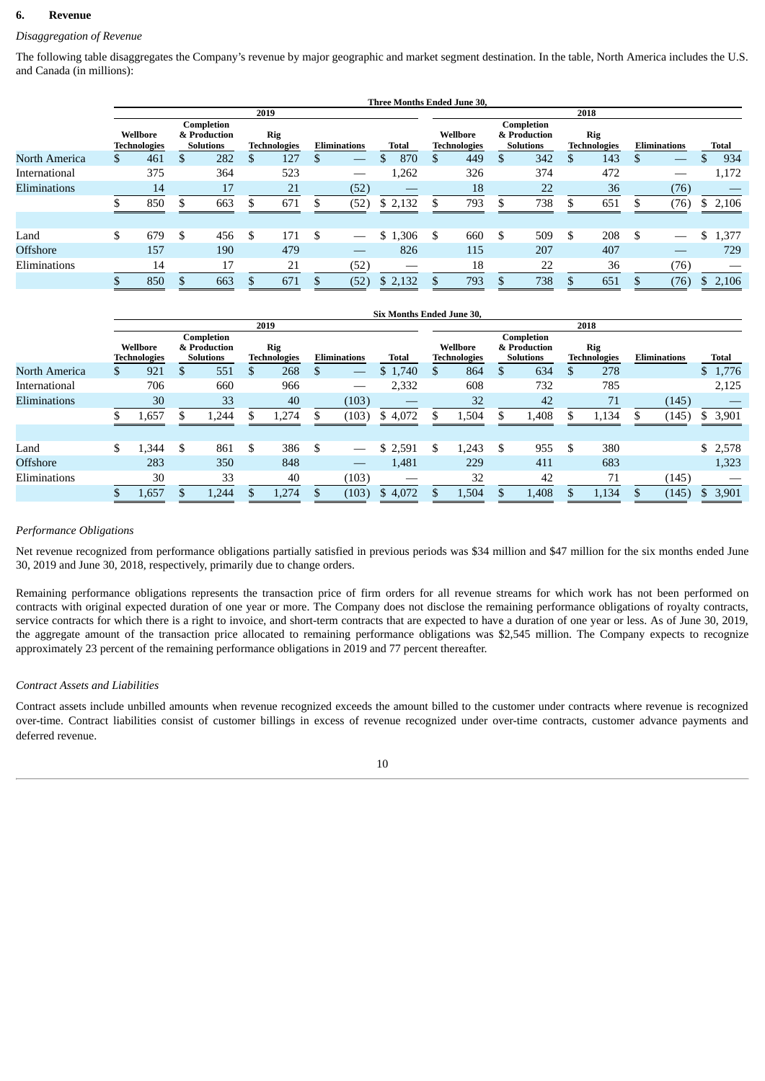#### **6. Revenue**

## *Disaggregation of Revenue*

The following table disaggregates the Company's revenue by major geographic and market segment destination. In the table, North America includes the U.S. and Canada (in millions):

|                 |     |                                 |    |                                                |                                   |                     | <b>Three Months Ended June 30.</b> |    |                                 |                                                |   |                                   |   |                     |             |
|-----------------|-----|---------------------------------|----|------------------------------------------------|-----------------------------------|---------------------|------------------------------------|----|---------------------------------|------------------------------------------------|---|-----------------------------------|---|---------------------|-------------|
|                 |     |                                 |    |                                                | 2019                              |                     |                                    |    |                                 |                                                |   | 2018                              |   |                     |             |
|                 |     | Wellbore<br><b>Technologies</b> |    | Completion<br>& Production<br><b>Solutions</b> | <b>Rig</b><br><b>Technologies</b> | <b>Eliminations</b> | Total                              |    | Wellbore<br><b>Technologies</b> | Completion<br>& Production<br><b>Solutions</b> |   | <b>Rig</b><br><b>Technologies</b> |   | <b>Eliminations</b> | Total       |
| North America   | \$. | 461                             | S  | 282                                            | \$<br>127                         |                     | 870                                | S  | 449                             | \$<br>342                                      | S | 143                               |   |                     | 934         |
| International   |     | 375                             |    | 364                                            | 523                               |                     | 1,262                              |    | 326                             | 374                                            |   | 472                               |   |                     | 1,172       |
| Eliminations    |     | 14                              |    | 17                                             | 21                                | (52)                |                                    |    | 18                              | 22                                             |   | 36                                |   | (76)                |             |
|                 |     | 850                             |    | 663                                            | 671                               | (52)                | \$2,132                            |    | 793                             | 738                                            |   | 651                               |   | (76)                | \$2,106     |
| Land            | \$  | 679                             | \$ | 456                                            | \$<br>171                         | \$                  | \$1,306                            | \$ | 660                             | \$<br>509                                      | S | 208                               | S |                     | \$<br>1,377 |
| <b>Offshore</b> |     | 157                             |    | 190                                            | 479                               |                     | 826                                |    | 115                             | 207                                            |   | 407                               |   | __                  | 729         |
| Eliminations    |     | 14                              |    | 17                                             | 21                                | (52)                |                                    |    | 18                              | 22                                             |   | 36                                |   | (76)                |             |
|                 |     | 850                             |    | 663                                            | 671                               | (52)                | \$2,132                            |    | 793                             | 738                                            |   | 651                               |   | (76)                | \$2,106     |
|                 |     |                                 |    |                                                |                                   |                     |                                    |    |                                 |                                                |   |                                   |   |                     |             |

|               |    |                                 |                                                |     |                            |   |                     | <b>Six Months Ended June 30.</b> |    |                                 |   |                                                |    |                            |                     |         |
|---------------|----|---------------------------------|------------------------------------------------|-----|----------------------------|---|---------------------|----------------------------------|----|---------------------------------|---|------------------------------------------------|----|----------------------------|---------------------|---------|
|               |    |                                 |                                                |     | 2019                       |   |                     |                                  |    |                                 |   |                                                |    | 2018                       |                     |         |
|               |    | Wellbore<br><b>Technologies</b> | Completion<br>& Production<br><b>Solutions</b> |     | Rig<br><b>Technologies</b> |   | <b>Eliminations</b> | Total                            |    | Wellbore<br><b>Technologies</b> |   | Completion<br>& Production<br><b>Solutions</b> |    | Rig<br><b>Technologies</b> | <b>Eliminations</b> | Total   |
| North America | S. | 921                             | \$<br>551                                      | S   | 268                        |   |                     | \$1,740                          | S  | 864                             | S | 634                                            | Ъ  | 278                        |                     | \$1,776 |
| International |    | 706                             | 660                                            |     | 966                        |   |                     | 2,332                            |    | 608                             |   | 732                                            |    | 785                        |                     | 2,125   |
| Eliminations  |    | 30                              | 33                                             |     | 40                         |   | (103)               |                                  |    | 32                              |   | 42                                             |    | 71                         | (145)               |         |
|               |    | 1,657                           | 1,244                                          |     | 1,274                      |   | (103)               | \$4,072                          |    | 1,504                           |   | 1,408                                          |    | 1,134                      | (145)               | \$3,901 |
|               |    |                                 |                                                |     |                            |   |                     |                                  |    |                                 |   |                                                |    |                            |                     |         |
| Land          | \$ | 1,344                           | \$<br>861                                      | \$. | 386                        | S |                     | \$2,591                          | \$ | 1,243                           | S | 955                                            | -S | 380                        |                     | \$2,578 |
| Offshore      |    | 283                             | 350                                            |     | 848                        |   |                     | 1,481                            |    | 229                             |   | 411                                            |    | 683                        |                     | 1,323   |
| Eliminations  |    | 30                              | 33                                             |     | 40                         |   | (103)               |                                  |    | 32                              |   | 42                                             |    | 71                         | (145)               |         |
|               |    | 1,657                           | 1,244                                          |     | 1,274                      |   | (103)               | \$4,072                          |    | 1,504                           |   | 1,408                                          |    | 1,134                      | (145)               | \$3,901 |

#### *Performance Obligations*

Net revenue recognized from performance obligations partially satisfied in previous periods was \$34 million and \$47 million for the six months ended June 30, 2019 and June 30, 2018, respectively, primarily due to change orders.

Remaining performance obligations represents the transaction price of firm orders for all revenue streams for which work has not been performed on contracts with original expected duration of one year or more. The Company does not disclose the remaining performance obligations of royalty contracts, service contracts for which there is a right to invoice, and short-term contracts that are expected to have a duration of one year or less. As of June 30, 2019, the aggregate amount of the transaction price allocated to remaining performance obligations was \$2,545 million. The Company expects to recognize approximately 23 percent of the remaining performance obligations in 2019 and 77 percent thereafter.

#### *Contract Assets and Liabilities*

Contract assets include unbilled amounts when revenue recognized exceeds the amount billed to the customer under contracts where revenue is recognized over-time. Contract liabilities consist of customer billings in excess of revenue recognized under over-time contracts, customer advance payments and deferred revenue.

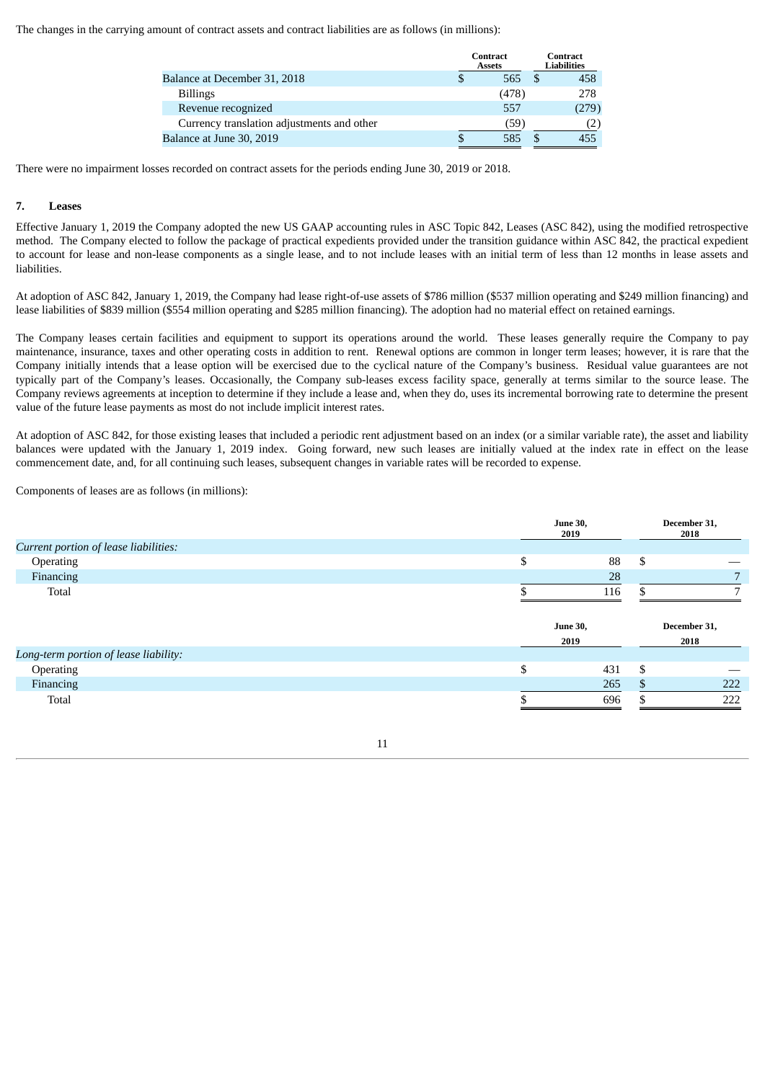The changes in the carrying amount of contract assets and contract liabilities are as follows (in millions):

|                                            | <b>Contract</b><br><b>Assets</b> | <b>Contract</b><br><b>Liabilities</b> |
|--------------------------------------------|----------------------------------|---------------------------------------|
| Balance at December 31, 2018               | 565                              | 458                                   |
| <b>Billings</b>                            | (478)                            | 278                                   |
| Revenue recognized                         | 557                              | (279)                                 |
| Currency translation adjustments and other | (59)                             |                                       |
| Balance at June 30, 2019                   | 585                              | 455                                   |

There were no impairment losses recorded on contract assets for the periods ending June 30, 2019 or 2018.

#### **7. Leases**

Effective January 1, 2019 the Company adopted the new US GAAP accounting rules in ASC Topic 842, Leases (ASC 842), using the modified retrospective method. The Company elected to follow the package of practical expedients provided under the transition guidance within ASC 842, the practical expedient to account for lease and non-lease components as a single lease, and to not include leases with an initial term of less than 12 months in lease assets and liabilities.

At adoption of ASC 842, January 1, 2019, the Company had lease right-of-use assets of \$786 million (\$537 million operating and \$249 million financing) and lease liabilities of \$839 million (\$554 million operating and \$285 million financing). The adoption had no material effect on retained earnings.

The Company leases certain facilities and equipment to support its operations around the world. These leases generally require the Company to pay maintenance, insurance, taxes and other operating costs in addition to rent. Renewal options are common in longer term leases; however, it is rare that the Company initially intends that a lease option will be exercised due to the cyclical nature of the Company's business. Residual value guarantees are not typically part of the Company's leases. Occasionally, the Company sub-leases excess facility space, generally at terms similar to the source lease. The Company reviews agreements at inception to determine if they include a lease and, when they do, uses its incremental borrowing rate to determine the present value of the future lease payments as most do not include implicit interest rates.

At adoption of ASC 842, for those existing leases that included a periodic rent adjustment based on an index (or a similar variable rate), the asset and liability balances were updated with the January 1, 2019 index. Going forward, new such leases are initially valued at the index rate in effect on the lease commencement date, and, for all continuing such leases, subsequent changes in variable rates will be recorded to expense.

Components of leases are as follows (in millions):

|                                       |    | <b>June 30,</b><br>2019 |    |              |  |  |
|---------------------------------------|----|-------------------------|----|--------------|--|--|
| Current portion of lease liabilities: |    |                         |    |              |  |  |
| Operating                             | \$ | 88                      | \$ |              |  |  |
| Financing                             |    | 28                      |    |              |  |  |
| Total                                 |    | 116                     |    |              |  |  |
|                                       |    |                         |    |              |  |  |
|                                       |    | <b>June 30,</b>         |    | December 31, |  |  |
| Long-term portion of lease liability: |    | 2019                    |    | 2018         |  |  |
| Operating                             | ሖ  | 431                     | \$ |              |  |  |
| Financing                             |    | 265                     |    | 222          |  |  |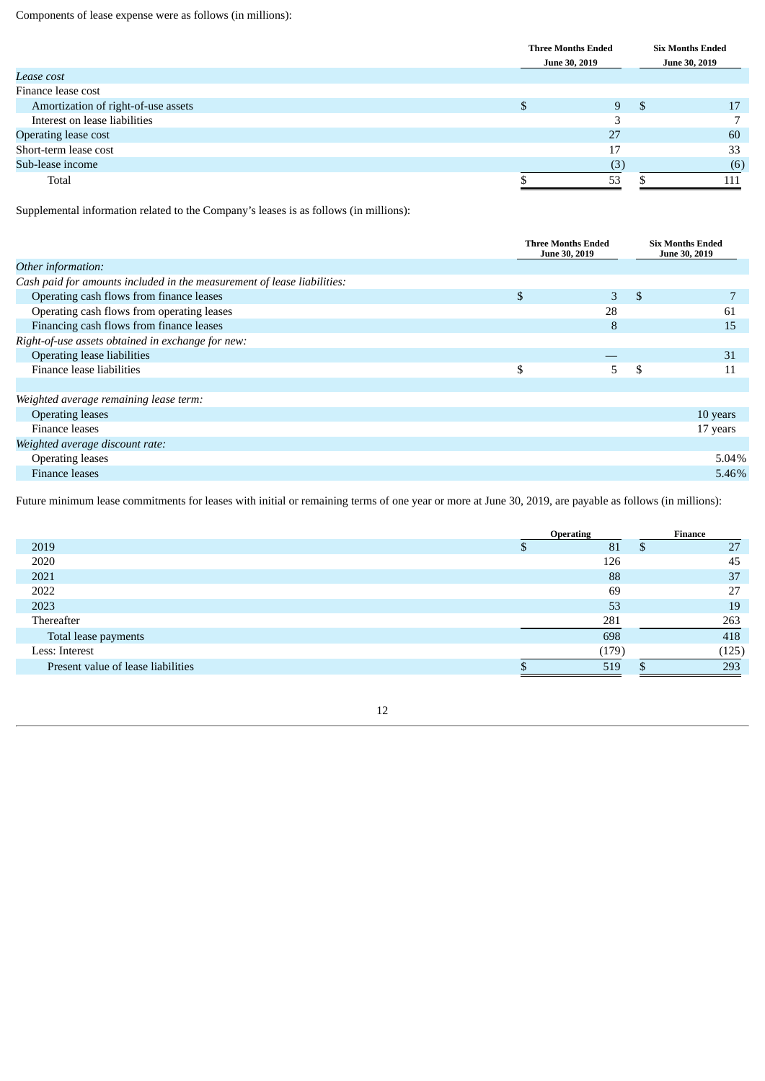Components of lease expense were as follows (in millions):

|                                     | <b>Three Months Ended</b><br><b>June 30, 2019</b> |    | <b>Six Months Ended</b><br><b>June 30, 2019</b> |
|-------------------------------------|---------------------------------------------------|----|-------------------------------------------------|
| Lease cost                          |                                                   |    |                                                 |
| Finance lease cost                  |                                                   |    |                                                 |
| Amortization of right-of-use assets | \$<br>9                                           | .S | 17                                              |
| Interest on lease liabilities       | ר                                                 |    |                                                 |
| Operating lease cost                | 27                                                |    | 60                                              |
| Short-term lease cost               | 17                                                |    | 33                                              |
| Sub-lease income                    | (3)                                               |    | (6)                                             |
| Total                               | 53                                                |    | 111                                             |

Supplemental information related to the Company's leases is as follows (in millions):

|                                                                         | <b>Three Months Ended</b><br>June 30, 2019 | <b>Six Months Ended</b><br>June 30, 2019 |
|-------------------------------------------------------------------------|--------------------------------------------|------------------------------------------|
| Other information:                                                      |                                            |                                          |
| Cash paid for amounts included in the measurement of lease liabilities: |                                            |                                          |
| Operating cash flows from finance leases                                | \$<br>3                                    | \$                                       |
| Operating cash flows from operating leases                              | 28                                         | 61                                       |
| Financing cash flows from finance leases                                | 8                                          | 15                                       |
| Right-of-use assets obtained in exchange for new:                       |                                            |                                          |
| Operating lease liabilities                                             |                                            | 31                                       |
| Finance lease liabilities                                               | \$<br>5.                                   | \$<br>11                                 |
|                                                                         |                                            |                                          |
| Weighted average remaining lease term:                                  |                                            |                                          |
| <b>Operating leases</b>                                                 |                                            | 10 years                                 |
| Finance leases                                                          |                                            | 17 years                                 |
| Weighted average discount rate:                                         |                                            |                                          |
| <b>Operating leases</b>                                                 |                                            | 5.04%                                    |
| <b>Finance leases</b>                                                   |                                            | 5.46%                                    |
|                                                                         |                                            |                                          |

Future minimum lease commitments for leases with initial or remaining terms of one year or more at June 30, 2019, are payable as follows (in millions):

|                                    | <b>Operating</b> | Finance |
|------------------------------------|------------------|---------|
| 2019                               | 81               | 27      |
| 2020                               | 126              | 45      |
| 2021                               | 88               | 37      |
| 2022                               | 69               | 27      |
| 2023                               | 53               | 19      |
| Thereafter                         | 281              | 263     |
| Total lease payments               | 698              | 418     |
| Less: Interest                     | (179)            | (125)   |
| Present value of lease liabilities | 519              | 293     |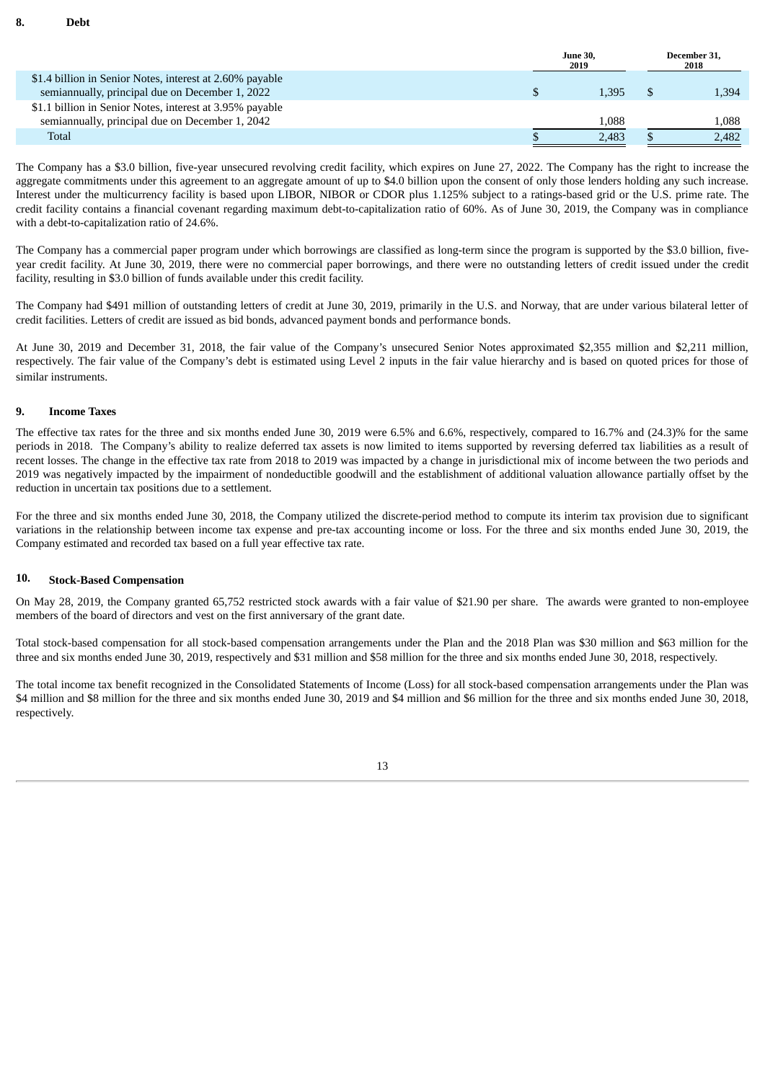|                                                          | <b>June 30.</b><br>2019 | December 31.<br>2018 |  |  |
|----------------------------------------------------------|-------------------------|----------------------|--|--|
| \$1.4 billion in Senior Notes, interest at 2.60% payable |                         |                      |  |  |
| semiannually, principal due on December 1, 2022          | 1.395                   | 1,394                |  |  |
| \$1.1 billion in Senior Notes, interest at 3.95% payable |                         |                      |  |  |
| semiannually, principal due on December 1, 2042          | 1.088                   | 1,088                |  |  |
| Total                                                    | 2.483                   | 2.482                |  |  |

The Company has a \$3.0 billion, five-year unsecured revolving credit facility, which expires on June 27, 2022. The Company has the right to increase the aggregate commitments under this agreement to an aggregate amount of up to \$4.0 billion upon the consent of only those lenders holding any such increase. Interest under the multicurrency facility is based upon LIBOR, NIBOR or CDOR plus 1.125% subject to a ratings-based grid or the U.S. prime rate. The credit facility contains a financial covenant regarding maximum debt-to-capitalization ratio of 60%. As of June 30, 2019, the Company was in compliance with a debt-to-capitalization ratio of 24.6%.

The Company has a commercial paper program under which borrowings are classified as long-term since the program is supported by the \$3.0 billion, fiveyear credit facility. At June 30, 2019, there were no commercial paper borrowings, and there were no outstanding letters of credit issued under the credit facility, resulting in \$3.0 billion of funds available under this credit facility.

The Company had \$491 million of outstanding letters of credit at June 30, 2019, primarily in the U.S. and Norway, that are under various bilateral letter of credit facilities. Letters of credit are issued as bid bonds, advanced payment bonds and performance bonds.

At June 30, 2019 and December 31, 2018, the fair value of the Company's unsecured Senior Notes approximated \$2,355 million and \$2,211 million, respectively. The fair value of the Company's debt is estimated using Level 2 inputs in the fair value hierarchy and is based on quoted prices for those of similar instruments.

#### **9. Income Taxes**

The effective tax rates for the three and six months ended June 30, 2019 were 6.5% and 6.6%, respectively, compared to 16.7% and (24.3)% for the same periods in 2018. The Company's ability to realize deferred tax assets is now limited to items supported by reversing deferred tax liabilities as a result of recent losses. The change in the effective tax rate from 2018 to 2019 was impacted by a change in jurisdictional mix of income between the two periods and 2019 was negatively impacted by the impairment of nondeductible goodwill and the establishment of additional valuation allowance partially offset by the reduction in uncertain tax positions due to a settlement.

For the three and six months ended June 30, 2018, the Company utilized the discrete-period method to compute its interim tax provision due to significant variations in the relationship between income tax expense and pre-tax accounting income or loss. For the three and six months ended June 30, 2019, the Company estimated and recorded tax based on a full year effective tax rate.

## **10. Stock-Based Compensation**

On May 28, 2019, the Company granted 65,752 restricted stock awards with a fair value of \$21.90 per share. The awards were granted to non-employee members of the board of directors and vest on the first anniversary of the grant date.

Total stock-based compensation for all stock-based compensation arrangements under the Plan and the 2018 Plan was \$30 million and \$63 million for the three and six months ended June 30, 2019, respectively and \$31 million and \$58 million for the three and six months ended June 30, 2018, respectively.

The total income tax benefit recognized in the Consolidated Statements of Income (Loss) for all stock-based compensation arrangements under the Plan was \$4 million and \$8 million for the three and six months ended June 30, 2019 and \$4 million and \$6 million for the three and six months ended June 30, 2018, respectively.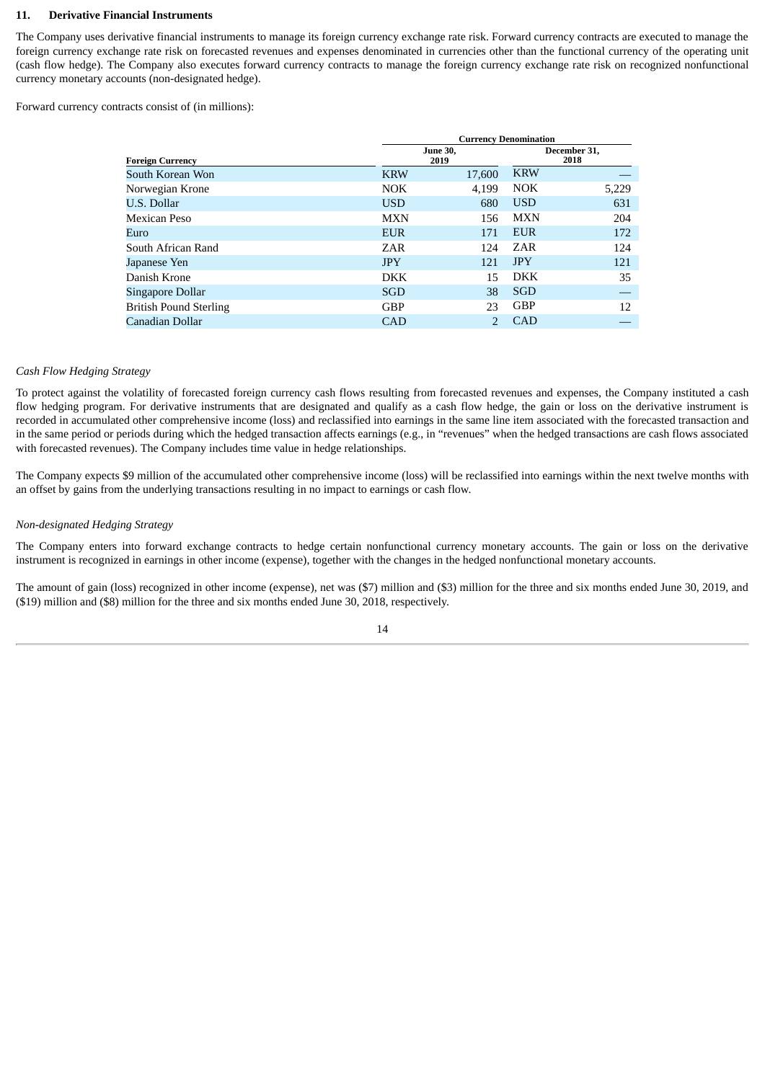#### **11. Derivative Financial Instruments**

The Company uses derivative financial instruments to manage its foreign currency exchange rate risk. Forward currency contracts are executed to manage the foreign currency exchange rate risk on forecasted revenues and expenses denominated in currencies other than the functional currency of the operating unit (cash flow hedge). The Company also executes forward currency contracts to manage the foreign currency exchange rate risk on recognized nonfunctional currency monetary accounts (non-designated hedge).

Forward currency contracts consist of (in millions):

|                               |            | <b>Currency Denomination</b> |            |                      |
|-------------------------------|------------|------------------------------|------------|----------------------|
| <b>Foreign Currency</b>       |            | <b>June 30,</b><br>2019      |            | December 31,<br>2018 |
| South Korean Won              | <b>KRW</b> | 17,600                       | <b>KRW</b> |                      |
| Norwegian Krone               | <b>NOK</b> | 4,199                        | <b>NOK</b> | 5,229                |
| U.S. Dollar                   | <b>USD</b> | 680                          | <b>USD</b> | 631                  |
| Mexican Peso                  | <b>MXN</b> | 156                          | <b>MXN</b> | 204                  |
| Euro                          | <b>EUR</b> | 171                          | <b>EUR</b> | 172                  |
| South African Rand            | ZAR        | 124                          | ZAR        | 124                  |
| Japanese Yen                  | <b>JPY</b> | 121                          | <b>JPY</b> | 121                  |
| Danish Krone                  | <b>DKK</b> | 15                           | <b>DKK</b> | 35                   |
| Singapore Dollar              | <b>SGD</b> | 38                           | SGD        |                      |
| <b>British Pound Sterling</b> | <b>GBP</b> | 23                           | <b>GBP</b> | 12                   |
| Canadian Dollar               | <b>CAD</b> |                              | <b>CAD</b> |                      |

#### *Cash Flow Hedging Strategy*

To protect against the volatility of forecasted foreign currency cash flows resulting from forecasted revenues and expenses, the Company instituted a cash flow hedging program. For derivative instruments that are designated and qualify as a cash flow hedge, the gain or loss on the derivative instrument is recorded in accumulated other comprehensive income (loss) and reclassified into earnings in the same line item associated with the forecasted transaction and in the same period or periods during which the hedged transaction affects earnings (e.g., in "revenues" when the hedged transactions are cash flows associated with forecasted revenues). The Company includes time value in hedge relationships.

The Company expects \$9 million of the accumulated other comprehensive income (loss) will be reclassified into earnings within the next twelve months with an offset by gains from the underlying transactions resulting in no impact to earnings or cash flow.

#### *Non-designated Hedging Strategy*

The Company enters into forward exchange contracts to hedge certain nonfunctional currency monetary accounts. The gain or loss on the derivative instrument is recognized in earnings in other income (expense), together with the changes in the hedged nonfunctional monetary accounts.

The amount of gain (loss) recognized in other income (expense), net was (\$7) million and (\$3) million for the three and six months ended June 30, 2019, and (\$19) million and (\$8) million for the three and six months ended June 30, 2018, respectively.

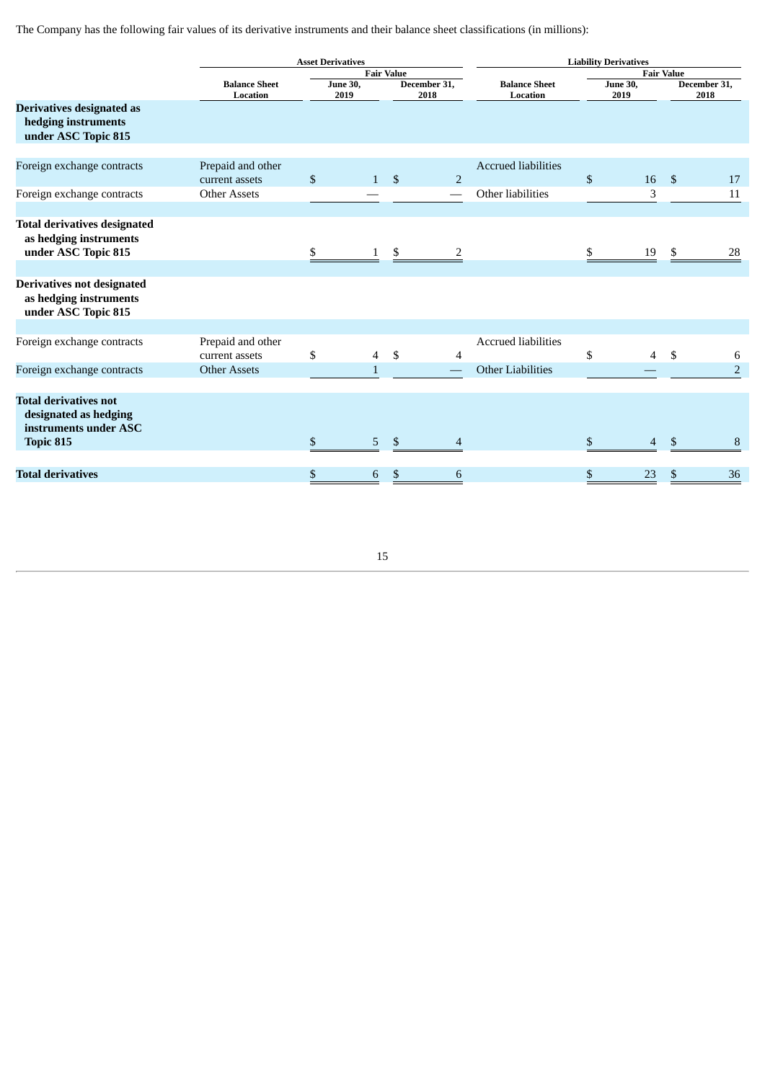The Company has the following fair values of its derivative instruments and their balance sheet classifications (in millions):

|                                                                                    | <b>Asset Derivatives</b>            |              |                         |              |                          | <b>Liability Derivatives</b>     |              |                         |                   |                      |  |  |
|------------------------------------------------------------------------------------|-------------------------------------|--------------|-------------------------|--------------|--------------------------|----------------------------------|--------------|-------------------------|-------------------|----------------------|--|--|
|                                                                                    |                                     |              | <b>Fair Value</b>       |              |                          |                                  |              |                         | <b>Fair Value</b> |                      |  |  |
|                                                                                    | <b>Balance Sheet</b><br>Location    |              | <b>June 30,</b><br>2019 |              | December 31,<br>2018     | <b>Balance Sheet</b><br>Location |              | <b>June 30,</b><br>2019 |                   | December 31,<br>2018 |  |  |
| Derivatives designated as<br>hedging instruments<br>under ASC Topic 815            |                                     |              |                         |              |                          |                                  |              |                         |                   |                      |  |  |
| Foreign exchange contracts                                                         | Prepaid and other                   |              |                         |              |                          | <b>Accrued liabilities</b>       |              |                         |                   |                      |  |  |
|                                                                                    | current assets                      | $\mathbb{S}$ | $\mathbf{1}$            | $\mathbb{S}$ | $\overline{2}$           |                                  | $\mathbb{S}$ | 16                      | $\mathfrak{S}$    | 17                   |  |  |
| Foreign exchange contracts                                                         | <b>Other Assets</b>                 |              |                         |              |                          | Other liabilities                |              | 3                       |                   | 11                   |  |  |
|                                                                                    |                                     |              |                         |              |                          |                                  |              |                         |                   |                      |  |  |
| <b>Total derivatives designated</b><br>as hedging instruments                      |                                     |              |                         |              |                          |                                  |              |                         |                   |                      |  |  |
| under ASC Topic 815                                                                |                                     | \$           |                         | \$           | 2                        |                                  |              | 19                      | \$.               | 28                   |  |  |
| <b>Derivatives not designated</b><br>as hedging instruments<br>under ASC Topic 815 |                                     |              |                         |              |                          |                                  |              |                         |                   |                      |  |  |
|                                                                                    |                                     |              |                         |              |                          |                                  |              |                         |                   |                      |  |  |
| Foreign exchange contracts                                                         | Prepaid and other<br>current assets | \$           | $\overline{4}$          | \$           | 4                        | <b>Accrued liabilities</b>       | \$           | $\overline{4}$          | \$                | 6                    |  |  |
| Foreign exchange contracts                                                         | <b>Other Assets</b>                 |              | $\mathbf{1}$            |              |                          | <b>Other Liabilities</b>         |              |                         |                   | $\overline{2}$       |  |  |
|                                                                                    |                                     |              |                         |              |                          |                                  |              |                         |                   |                      |  |  |
| <b>Total derivatives not</b><br>designated as hedging<br>instruments under ASC     |                                     |              |                         |              |                          |                                  |              |                         |                   |                      |  |  |
| Topic 815                                                                          |                                     | $\$$         | 5                       | \$           | $\overline{\mathcal{A}}$ |                                  | \$           | $\overline{4}$          | $\mathfrak{S}$    | 8                    |  |  |
|                                                                                    |                                     |              |                         |              |                          |                                  |              |                         |                   |                      |  |  |
| <b>Total derivatives</b>                                                           |                                     | \$           | 6                       | \$           | 6                        |                                  | \$           | 23                      | \$                | 36                   |  |  |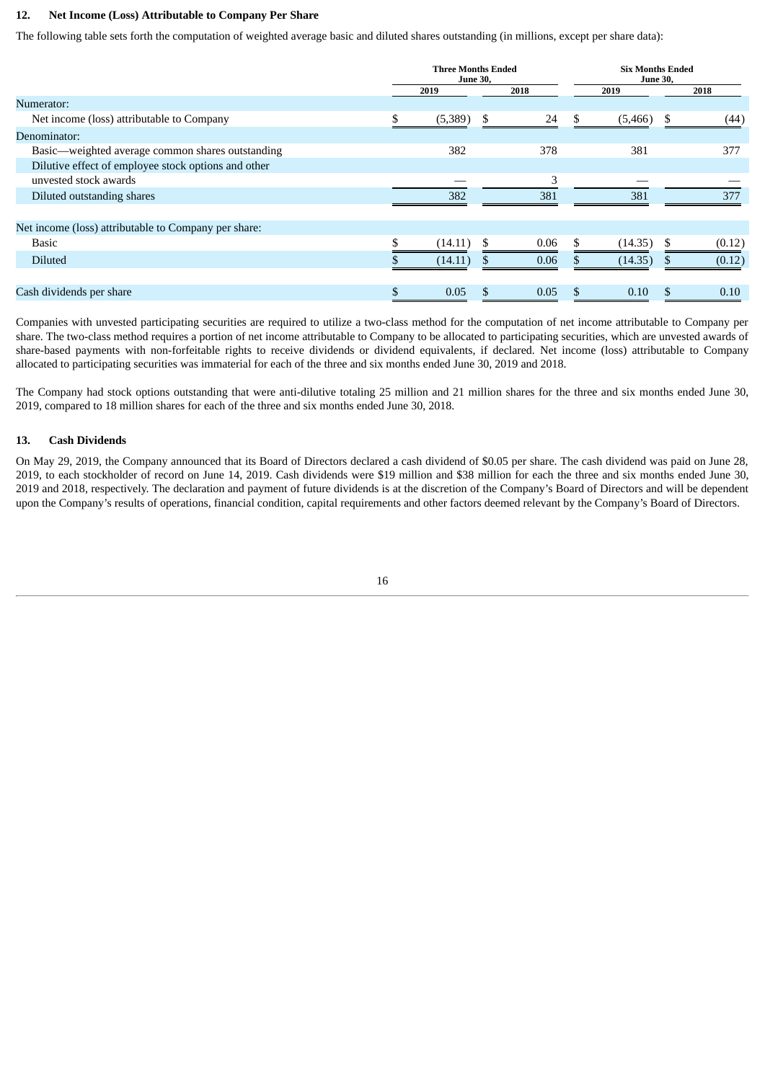#### **12. Net Income (Loss) Attributable to Company Per Share**

The following table sets forth the computation of weighted average basic and diluted shares outstanding (in millions, except per share data):

|                                                      | <b>Three Months Ended</b><br><b>June 30,</b> |         |      |      |     | <b>Six Months Ended</b><br><b>June 30,</b> |      |        |  |
|------------------------------------------------------|----------------------------------------------|---------|------|------|-----|--------------------------------------------|------|--------|--|
|                                                      | 2019                                         |         | 2018 | 2019 |     |                                            | 2018 |        |  |
| Numerator:                                           |                                              |         |      |      |     |                                            |      |        |  |
| Net income (loss) attributable to Company            | \$                                           | (5,389) | \$   | 24   | \$  | (5,466)                                    | \$.  | (44)   |  |
| Denominator:                                         |                                              |         |      |      |     |                                            |      |        |  |
| Basic-weighted average common shares outstanding     |                                              | 382     |      | 378  |     | 381                                        |      | 377    |  |
| Dilutive effect of employee stock options and other  |                                              |         |      |      |     |                                            |      |        |  |
| unvested stock awards                                |                                              |         |      | 3    |     |                                            |      |        |  |
| Diluted outstanding shares                           |                                              | 382     |      | 381  |     | 381                                        |      | 377    |  |
|                                                      |                                              |         |      |      |     |                                            |      |        |  |
| Net income (loss) attributable to Company per share: |                                              |         |      |      |     |                                            |      |        |  |
| <b>Basic</b>                                         | \$                                           | (14.11) |      | 0.06 |     | (14.35)                                    |      | (0.12) |  |
| <b>Diluted</b>                                       |                                              | (14.11) |      | 0.06 |     | (14.35)                                    |      | (0.12) |  |
|                                                      |                                              |         |      |      |     |                                            |      |        |  |
| Cash dividends per share                             | \$                                           | 0.05    | \$   | 0.05 | \$. | 0.10                                       | \$.  | 0.10   |  |

Companies with unvested participating securities are required to utilize a two-class method for the computation of net income attributable to Company per share. The two-class method requires a portion of net income attributable to Company to be allocated to participating securities, which are unvested awards of share-based payments with non-forfeitable rights to receive dividends or dividend equivalents, if declared. Net income (loss) attributable to Company allocated to participating securities was immaterial for each of the three and six months ended June 30, 2019 and 2018.

The Company had stock options outstanding that were anti-dilutive totaling 25 million and 21 million shares for the three and six months ended June 30, 2019, compared to 18 million shares for each of the three and six months ended June 30, 2018.

#### **13. Cash Dividends**

On May 29, 2019, the Company announced that its Board of Directors declared a cash dividend of \$0.05 per share. The cash dividend was paid on June 28, 2019, to each stockholder of record on June 14, 2019. Cash dividends were \$19 million and \$38 million for each the three and six months ended June 30, 2019 and 2018, respectively. The declaration and payment of future dividends is at the discretion of the Company's Board of Directors and will be dependent upon the Company's results of operations, financial condition, capital requirements and other factors deemed relevant by the Company's Board of Directors.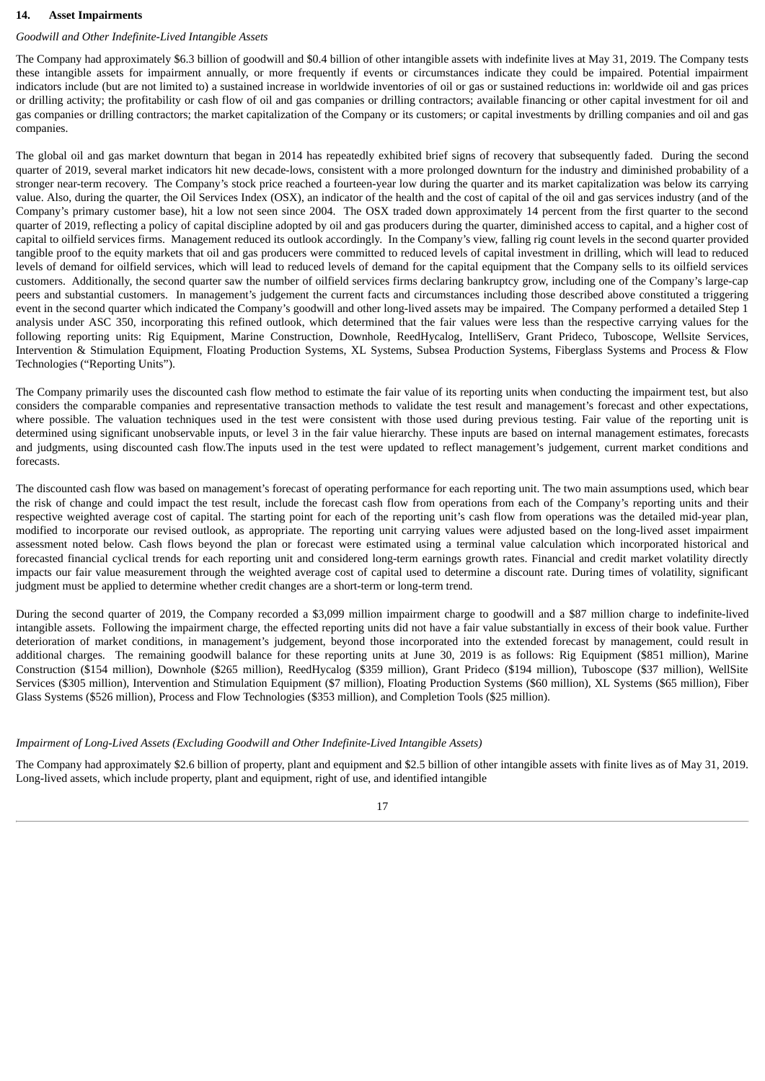#### **14. Asset Impairments**

## *Goodwill and Other Indefinite-Lived Intangible Assets*

The Company had approximately \$6.3 billion of goodwill and \$0.4 billion of other intangible assets with indefinite lives at May 31, 2019. The Company tests these intangible assets for impairment annually, or more frequently if events or circumstances indicate they could be impaired. Potential impairment indicators include (but are not limited to) a sustained increase in worldwide inventories of oil or gas or sustained reductions in: worldwide oil and gas prices or drilling activity; the profitability or cash flow of oil and gas companies or drilling contractors; available financing or other capital investment for oil and gas companies or drilling contractors; the market capitalization of the Company or its customers; or capital investments by drilling companies and oil and gas companies.

The global oil and gas market downturn that began in 2014 has repeatedly exhibited brief signs of recovery that subsequently faded. During the second quarter of 2019, several market indicators hit new decade-lows, consistent with a more prolonged downturn for the industry and diminished probability of a stronger near-term recovery. The Company's stock price reached a fourteen-year low during the quarter and its market capitalization was below its carrying value. Also, during the quarter, the Oil Services Index (OSX), an indicator of the health and the cost of capital of the oil and gas services industry (and of the Company's primary customer base), hit a low not seen since 2004. The OSX traded down approximately 14 percent from the first quarter to the second quarter of 2019, reflecting a policy of capital discipline adopted by oil and gas producers during the quarter, diminished access to capital, and a higher cost of capital to oilfield services firms. Management reduced its outlook accordingly. In the Company's view, falling rig count levels in the second quarter provided tangible proof to the equity markets that oil and gas producers were committed to reduced levels of capital investment in drilling, which will lead to reduced levels of demand for oilfield services, which will lead to reduced levels of demand for the capital equipment that the Company sells to its oilfield services customers. Additionally, the second quarter saw the number of oilfield services firms declaring bankruptcy grow, including one of the Company's large-cap peers and substantial customers. In management's judgement the current facts and circumstances including those described above constituted a triggering event in the second quarter which indicated the Company's goodwill and other long-lived assets may be impaired. The Company performed a detailed Step 1 analysis under ASC 350, incorporating this refined outlook, which determined that the fair values were less than the respective carrying values for the following reporting units: Rig Equipment, Marine Construction, Downhole, ReedHycalog, IntelliServ, Grant Prideco, Tuboscope, Wellsite Services, Intervention & Stimulation Equipment, Floating Production Systems, XL Systems, Subsea Production Systems, Fiberglass Systems and Process & Flow Technologies ("Reporting Units").

The Company primarily uses the discounted cash flow method to estimate the fair value of its reporting units when conducting the impairment test, but also considers the comparable companies and representative transaction methods to validate the test result and management's forecast and other expectations, where possible. The valuation techniques used in the test were consistent with those used during previous testing. Fair value of the reporting unit is determined using significant unobservable inputs, or level 3 in the fair value hierarchy. These inputs are based on internal management estimates, forecasts and judgments, using discounted cash flow.The inputs used in the test were updated to reflect management's judgement, current market conditions and forecasts.

The discounted cash flow was based on management's forecast of operating performance for each reporting unit. The two main assumptions used, which bear the risk of change and could impact the test result, include the forecast cash flow from operations from each of the Company's reporting units and their respective weighted average cost of capital. The starting point for each of the reporting unit's cash flow from operations was the detailed mid-year plan, modified to incorporate our revised outlook, as appropriate. The reporting unit carrying values were adjusted based on the long-lived asset impairment assessment noted below. Cash flows beyond the plan or forecast were estimated using a terminal value calculation which incorporated historical and forecasted financial cyclical trends for each reporting unit and considered long-term earnings growth rates. Financial and credit market volatility directly impacts our fair value measurement through the weighted average cost of capital used to determine a discount rate. During times of volatility, significant judgment must be applied to determine whether credit changes are a short-term or long-term trend.

During the second quarter of 2019, the Company recorded a \$3,099 million impairment charge to goodwill and a \$87 million charge to indefinite-lived intangible assets. Following the impairment charge, the effected reporting units did not have a fair value substantially in excess of their book value. Further deterioration of market conditions, in management's judgement, beyond those incorporated into the extended forecast by management, could result in additional charges. The remaining goodwill balance for these reporting units at June 30, 2019 is as follows: Rig Equipment (\$851 million), Marine Construction (\$154 million), Downhole (\$265 million), ReedHycalog (\$359 million), Grant Prideco (\$194 million), Tuboscope (\$37 million), WellSite Services (\$305 million), Intervention and Stimulation Equipment (\$7 million), Floating Production Systems (\$60 million), XL Systems (\$65 million), Fiber Glass Systems (\$526 million), Process and Flow Technologies (\$353 million), and Completion Tools (\$25 million).

#### *Impairment of Long-Lived Assets (Excluding Goodwill and Other Indefinite-Lived Intangible Assets)*

The Company had approximately \$2.6 billion of property, plant and equipment and \$2.5 billion of other intangible assets with finite lives as of May 31, 2019. Long-lived assets, which include property, plant and equipment, right of use, and identified intangible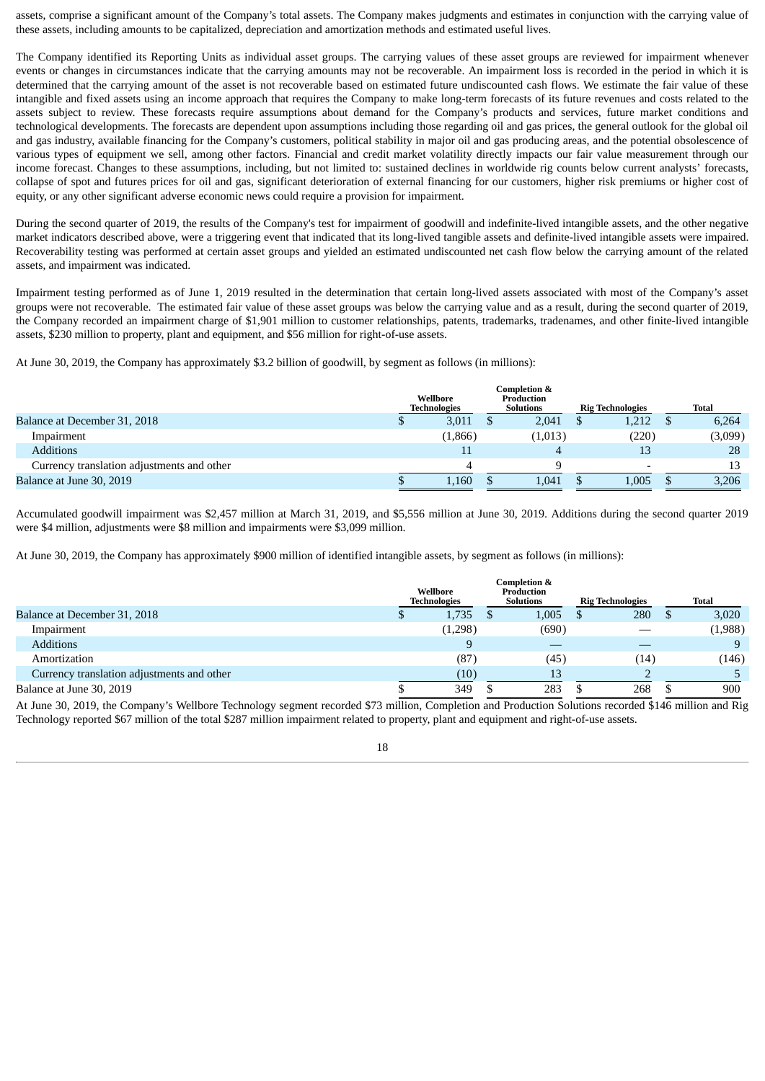assets, comprise a significant amount of the Company's total assets. The Company makes judgments and estimates in conjunction with the carrying value of these assets, including amounts to be capitalized, depreciation and amortization methods and estimated useful lives.

The Company identified its Reporting Units as individual asset groups. The carrying values of these asset groups are reviewed for impairment whenever events or changes in circumstances indicate that the carrying amounts may not be recoverable. An impairment loss is recorded in the period in which it is determined that the carrying amount of the asset is not recoverable based on estimated future undiscounted cash flows. We estimate the fair value of these intangible and fixed assets using an income approach that requires the Company to make long-term forecasts of its future revenues and costs related to the assets subject to review. These forecasts require assumptions about demand for the Company's products and services, future market conditions and technological developments. The forecasts are dependent upon assumptions including those regarding oil and gas prices, the general outlook for the global oil and gas industry, available financing for the Company's customers, political stability in major oil and gas producing areas, and the potential obsolescence of various types of equipment we sell, among other factors. Financial and credit market volatility directly impacts our fair value measurement through our income forecast. Changes to these assumptions, including, but not limited to: sustained declines in worldwide rig counts below current analysts' forecasts, collapse of spot and futures prices for oil and gas, significant deterioration of external financing for our customers, higher risk premiums or higher cost of equity, or any other significant adverse economic news could require a provision for impairment.

During the second quarter of 2019, the results of the Company's test for impairment of goodwill and indefinite-lived intangible assets, and the other negative market indicators described above, were a triggering event that indicated that its long-lived tangible assets and definite-lived intangible assets were impaired. Recoverability testing was performed at certain asset groups and yielded an estimated undiscounted net cash flow below the carrying amount of the related assets, and impairment was indicated.

Impairment testing performed as of June 1, 2019 resulted in the determination that certain long-lived assets associated with most of the Company's asset groups were not recoverable. The estimated fair value of these asset groups was below the carrying value and as a result, during the second quarter of 2019, the Company recorded an impairment charge of \$1,901 million to customer relationships, patents, trademarks, tradenames, and other finite-lived intangible assets, \$230 million to property, plant and equipment, and \$56 million for right-of-use assets.

At June 30, 2019, the Company has approximately \$3.2 billion of goodwill, by segment as follows (in millions):

|                                            | Wellbore<br><b>Technologies</b> | Completion &<br><b>Production</b><br><b>Solutions</b> | <b>Rig Technologies</b> | Total   |
|--------------------------------------------|---------------------------------|-------------------------------------------------------|-------------------------|---------|
| Balance at December 31, 2018               | 3,011                           | 2,041                                                 | 1,212                   | 6,264   |
| Impairment                                 | (1,866)                         | (1,013)                                               | (220)                   | (3,099) |
| <b>Additions</b>                           | 11                              | 4                                                     | 13                      | 28      |
| Currency translation adjustments and other |                                 |                                                       |                         | 13      |
| Balance at June 30, 2019                   | 1,160                           | 1,041                                                 | 1,005                   | 3,206   |

Accumulated goodwill impairment was \$2,457 million at March 31, 2019, and \$5,556 million at June 30, 2019. Additions during the second quarter 2019 were \$4 million, adjustments were \$8 million and impairments were \$3,099 million.

At June 30, 2019, the Company has approximately \$900 million of identified intangible assets, by segment as follows (in millions):

|                                            | Wellbore<br><b>Technologies</b> | Completion &<br>Production<br><b>Solutions</b> | <b>Rig Technologies</b> | Total   |
|--------------------------------------------|---------------------------------|------------------------------------------------|-------------------------|---------|
| Balance at December 31, 2018               | 1,735                           | 1,005                                          | 280                     | 3,020   |
| Impairment                                 | (1,298)                         | (690)                                          |                         | (1,988) |
| <b>Additions</b>                           | 9                               |                                                |                         | 9       |
| Amortization                               | (87)                            | (45)                                           | (14)                    | (146)   |
| Currency translation adjustments and other | (10)                            | 13                                             |                         |         |
| Balance at June 30, 2019                   | 349                             | 283                                            | 268                     | 900     |

At June 30, 2019, the Company's Wellbore Technology segment recorded \$73 million, Completion and Production Solutions recorded \$146 million and Rig Technology reported \$67 million of the total \$287 million impairment related to property, plant and equipment and right-of-use assets.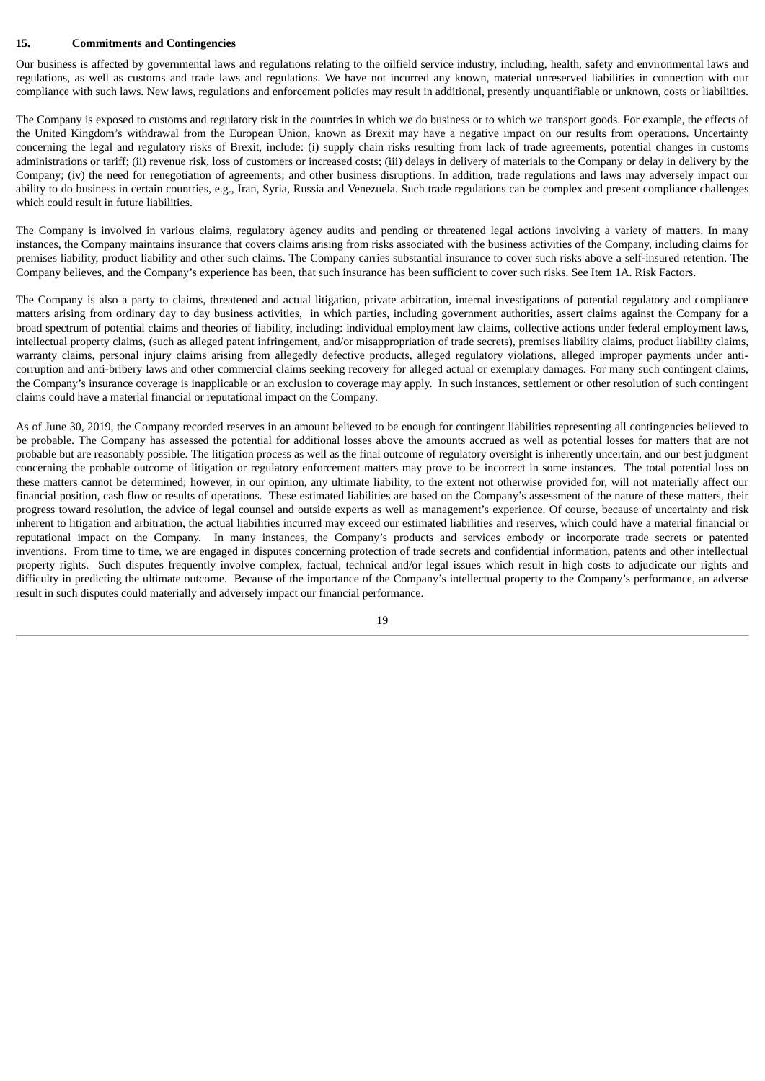#### **15. Commitments and Contingencies**

Our business is affected by governmental laws and regulations relating to the oilfield service industry, including, health, safety and environmental laws and regulations, as well as customs and trade laws and regulations. We have not incurred any known, material unreserved liabilities in connection with our compliance with such laws. New laws, regulations and enforcement policies may result in additional, presently unquantifiable or unknown, costs or liabilities.

The Company is exposed to customs and regulatory risk in the countries in which we do business or to which we transport goods. For example, the effects of the United Kingdom's withdrawal from the European Union, known as Brexit may have a negative impact on our results from operations. Uncertainty concerning the legal and regulatory risks of Brexit, include: (i) supply chain risks resulting from lack of trade agreements, potential changes in customs administrations or tariff; (ii) revenue risk, loss of customers or increased costs; (iii) delays in delivery of materials to the Company or delay in delivery by the Company; (iv) the need for renegotiation of agreements; and other business disruptions. In addition, trade regulations and laws may adversely impact our ability to do business in certain countries, e.g., Iran, Syria, Russia and Venezuela. Such trade regulations can be complex and present compliance challenges which could result in future liabilities.

The Company is involved in various claims, regulatory agency audits and pending or threatened legal actions involving a variety of matters. In many instances, the Company maintains insurance that covers claims arising from risks associated with the business activities of the Company, including claims for premises liability, product liability and other such claims. The Company carries substantial insurance to cover such risks above a self-insured retention. The Company believes, and the Company's experience has been, that such insurance has been sufficient to cover such risks. See Item 1A. Risk Factors.

The Company is also a party to claims, threatened and actual litigation, private arbitration, internal investigations of potential regulatory and compliance matters arising from ordinary day to day business activities, in which parties, including government authorities, assert claims against the Company for a broad spectrum of potential claims and theories of liability, including: individual employment law claims, collective actions under federal employment laws, intellectual property claims, (such as alleged patent infringement, and/or misappropriation of trade secrets), premises liability claims, product liability claims, warranty claims, personal injury claims arising from allegedly defective products, alleged regulatory violations, alleged improper payments under anticorruption and anti-bribery laws and other commercial claims seeking recovery for alleged actual or exemplary damages. For many such contingent claims, the Company's insurance coverage is inapplicable or an exclusion to coverage may apply. In such instances, settlement or other resolution of such contingent claims could have a material financial or reputational impact on the Company.

As of June 30, 2019, the Company recorded reserves in an amount believed to be enough for contingent liabilities representing all contingencies believed to be probable. The Company has assessed the potential for additional losses above the amounts accrued as well as potential losses for matters that are not probable but are reasonably possible. The litigation process as well as the final outcome of regulatory oversight is inherently uncertain, and our best judgment concerning the probable outcome of litigation or regulatory enforcement matters may prove to be incorrect in some instances. The total potential loss on these matters cannot be determined; however, in our opinion, any ultimate liability, to the extent not otherwise provided for, will not materially affect our financial position, cash flow or results of operations. These estimated liabilities are based on the Company's assessment of the nature of these matters, their progress toward resolution, the advice of legal counsel and outside experts as well as management's experience. Of course, because of uncertainty and risk inherent to litigation and arbitration, the actual liabilities incurred may exceed our estimated liabilities and reserves, which could have a material financial or reputational impact on the Company. In many instances, the Company's products and services embody or incorporate trade secrets or patented inventions. From time to time, we are engaged in disputes concerning protection of trade secrets and confidential information, patents and other intellectual property rights. Such disputes frequently involve complex, factual, technical and/or legal issues which result in high costs to adjudicate our rights and difficulty in predicting the ultimate outcome. Because of the importance of the Company's intellectual property to the Company's performance, an adverse result in such disputes could materially and adversely impact our financial performance.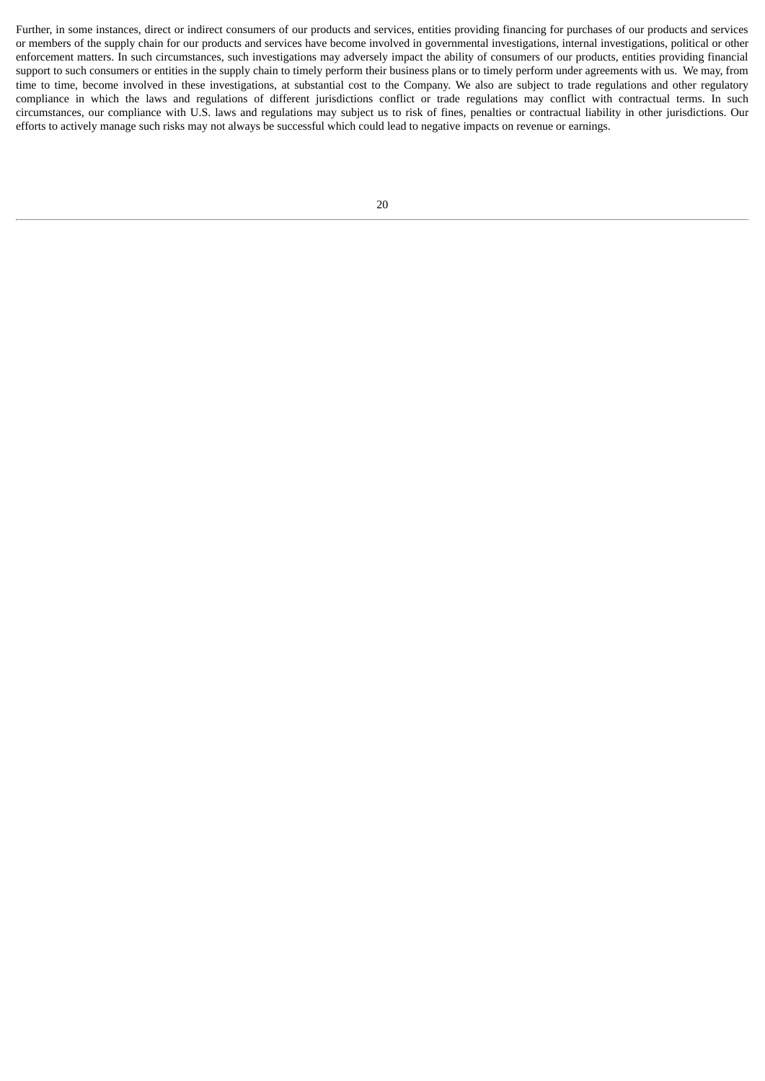Further, in some instances, direct or indirect consumers of our products and services, entities providing financing for purchases of our products and services or members of the supply chain for our products and services have become involved in governmental investigations, internal investigations, political or other enforcement matters. In such circumstances, such investigations may adversely impact the ability of consumers of our products, entities providing financial support to such consumers or entities in the supply chain to timely perform their business plans or to timely perform under agreements with us. We may, from time to time, become involved in these investigations, at substantial cost to the Company. We also are subject to trade regulations and other regulatory compliance in which the laws and regulations of different jurisdictions conflict or trade regulations may conflict with contractual terms. In such circumstances, our compliance with U.S. laws and regulations may subject us to risk of fines, penalties or contractual liability in other jurisdictions. Our efforts to actively manage such risks may not always be successful which could lead to negative impacts on revenue or earnings.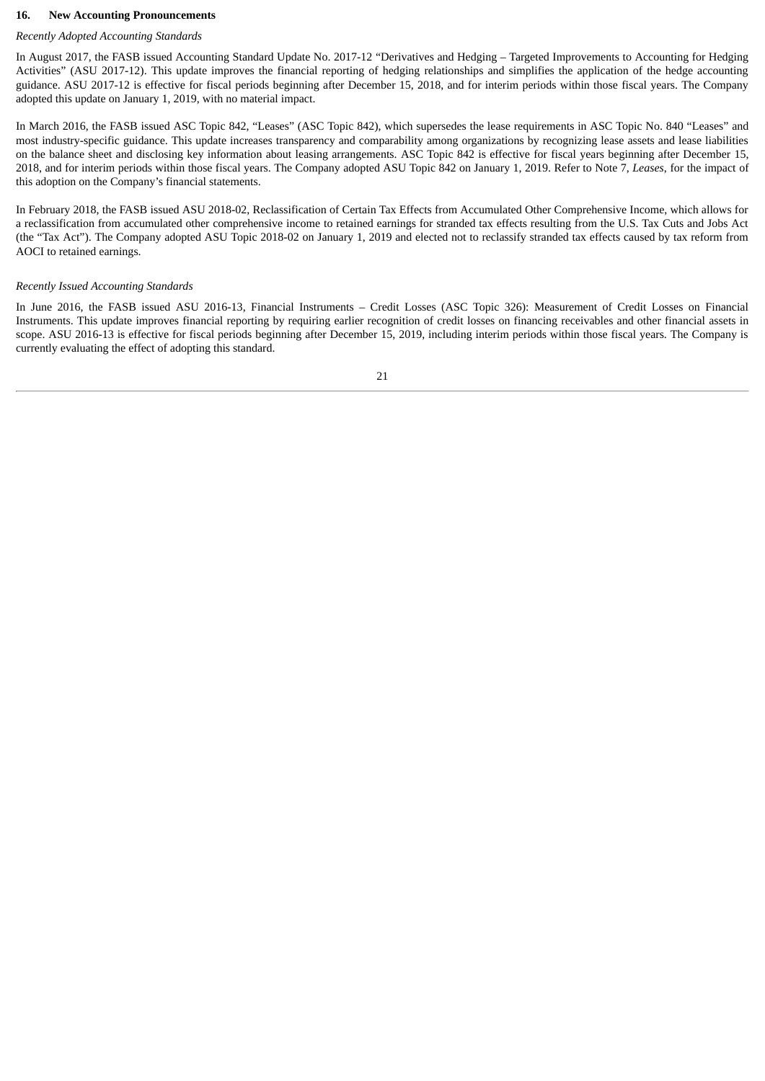#### **16. New Accounting Pronouncements**

## *Recently Adopted Accounting Standards*

In August 2017, the FASB issued Accounting Standard Update No. 2017-12 "Derivatives and Hedging – Targeted Improvements to Accounting for Hedging Activities" (ASU 2017-12). This update improves the financial reporting of hedging relationships and simplifies the application of the hedge accounting guidance. ASU 2017-12 is effective for fiscal periods beginning after December 15, 2018, and for interim periods within those fiscal years. The Company adopted this update on January 1, 2019, with no material impact.

In March 2016, the FASB issued ASC Topic 842, "Leases" (ASC Topic 842), which supersedes the lease requirements in ASC Topic No. 840 "Leases" and most industry-specific guidance. This update increases transparency and comparability among organizations by recognizing lease assets and lease liabilities on the balance sheet and disclosing key information about leasing arrangements. ASC Topic 842 is effective for fiscal years beginning after December 15, 2018, and for interim periods within those fiscal years. The Company adopted ASU Topic 842 on January 1, 2019. Refer to Note 7, *Leases*, for the impact of this adoption on the Company's financial statements.

In February 2018, the FASB issued ASU 2018-02, Reclassification of Certain Tax Effects from Accumulated Other Comprehensive Income, which allows for a reclassification from accumulated other comprehensive income to retained earnings for stranded tax effects resulting from the U.S. Tax Cuts and Jobs Act (the "Tax Act"). The Company adopted ASU Topic 2018-02 on January 1, 2019 and elected not to reclassify stranded tax effects caused by tax reform from AOCI to retained earnings.

#### *Recently Issued Accounting Standards*

In June 2016, the FASB issued ASU 2016-13, Financial Instruments – Credit Losses (ASC Topic 326): Measurement of Credit Losses on Financial Instruments. This update improves financial reporting by requiring earlier recognition of credit losses on financing receivables and other financial assets in scope. ASU 2016-13 is effective for fiscal periods beginning after December 15, 2019, including interim periods within those fiscal years. The Company is currently evaluating the effect of adopting this standard.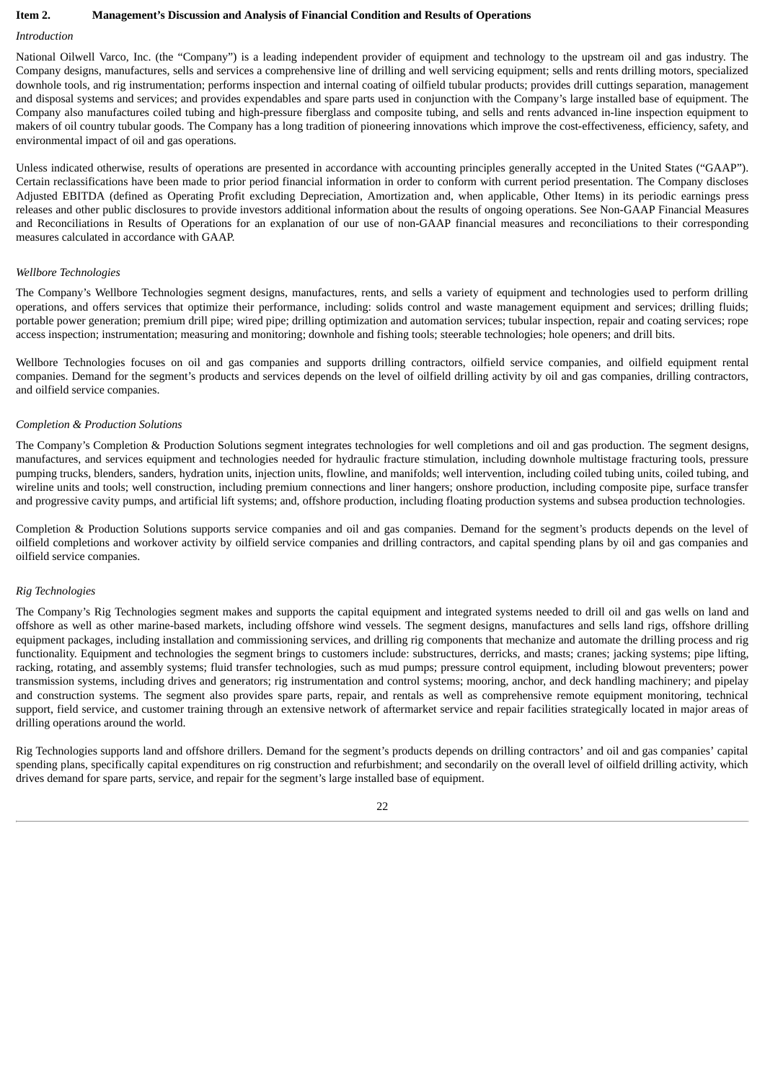#### **Item 2. Management's Discussion and Analysis of Financial Condition and Results of Operations**

## *Introduction*

National Oilwell Varco, Inc. (the "Company") is a leading independent provider of equipment and technology to the upstream oil and gas industry. The Company designs, manufactures, sells and services a comprehensive line of drilling and well servicing equipment; sells and rents drilling motors, specialized downhole tools, and rig instrumentation; performs inspection and internal coating of oilfield tubular products; provides drill cuttings separation, management and disposal systems and services; and provides expendables and spare parts used in conjunction with the Company's large installed base of equipment. The Company also manufactures coiled tubing and high-pressure fiberglass and composite tubing, and sells and rents advanced in-line inspection equipment to makers of oil country tubular goods. The Company has a long tradition of pioneering innovations which improve the cost-effectiveness, efficiency, safety, and environmental impact of oil and gas operations.

Unless indicated otherwise, results of operations are presented in accordance with accounting principles generally accepted in the United States ("GAAP"). Certain reclassifications have been made to prior period financial information in order to conform with current period presentation. The Company discloses Adjusted EBITDA (defined as Operating Profit excluding Depreciation, Amortization and, when applicable, Other Items) in its periodic earnings press releases and other public disclosures to provide investors additional information about the results of ongoing operations. See Non-GAAP Financial Measures and Reconciliations in Results of Operations for an explanation of our use of non-GAAP financial measures and reconciliations to their corresponding measures calculated in accordance with GAAP.

#### *Wellbore Technologies*

The Company's Wellbore Technologies segment designs, manufactures, rents, and sells a variety of equipment and technologies used to perform drilling operations, and offers services that optimize their performance, including: solids control and waste management equipment and services; drilling fluids; portable power generation; premium drill pipe; wired pipe; drilling optimization and automation services; tubular inspection, repair and coating services; rope access inspection; instrumentation; measuring and monitoring; downhole and fishing tools; steerable technologies; hole openers; and drill bits.

Wellbore Technologies focuses on oil and gas companies and supports drilling contractors, oilfield service companies, and oilfield equipment rental companies. Demand for the segment's products and services depends on the level of oilfield drilling activity by oil and gas companies, drilling contractors, and oilfield service companies.

#### *Completion & Production Solutions*

The Company's Completion & Production Solutions segment integrates technologies for well completions and oil and gas production. The segment designs, manufactures, and services equipment and technologies needed for hydraulic fracture stimulation, including downhole multistage fracturing tools, pressure pumping trucks, blenders, sanders, hydration units, injection units, flowline, and manifolds; well intervention, including coiled tubing units, coiled tubing, and wireline units and tools; well construction, including premium connections and liner hangers; onshore production, including composite pipe, surface transfer and progressive cavity pumps, and artificial lift systems; and, offshore production, including floating production systems and subsea production technologies.

Completion & Production Solutions supports service companies and oil and gas companies. Demand for the segment's products depends on the level of oilfield completions and workover activity by oilfield service companies and drilling contractors, and capital spending plans by oil and gas companies and oilfield service companies.

#### *Rig Technologies*

The Company's Rig Technologies segment makes and supports the capital equipment and integrated systems needed to drill oil and gas wells on land and offshore as well as other marine-based markets, including offshore wind vessels. The segment designs, manufactures and sells land rigs, offshore drilling equipment packages, including installation and commissioning services, and drilling rig components that mechanize and automate the drilling process and rig functionality. Equipment and technologies the segment brings to customers include: substructures, derricks, and masts; cranes; jacking systems; pipe lifting, racking, rotating, and assembly systems; fluid transfer technologies, such as mud pumps; pressure control equipment, including blowout preventers; power transmission systems, including drives and generators; rig instrumentation and control systems; mooring, anchor, and deck handling machinery; and pipelay and construction systems. The segment also provides spare parts, repair, and rentals as well as comprehensive remote equipment monitoring, technical support, field service, and customer training through an extensive network of aftermarket service and repair facilities strategically located in major areas of drilling operations around the world.

Rig Technologies supports land and offshore drillers. Demand for the segment's products depends on drilling contractors' and oil and gas companies' capital spending plans, specifically capital expenditures on rig construction and refurbishment; and secondarily on the overall level of oilfield drilling activity, which drives demand for spare parts, service, and repair for the segment's large installed base of equipment.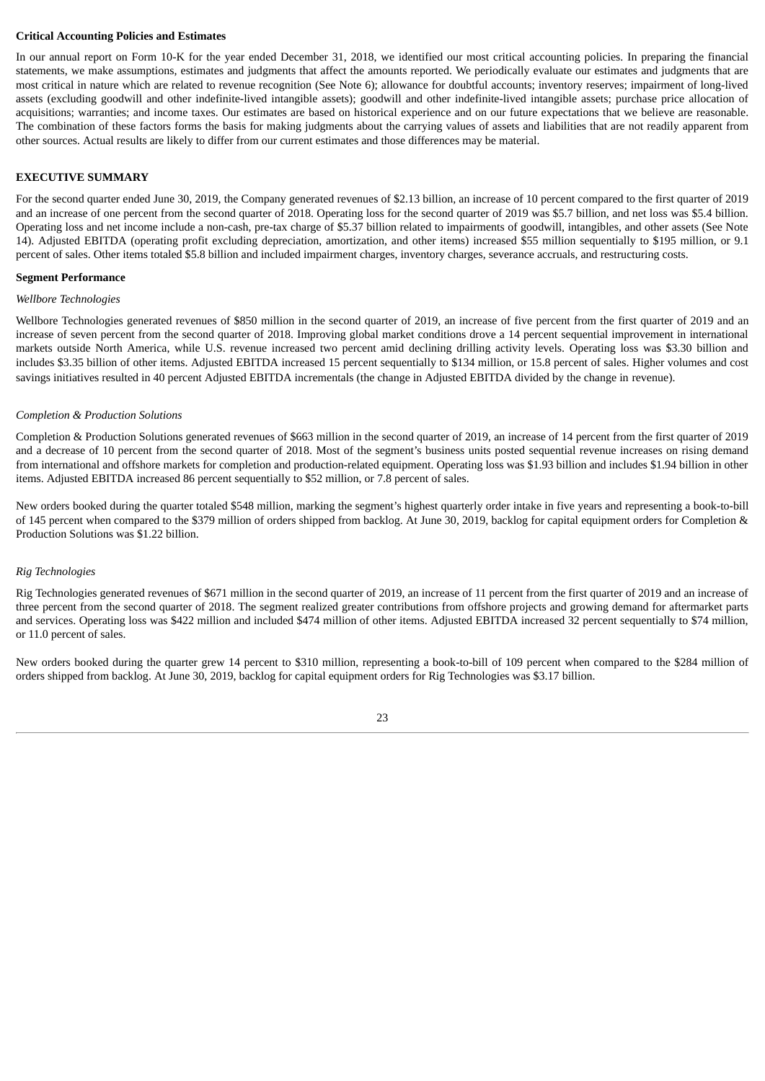#### **Critical Accounting Policies and Estimates**

In our annual report on Form 10-K for the year ended December 31, 2018, we identified our most critical accounting policies. In preparing the financial statements, we make assumptions, estimates and judgments that affect the amounts reported. We periodically evaluate our estimates and judgments that are most critical in nature which are related to revenue recognition (See Note 6); allowance for doubtful accounts; inventory reserves; impairment of long-lived assets (excluding goodwill and other indefinite-lived intangible assets); goodwill and other indefinite-lived intangible assets; purchase price allocation of acquisitions; warranties; and income taxes. Our estimates are based on historical experience and on our future expectations that we believe are reasonable. The combination of these factors forms the basis for making judgments about the carrying values of assets and liabilities that are not readily apparent from other sources. Actual results are likely to differ from our current estimates and those differences may be material.

#### **EXECUTIVE SUMMARY**

For the second quarter ended June 30, 2019, the Company generated revenues of \$2.13 billion, an increase of 10 percent compared to the first quarter of 2019 and an increase of one percent from the second quarter of 2018. Operating loss for the second quarter of 2019 was \$5.7 billion, and net loss was \$5.4 billion. Operating loss and net income include a non-cash, pre-tax charge of \$5.37 billion related to impairments of goodwill, intangibles, and other assets (See Note 14). Adjusted EBITDA (operating profit excluding depreciation, amortization, and other items) increased \$55 million sequentially to \$195 million, or 9.1 percent of sales. Other items totaled \$5.8 billion and included impairment charges, inventory charges, severance accruals, and restructuring costs.

#### **Segment Performance**

#### *Wellbore Technologies*

Wellbore Technologies generated revenues of \$850 million in the second quarter of 2019, an increase of five percent from the first quarter of 2019 and an increase of seven percent from the second quarter of 2018. Improving global market conditions drove a 14 percent sequential improvement in international markets outside North America, while U.S. revenue increased two percent amid declining drilling activity levels. Operating loss was \$3.30 billion and includes \$3.35 billion of other items. Adjusted EBITDA increased 15 percent sequentially to \$134 million, or 15.8 percent of sales. Higher volumes and cost savings initiatives resulted in 40 percent Adjusted EBITDA incrementals (the change in Adjusted EBITDA divided by the change in revenue).

#### *Completion & Production Solutions*

Completion & Production Solutions generated revenues of \$663 million in the second quarter of 2019, an increase of 14 percent from the first quarter of 2019 and a decrease of 10 percent from the second quarter of 2018. Most of the segment's business units posted sequential revenue increases on rising demand from international and offshore markets for completion and production-related equipment. Operating loss was \$1.93 billion and includes \$1.94 billion in other items. Adjusted EBITDA increased 86 percent sequentially to \$52 million, or 7.8 percent of sales.

New orders booked during the quarter totaled \$548 million, marking the segment's highest quarterly order intake in five years and representing a book-to-bill of 145 percent when compared to the \$379 million of orders shipped from backlog. At June 30, 2019, backlog for capital equipment orders for Completion & Production Solutions was \$1.22 billion.

#### *Rig Technologies*

Rig Technologies generated revenues of \$671 million in the second quarter of 2019, an increase of 11 percent from the first quarter of 2019 and an increase of three percent from the second quarter of 2018. The segment realized greater contributions from offshore projects and growing demand for aftermarket parts and services. Operating loss was \$422 million and included \$474 million of other items. Adjusted EBITDA increased 32 percent sequentially to \$74 million, or 11.0 percent of sales.

New orders booked during the quarter grew 14 percent to \$310 million, representing a book-to-bill of 109 percent when compared to the \$284 million of orders shipped from backlog. At June 30, 2019, backlog for capital equipment orders for Rig Technologies was \$3.17 billion.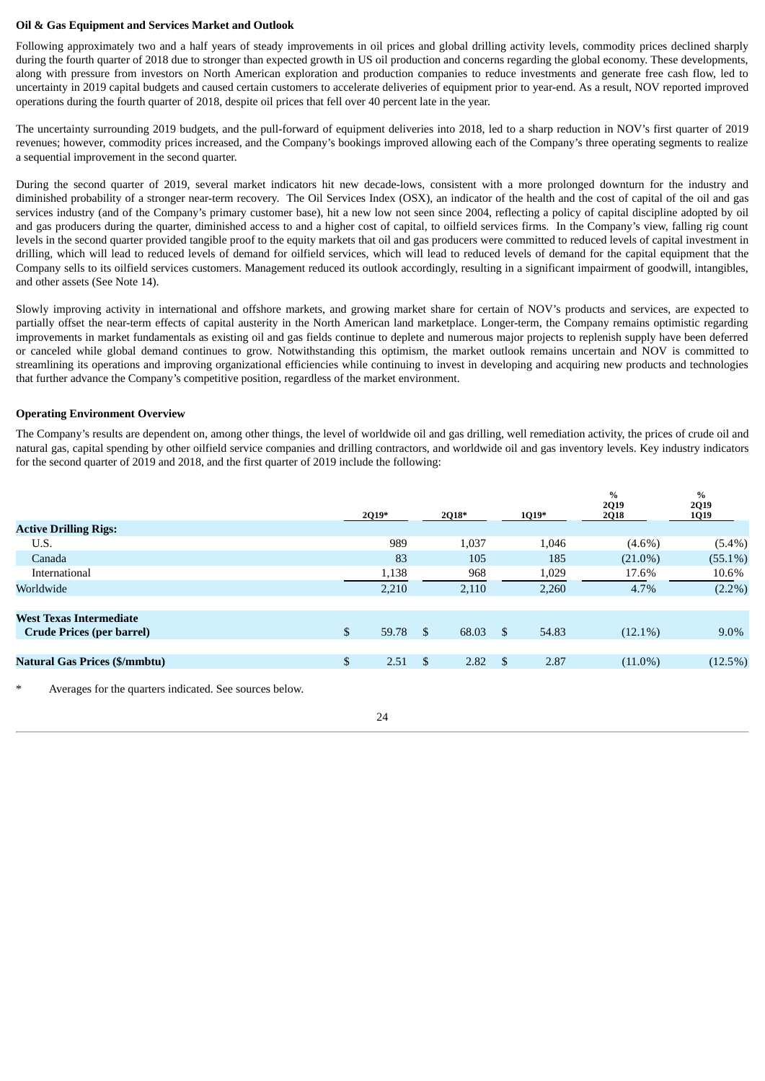#### **Oil & Gas Equipment and Services Market and Outlook**

Following approximately two and a half years of steady improvements in oil prices and global drilling activity levels, commodity prices declined sharply during the fourth quarter of 2018 due to stronger than expected growth in US oil production and concerns regarding the global economy. These developments, along with pressure from investors on North American exploration and production companies to reduce investments and generate free cash flow, led to uncertainty in 2019 capital budgets and caused certain customers to accelerate deliveries of equipment prior to year-end. As a result, NOV reported improved operations during the fourth quarter of 2018, despite oil prices that fell over 40 percent late in the year.

The uncertainty surrounding 2019 budgets, and the pull-forward of equipment deliveries into 2018, led to a sharp reduction in NOV's first quarter of 2019 revenues; however, commodity prices increased, and the Company's bookings improved allowing each of the Company's three operating segments to realize a sequential improvement in the second quarter.

During the second quarter of 2019, several market indicators hit new decade-lows, consistent with a more prolonged downturn for the industry and diminished probability of a stronger near-term recovery. The Oil Services Index (OSX), an indicator of the health and the cost of capital of the oil and gas services industry (and of the Company's primary customer base), hit a new low not seen since 2004, reflecting a policy of capital discipline adopted by oil and gas producers during the quarter, diminished access to and a higher cost of capital, to oilfield services firms. In the Company's view, falling rig count levels in the second quarter provided tangible proof to the equity markets that oil and gas producers were committed to reduced levels of capital investment in drilling, which will lead to reduced levels of demand for oilfield services, which will lead to reduced levels of demand for the capital equipment that the Company sells to its oilfield services customers. Management reduced its outlook accordingly, resulting in a significant impairment of goodwill, intangibles, and other assets (See Note 14).

Slowly improving activity in international and offshore markets, and growing market share for certain of NOV's products and services, are expected to partially offset the near-term effects of capital austerity in the North American land marketplace. Longer-term, the Company remains optimistic regarding improvements in market fundamentals as existing oil and gas fields continue to deplete and numerous major projects to replenish supply have been deferred or canceled while global demand continues to grow. Notwithstanding this optimism, the market outlook remains uncertain and NOV is committed to streamlining its operations and improving organizational efficiencies while continuing to invest in developing and acquiring new products and technologies that further advance the Company's competitive position, regardless of the market environment.

#### **Operating Environment Overview**

The Company's results are dependent on, among other things, the level of worldwide oil and gas drilling, well remediation activity, the prices of crude oil and natural gas, capital spending by other oilfield service companies and drilling contractors, and worldwide oil and gas inventory levels. Key industry indicators for the second quarter of 2019 and 2018, and the first quarter of 2019 include the following:

|                                      |                | 2Q19* | 2Q18* |             | 1Q19* | $\frac{0}{0}$<br><b>2Q19</b><br><b>2Q18</b> | $\%$<br>2Q19<br>1Q19 |
|--------------------------------------|----------------|-------|-------|-------------|-------|---------------------------------------------|----------------------|
| <b>Active Drilling Rigs:</b>         |                |       |       |             |       |                                             |                      |
| U.S.                                 |                | 989   |       | 1,037       | 1,046 | $(4.6\%)$                                   | $(5.4\%)$            |
| Canada                               |                | 83    |       | 105         | 185   | $(21.0\%)$                                  | $(55.1\%)$           |
| International                        |                | 1,138 |       | 968         | 1,029 | 17.6%                                       | 10.6%                |
| Worldwide                            |                | 2,210 |       | 2,110       | 2,260 | 4.7%                                        | $(2.2\%)$            |
|                                      |                |       |       |             |       |                                             |                      |
| <b>West Texas Intermediate</b>       |                |       |       |             |       |                                             |                      |
| <b>Crude Prices (per barrel)</b>     | $\mathfrak{S}$ | 59.78 | \$    | 68.03<br>\$ | 54.83 | $(12.1\%)$                                  | $9.0\%$              |
|                                      |                |       |       |             |       |                                             |                      |
| <b>Natural Gas Prices (\$/mmbtu)</b> | $\mathfrak{S}$ | 2.51  | \$.   | 2.82<br>\$. | 2.87  | $(11.0\%)$                                  | (12.5%)              |
|                                      |                |       |       |             |       |                                             |                      |

Averages for the quarters indicated. See sources below.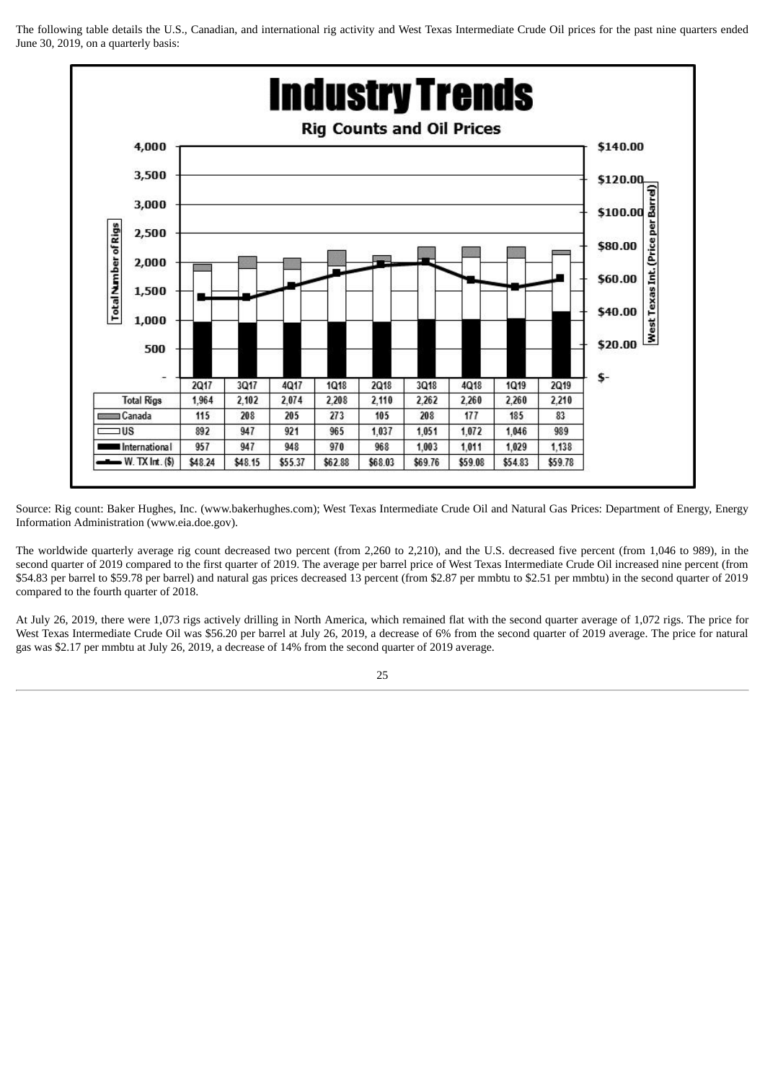The following table details the U.S., Canadian, and international rig activity and West Texas Intermediate Crude Oil prices for the past nine quarters ended June 30, 2019, on a quarterly basis:



Source: Rig count: Baker Hughes, Inc. (www.bakerhughes.com); West Texas Intermediate Crude Oil and Natural Gas Prices: Department of Energy, Energy Information Administration (www.eia.doe.gov).

The worldwide quarterly average rig count decreased two percent (from 2,260 to 2,210), and the U.S. decreased five percent (from 1,046 to 989), in the second quarter of 2019 compared to the first quarter of 2019. The average per barrel price of West Texas Intermediate Crude Oil increased nine percent (from \$54.83 per barrel to \$59.78 per barrel) and natural gas prices decreased 13 percent (from \$2.87 per mmbtu to \$2.51 per mmbtu) in the second quarter of 2019 compared to the fourth quarter of 2018.

At July 26, 2019, there were 1,073 rigs actively drilling in North America, which remained flat with the second quarter average of 1,072 rigs. The price for West Texas Intermediate Crude Oil was \$56.20 per barrel at July 26, 2019, a decrease of 6% from the second quarter of 2019 average. The price for natural gas was \$2.17 per mmbtu at July 26, 2019, a decrease of 14% from the second quarter of 2019 average.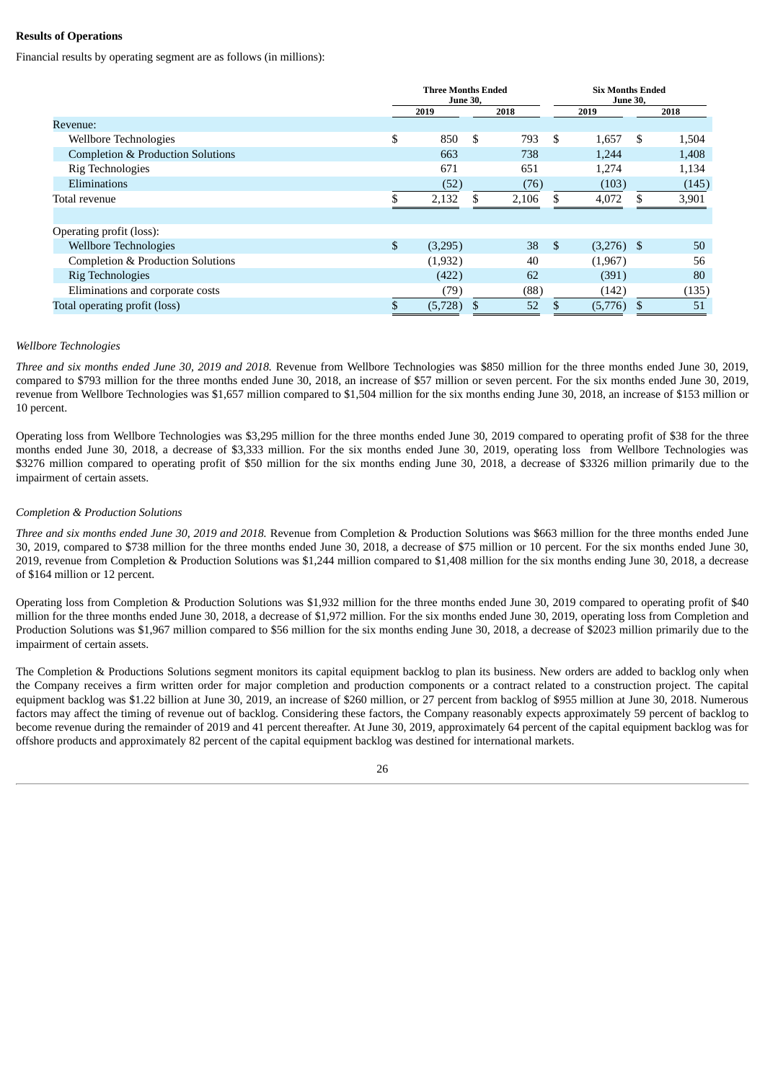#### **Results of Operations**

Financial results by operating segment are as follows (in millions):

|                                              | <b>Three Months Ended</b><br><b>June 30,</b> |         |     |       |            | <b>Six Months Ended</b><br><b>June 30,</b> |    |       |  |
|----------------------------------------------|----------------------------------------------|---------|-----|-------|------------|--------------------------------------------|----|-------|--|
|                                              |                                              | 2019    |     | 2018  | 2019       |                                            |    | 2018  |  |
| Revenue:                                     |                                              |         |     |       |            |                                            |    |       |  |
| Wellbore Technologies                        | \$                                           | 850     | \$. | 793   | \$.        | 1,657                                      | -S | 1,504 |  |
| <b>Completion &amp; Production Solutions</b> |                                              | 663     |     | 738   |            | 1,244                                      |    | 1,408 |  |
| Rig Technologies                             |                                              | 671     |     | 651   |            | 1,274                                      |    | 1,134 |  |
| Eliminations                                 |                                              | (52)    |     | (76)  |            | (103)                                      |    | (145) |  |
| Total revenue                                |                                              | 2,132   | \$  | 2,106 |            | 4,072                                      |    | 3,901 |  |
|                                              |                                              |         |     |       |            |                                            |    |       |  |
| Operating profit (loss):                     |                                              |         |     |       |            |                                            |    |       |  |
| <b>Wellbore Technologies</b>                 | \$                                           | (3,295) |     | 38    | $^{\circ}$ | $(3,276)$ \$                               |    | 50    |  |
| Completion & Production Solutions            |                                              | (1,932) |     | 40    |            | (1,967)                                    |    | 56    |  |
| <b>Rig Technologies</b>                      |                                              | (422)   |     | 62    |            | (391)                                      |    | 80    |  |
| Eliminations and corporate costs             |                                              | (79)    |     | (88)  |            | (142)                                      |    | (135) |  |
| Total operating profit (loss)                |                                              | (5,728) |     | 52    |            | (5,776)                                    |    | 51    |  |

#### *Wellbore Technologies*

*Three and six months ended June 30, 2019 and 2018.* Revenue from Wellbore Technologies was \$850 million for the three months ended June 30, 2019, compared to \$793 million for the three months ended June 30, 2018, an increase of \$57 million or seven percent. For the six months ended June 30, 2019, revenue from Wellbore Technologies was \$1,657 million compared to \$1,504 million for the six months ending June 30, 2018, an increase of \$153 million or 10 percent.

Operating loss from Wellbore Technologies was \$3,295 million for the three months ended June 30, 2019 compared to operating profit of \$38 for the three months ended June 30, 2018, a decrease of \$3,333 million. For the six months ended June 30, 2019, operating loss from Wellbore Technologies was \$3276 million compared to operating profit of \$50 million for the six months ending June 30, 2018, a decrease of \$3326 million primarily due to the impairment of certain assets.

#### *Completion & Production Solutions*

*Three and six months ended June 30, 2019 and 2018.* Revenue from Completion & Production Solutions was \$663 million for the three months ended June 30, 2019, compared to \$738 million for the three months ended June 30, 2018, a decrease of \$75 million or 10 percent. For the six months ended June 30, 2019, revenue from Completion & Production Solutions was \$1,244 million compared to \$1,408 million for the six months ending June 30, 2018, a decrease of \$164 million or 12 percent.

Operating loss from Completion & Production Solutions was \$1,932 million for the three months ended June 30, 2019 compared to operating profit of \$40 million for the three months ended June 30, 2018, a decrease of \$1,972 million. For the six months ended June 30, 2019, operating loss from Completion and Production Solutions was \$1,967 million compared to \$56 million for the six months ending June 30, 2018, a decrease of \$2023 million primarily due to the impairment of certain assets.

The Completion & Productions Solutions segment monitors its capital equipment backlog to plan its business. New orders are added to backlog only when the Company receives a firm written order for major completion and production components or a contract related to a construction project. The capital equipment backlog was \$1.22 billion at June 30, 2019, an increase of \$260 million, or 27 percent from backlog of \$955 million at June 30, 2018. Numerous factors may affect the timing of revenue out of backlog. Considering these factors, the Company reasonably expects approximately 59 percent of backlog to become revenue during the remainder of 2019 and 41 percent thereafter. At June 30, 2019, approximately 64 percent of the capital equipment backlog was for offshore products and approximately 82 percent of the capital equipment backlog was destined for international markets.

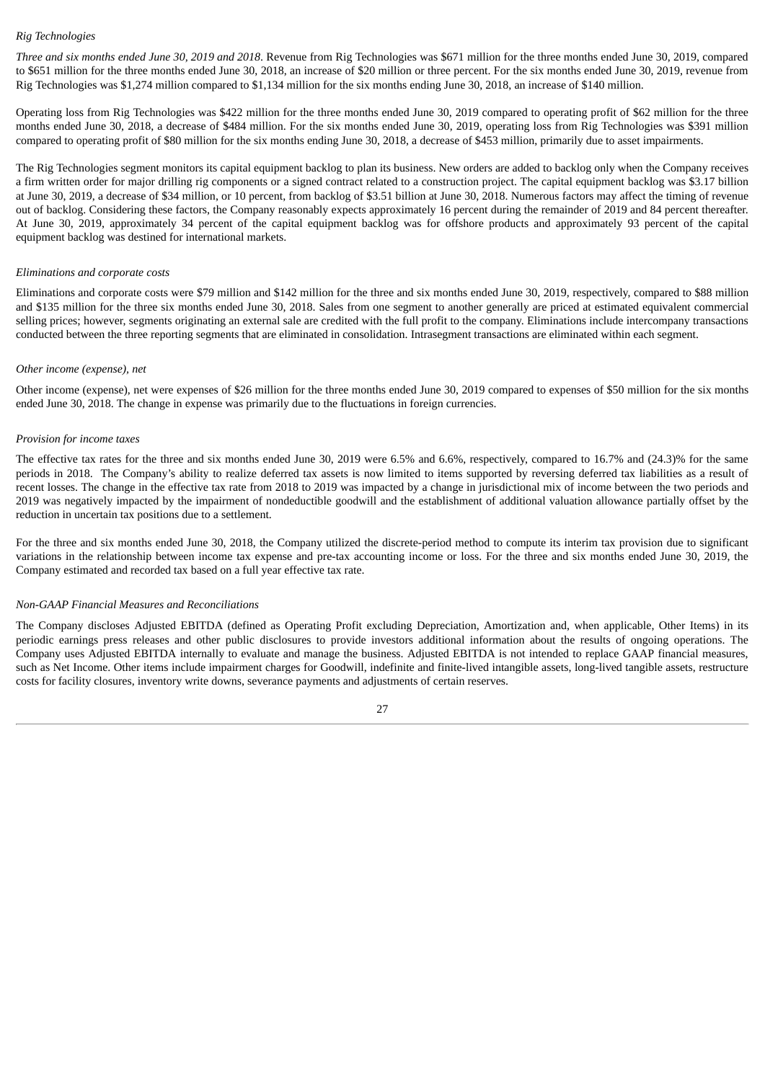#### *Rig Technologies*

*Three and six months ended June 30, 2019 and 2018*. Revenue from Rig Technologies was \$671 million for the three months ended June 30, 2019, compared to \$651 million for the three months ended June 30, 2018, an increase of \$20 million or three percent. For the six months ended June 30, 2019, revenue from Rig Technologies was \$1,274 million compared to \$1,134 million for the six months ending June 30, 2018, an increase of \$140 million.

Operating loss from Rig Technologies was \$422 million for the three months ended June 30, 2019 compared to operating profit of \$62 million for the three months ended June 30, 2018, a decrease of \$484 million. For the six months ended June 30, 2019, operating loss from Rig Technologies was \$391 million compared to operating profit of \$80 million for the six months ending June 30, 2018, a decrease of \$453 million, primarily due to asset impairments.

The Rig Technologies segment monitors its capital equipment backlog to plan its business. New orders are added to backlog only when the Company receives a firm written order for major drilling rig components or a signed contract related to a construction project. The capital equipment backlog was \$3.17 billion at June 30, 2019, a decrease of \$34 million, or 10 percent, from backlog of \$3.51 billion at June 30, 2018. Numerous factors may affect the timing of revenue out of backlog. Considering these factors, the Company reasonably expects approximately 16 percent during the remainder of 2019 and 84 percent thereafter. At June 30, 2019, approximately 34 percent of the capital equipment backlog was for offshore products and approximately 93 percent of the capital equipment backlog was destined for international markets.

#### *Eliminations and corporate costs*

Eliminations and corporate costs were \$79 million and \$142 million for the three and six months ended June 30, 2019, respectively, compared to \$88 million and \$135 million for the three six months ended June 30, 2018. Sales from one segment to another generally are priced at estimated equivalent commercial selling prices; however, segments originating an external sale are credited with the full profit to the company. Eliminations include intercompany transactions conducted between the three reporting segments that are eliminated in consolidation. Intrasegment transactions are eliminated within each segment.

#### *Other income (expense), net*

Other income (expense), net were expenses of \$26 million for the three months ended June 30, 2019 compared to expenses of \$50 million for the six months ended June 30, 2018. The change in expense was primarily due to the fluctuations in foreign currencies.

#### *Provision for income taxes*

The effective tax rates for the three and six months ended June 30, 2019 were 6.5% and 6.6%, respectively, compared to 16.7% and (24.3)% for the same periods in 2018. The Company's ability to realize deferred tax assets is now limited to items supported by reversing deferred tax liabilities as a result of recent losses. The change in the effective tax rate from 2018 to 2019 was impacted by a change in jurisdictional mix of income between the two periods and 2019 was negatively impacted by the impairment of nondeductible goodwill and the establishment of additional valuation allowance partially offset by the reduction in uncertain tax positions due to a settlement.

For the three and six months ended June 30, 2018, the Company utilized the discrete-period method to compute its interim tax provision due to significant variations in the relationship between income tax expense and pre-tax accounting income or loss. For the three and six months ended June 30, 2019, the Company estimated and recorded tax based on a full year effective tax rate.

#### *Non-GAAP Financial Measures and Reconciliations*

The Company discloses Adjusted EBITDA (defined as Operating Profit excluding Depreciation, Amortization and, when applicable, Other Items) in its periodic earnings press releases and other public disclosures to provide investors additional information about the results of ongoing operations. The Company uses Adjusted EBITDA internally to evaluate and manage the business. Adjusted EBITDA is not intended to replace GAAP financial measures, such as Net Income. Other items include impairment charges for Goodwill, indefinite and finite-lived intangible assets, long-lived tangible assets, restructure costs for facility closures, inventory write downs, severance payments and adjustments of certain reserves.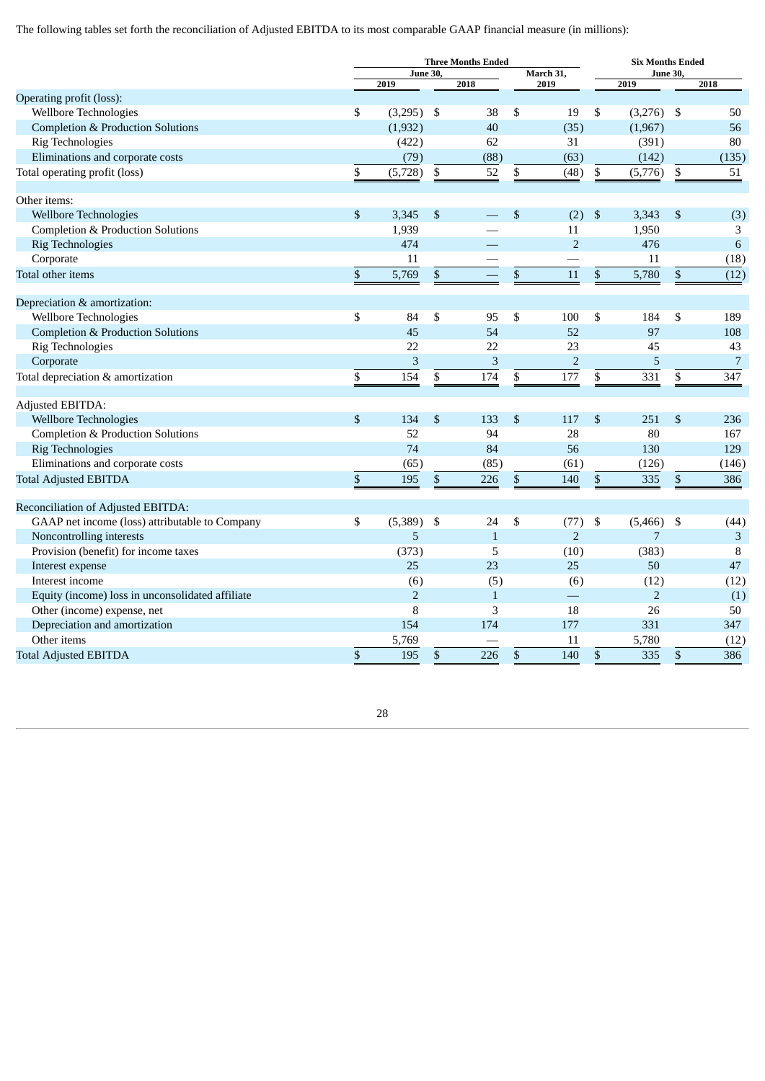The following tables set forth the reconciliation of Adjusted EBITDA to its most comparable GAAP financial measure (in millions):

|                                                                  |              | <b>Three Months Ended</b> |                |                    |    |                |                | <b>Six Months Ended</b> |                           |                |
|------------------------------------------------------------------|--------------|---------------------------|----------------|--------------------|----|----------------|----------------|-------------------------|---------------------------|----------------|
|                                                                  |              | <b>June 30,</b>           |                |                    |    | March 31,      |                | <b>June 30,</b>         |                           |                |
| Operating profit (loss):                                         |              | 2019                      |                | 2018               |    | 2019           |                | 2019                    |                           | 2018           |
| Wellbore Technologies                                            | \$           | (3,295)                   | \$             | 38                 | \$ | 19             | \$             | $(3,276)$ \$            |                           | 50             |
| <b>Completion &amp; Production Solutions</b>                     |              | (1,932)                   |                | 40                 |    | (35)           |                | (1,967)                 |                           | 56             |
| <b>Rig Technologies</b>                                          |              | (422)                     |                | 62                 |    | 31             |                | (391)                   |                           | 80             |
| Eliminations and corporate costs                                 |              | (79)                      |                | (88)               |    | (63)           |                | (142)                   |                           | (135)          |
| Total operating profit (loss)                                    | \$           | (5,728)                   | ${\mathbb S}$  | 52                 | \$ | (48)           | ${\mathbb S}$  | (5,776)                 | \$                        | 51             |
|                                                                  |              |                           |                |                    |    |                |                |                         |                           |                |
| Other items:                                                     |              |                           |                |                    |    |                |                |                         |                           |                |
| <b>Wellbore Technologies</b>                                     | \$           | 3,345                     | $\mathfrak{s}$ |                    | \$ | (2)            | $\mathfrak{s}$ | 3,343                   | \$                        | (3)            |
| Completion & Production Solutions                                |              | 1,939                     |                |                    |    | 11             |                | 1,950                   |                           | 3              |
| <b>Rig Technologies</b>                                          |              | 474                       |                |                    |    | $\overline{2}$ |                | 476                     |                           | 6              |
| Corporate                                                        |              | 11                        |                |                    |    |                |                | 11                      |                           | (18)           |
| Total other items                                                | \$           | 5,769                     | \$             |                    | \$ | 11             | \$             | 5,780                   | \$                        | (12)           |
| Depreciation & amortization:                                     |              |                           |                |                    |    |                |                |                         |                           |                |
| Wellbore Technologies                                            | \$           | 84                        | \$             | 95                 | \$ | 100            | \$             | 184                     | \$                        | 189            |
| <b>Completion &amp; Production Solutions</b>                     |              | 45                        |                | 54                 |    | 52             |                | 97                      |                           | 108            |
| <b>Rig Technologies</b>                                          |              | 22                        |                | 22                 |    | 23             |                | 45                      |                           | 43             |
| Corporate                                                        |              | 3                         |                | 3                  |    | $\overline{2}$ |                | 5                       |                           | $\overline{7}$ |
| Total depreciation & amortization                                | \$           | 154                       | \$             | 174                | \$ | 177            | \$             | 331                     | \$                        | 347            |
|                                                                  |              |                           |                |                    |    |                |                |                         |                           |                |
| Adjusted EBITDA:                                                 |              |                           |                |                    |    |                |                |                         |                           |                |
| <b>Wellbore Technologies</b>                                     | $\mathbb{S}$ | 134                       | \$             | 133                | \$ | 117            | \$             | 251                     | $\mathbb{S}$              | 236            |
| Completion & Production Solutions                                |              | 52                        |                | 94                 |    | 28             |                | 80                      |                           | 167            |
| <b>Rig Technologies</b>                                          |              | 74                        |                | 84                 |    | 56             |                | 130                     |                           | 129            |
| Eliminations and corporate costs                                 |              | (65)                      |                | (85)               |    | (61)           |                | (126)                   |                           | (146)          |
| <b>Total Adjusted EBITDA</b>                                     | \$           | 195                       | \$             | 226                | \$ | 140            | \$             | 335                     | $\$$                      | 386            |
|                                                                  |              |                           |                |                    |    |                |                |                         |                           |                |
| Reconciliation of Adjusted EBITDA:                               |              |                           |                |                    |    |                |                |                         |                           |                |
| GAAP net income (loss) attributable to Company                   | \$           | (5,389)<br>5              | \$             | 24<br>$\mathbf{1}$ | \$ | (77)<br>2      | \$             | (5,466)<br>7            | - \$                      | (44)<br>3      |
| Noncontrolling interests<br>Provision (benefit) for income taxes |              | (373)                     |                | 5                  |    | (10)           |                | (383)                   |                           | 8              |
| Interest expense                                                 |              | 25                        |                | 23                 |    | 25             |                | 50                      |                           | 47             |
| Interest income                                                  |              | (6)                       |                | (5)                |    | (6)            |                | (12)                    |                           | (12)           |
| Equity (income) loss in unconsolidated affiliate                 |              | $\overline{2}$            |                | $\mathbf{1}$       |    | $\equiv$       |                | $\overline{2}$          |                           | (1)            |
| Other (income) expense, net                                      |              | 8                         |                | 3                  |    | 18             |                | 26                      |                           | 50             |
| Depreciation and amortization                                    |              | 154                       |                | 174                |    | 177            |                | 331                     |                           | 347            |
| Other items                                                      |              | 5,769                     |                |                    |    | 11             |                | 5,780                   |                           | (12)           |
| <b>Total Adjusted EBITDA</b>                                     | \$           | 195                       | \$             | 226                | \$ | 140            | \$             | 335                     | $\boldsymbol{\mathsf{S}}$ | 386            |
|                                                                  |              |                           |                |                    |    |                |                |                         |                           |                |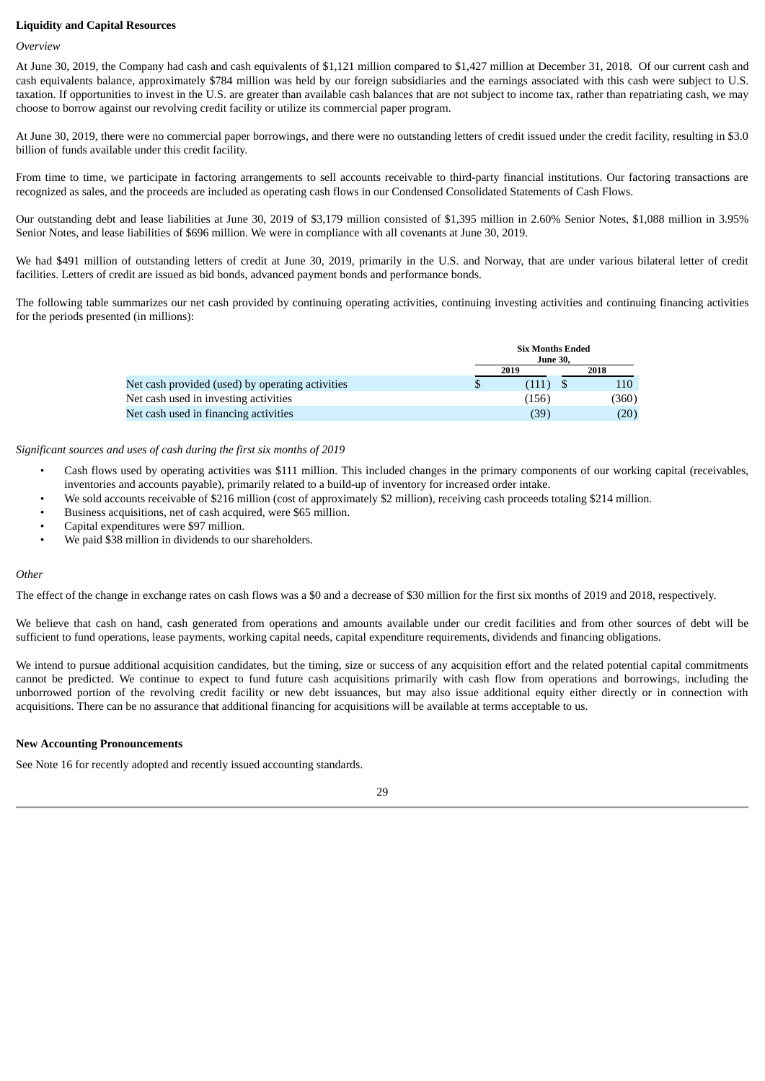#### **Liquidity and Capital Resources**

#### *Overview*

At June 30, 2019, the Company had cash and cash equivalents of \$1,121 million compared to \$1,427 million at December 31, 2018. Of our current cash and cash equivalents balance, approximately \$784 million was held by our foreign subsidiaries and the earnings associated with this cash were subject to U.S. taxation. If opportunities to invest in the U.S. are greater than available cash balances that are not subject to income tax, rather than repatriating cash, we may choose to borrow against our revolving credit facility or utilize its commercial paper program.

At June 30, 2019, there were no commercial paper borrowings, and there were no outstanding letters of credit issued under the credit facility, resulting in \$3.0 billion of funds available under this credit facility.

From time to time, we participate in factoring arrangements to sell accounts receivable to third-party financial institutions. Our factoring transactions are recognized as sales, and the proceeds are included as operating cash flows in our Condensed Consolidated Statements of Cash Flows.

Our outstanding debt and lease liabilities at June 30, 2019 of \$3,179 million consisted of \$1,395 million in 2.60% Senior Notes, \$1,088 million in 3.95% Senior Notes, and lease liabilities of \$696 million. We were in compliance with all covenants at June 30, 2019.

We had \$491 million of outstanding letters of credit at June 30, 2019, primarily in the U.S. and Norway, that are under various bilateral letter of credit facilities. Letters of credit are issued as bid bonds, advanced payment bonds and performance bonds.

The following table summarizes our net cash provided by continuing operating activities, continuing investing activities and continuing financing activities for the periods presented (in millions):

|                                                  | <b>Six Months Ended</b><br>June 30. |     |       |
|--------------------------------------------------|-------------------------------------|-----|-------|
|                                                  | 2019                                |     | 2018  |
| Net cash provided (used) by operating activities | (111)                               | - S | 110   |
| Net cash used in investing activities            | (156)                               |     | (360) |
| Net cash used in financing activities            | (39`                                |     | (20)  |

*Significant sources and uses of cash during the first six months of 2019*

- Cash flows used by operating activities was \$111 million. This included changes in the primary components of our working capital (receivables, inventories and accounts payable), primarily related to a build-up of inventory for increased order intake.
- We sold accounts receivable of \$216 million (cost of approximately \$2 million), receiving cash proceeds totaling \$214 million.
- Business acquisitions, net of cash acquired, were \$65 million.
- Capital expenditures were \$97 million.
- We paid \$38 million in dividends to our shareholders.

#### *Other*

The effect of the change in exchange rates on cash flows was a \$0 and a decrease of \$30 million for the first six months of 2019 and 2018, respectively.

We believe that cash on hand, cash generated from operations and amounts available under our credit facilities and from other sources of debt will be sufficient to fund operations, lease payments, working capital needs, capital expenditure requirements, dividends and financing obligations.

We intend to pursue additional acquisition candidates, but the timing, size or success of any acquisition effort and the related potential capital commitments cannot be predicted. We continue to expect to fund future cash acquisitions primarily with cash flow from operations and borrowings, including the unborrowed portion of the revolving credit facility or new debt issuances, but may also issue additional equity either directly or in connection with acquisitions. There can be no assurance that additional financing for acquisitions will be available at terms acceptable to us.

#### **New Accounting Pronouncements**

See Note 16 for recently adopted and recently issued accounting standards.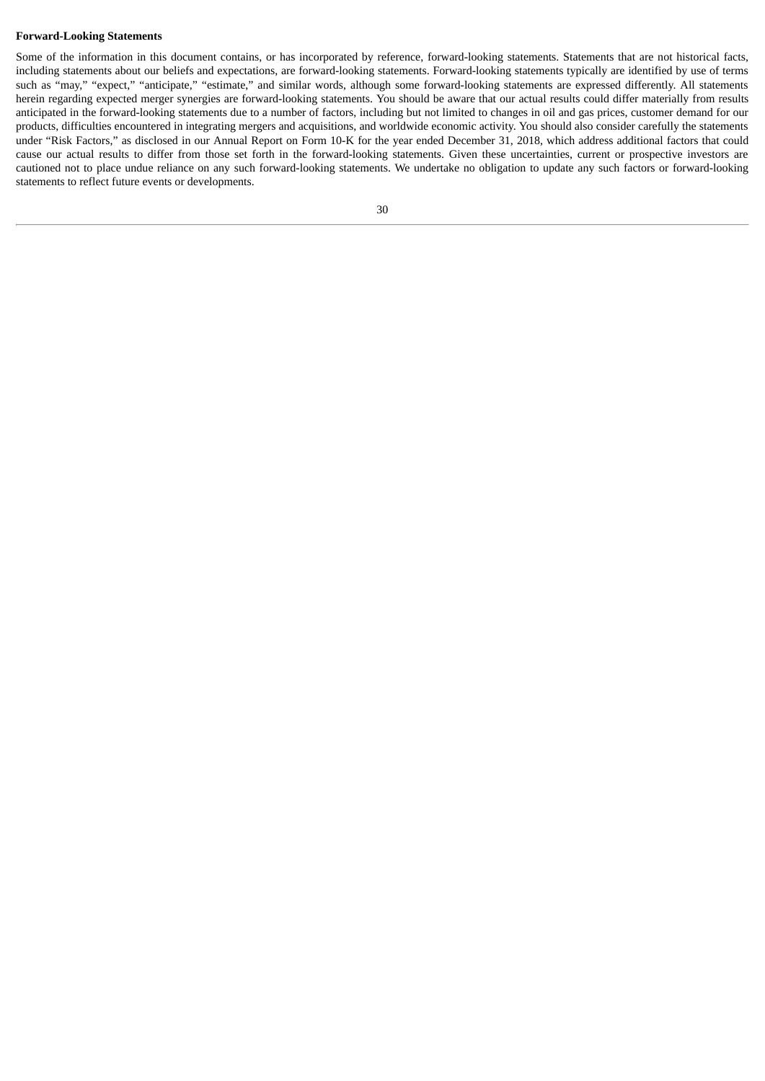#### **Forward-Looking Statements**

Some of the information in this document contains, or has incorporated by reference, forward-looking statements. Statements that are not historical facts, including statements about our beliefs and expectations, are forward-looking statements. Forward-looking statements typically are identified by use of terms such as "may," "expect," "anticipate," "estimate," and similar words, although some forward-looking statements are expressed differently. All statements herein regarding expected merger synergies are forward-looking statements. You should be aware that our actual results could differ materially from results anticipated in the forward-looking statements due to a number of factors, including but not limited to changes in oil and gas prices, customer demand for our products, difficulties encountered in integrating mergers and acquisitions, and worldwide economic activity. You should also consider carefully the statements under "Risk Factors," as disclosed in our Annual Report on Form 10-K for the year ended December 31, 2018, which address additional factors that could cause our actual results to differ from those set forth in the forward-looking statements. Given these uncertainties, current or prospective investors are cautioned not to place undue reliance on any such forward-looking statements. We undertake no obligation to update any such factors or forward-looking statements to reflect future events or developments.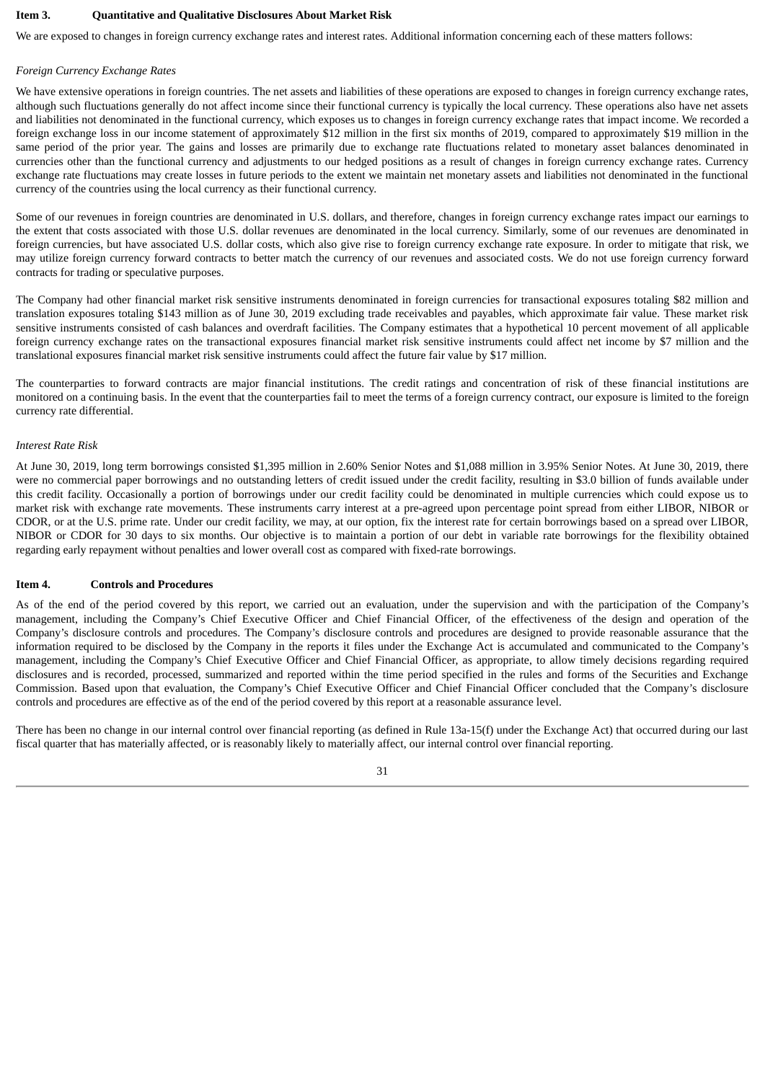#### **Item 3. Quantitative and Qualitative Disclosures About Market Risk**

We are exposed to changes in foreign currency exchange rates and interest rates. Additional information concerning each of these matters follows:

#### *Foreign Currency Exchange Rates*

We have extensive operations in foreign countries. The net assets and liabilities of these operations are exposed to changes in foreign currency exchange rates, although such fluctuations generally do not affect income since their functional currency is typically the local currency. These operations also have net assets and liabilities not denominated in the functional currency, which exposes us to changes in foreign currency exchange rates that impact income. We recorded a foreign exchange loss in our income statement of approximately \$12 million in the first six months of 2019, compared to approximately \$19 million in the same period of the prior year. The gains and losses are primarily due to exchange rate fluctuations related to monetary asset balances denominated in currencies other than the functional currency and adjustments to our hedged positions as a result of changes in foreign currency exchange rates. Currency exchange rate fluctuations may create losses in future periods to the extent we maintain net monetary assets and liabilities not denominated in the functional currency of the countries using the local currency as their functional currency.

Some of our revenues in foreign countries are denominated in U.S. dollars, and therefore, changes in foreign currency exchange rates impact our earnings to the extent that costs associated with those U.S. dollar revenues are denominated in the local currency. Similarly, some of our revenues are denominated in foreign currencies, but have associated U.S. dollar costs, which also give rise to foreign currency exchange rate exposure. In order to mitigate that risk, we may utilize foreign currency forward contracts to better match the currency of our revenues and associated costs. We do not use foreign currency forward contracts for trading or speculative purposes.

The Company had other financial market risk sensitive instruments denominated in foreign currencies for transactional exposures totaling \$82 million and translation exposures totaling \$143 million as of June 30, 2019 excluding trade receivables and payables, which approximate fair value. These market risk sensitive instruments consisted of cash balances and overdraft facilities. The Company estimates that a hypothetical 10 percent movement of all applicable foreign currency exchange rates on the transactional exposures financial market risk sensitive instruments could affect net income by \$7 million and the translational exposures financial market risk sensitive instruments could affect the future fair value by \$17 million.

The counterparties to forward contracts are major financial institutions. The credit ratings and concentration of risk of these financial institutions are monitored on a continuing basis. In the event that the counterparties fail to meet the terms of a foreign currency contract, our exposure is limited to the foreign currency rate differential.

#### *Interest Rate Risk*

At June 30, 2019, long term borrowings consisted \$1,395 million in 2.60% Senior Notes and \$1,088 million in 3.95% Senior Notes. At June 30, 2019, there were no commercial paper borrowings and no outstanding letters of credit issued under the credit facility, resulting in \$3.0 billion of funds available under this credit facility. Occasionally a portion of borrowings under our credit facility could be denominated in multiple currencies which could expose us to market risk with exchange rate movements. These instruments carry interest at a pre-agreed upon percentage point spread from either LIBOR, NIBOR or CDOR, or at the U.S. prime rate. Under our credit facility, we may, at our option, fix the interest rate for certain borrowings based on a spread over LIBOR, NIBOR or CDOR for 30 days to six months. Our objective is to maintain a portion of our debt in variable rate borrowings for the flexibility obtained regarding early repayment without penalties and lower overall cost as compared with fixed-rate borrowings.

#### **Item 4. Controls and Procedures**

As of the end of the period covered by this report, we carried out an evaluation, under the supervision and with the participation of the Company's management, including the Company's Chief Executive Officer and Chief Financial Officer, of the effectiveness of the design and operation of the Company's disclosure controls and procedures. The Company's disclosure controls and procedures are designed to provide reasonable assurance that the information required to be disclosed by the Company in the reports it files under the Exchange Act is accumulated and communicated to the Company's management, including the Company's Chief Executive Officer and Chief Financial Officer, as appropriate, to allow timely decisions regarding required disclosures and is recorded, processed, summarized and reported within the time period specified in the rules and forms of the Securities and Exchange Commission. Based upon that evaluation, the Company's Chief Executive Officer and Chief Financial Officer concluded that the Company's disclosure controls and procedures are effective as of the end of the period covered by this report at a reasonable assurance level.

There has been no change in our internal control over financial reporting (as defined in Rule 13a-15(f) under the Exchange Act) that occurred during our last fiscal quarter that has materially affected, or is reasonably likely to materially affect, our internal control over financial reporting.

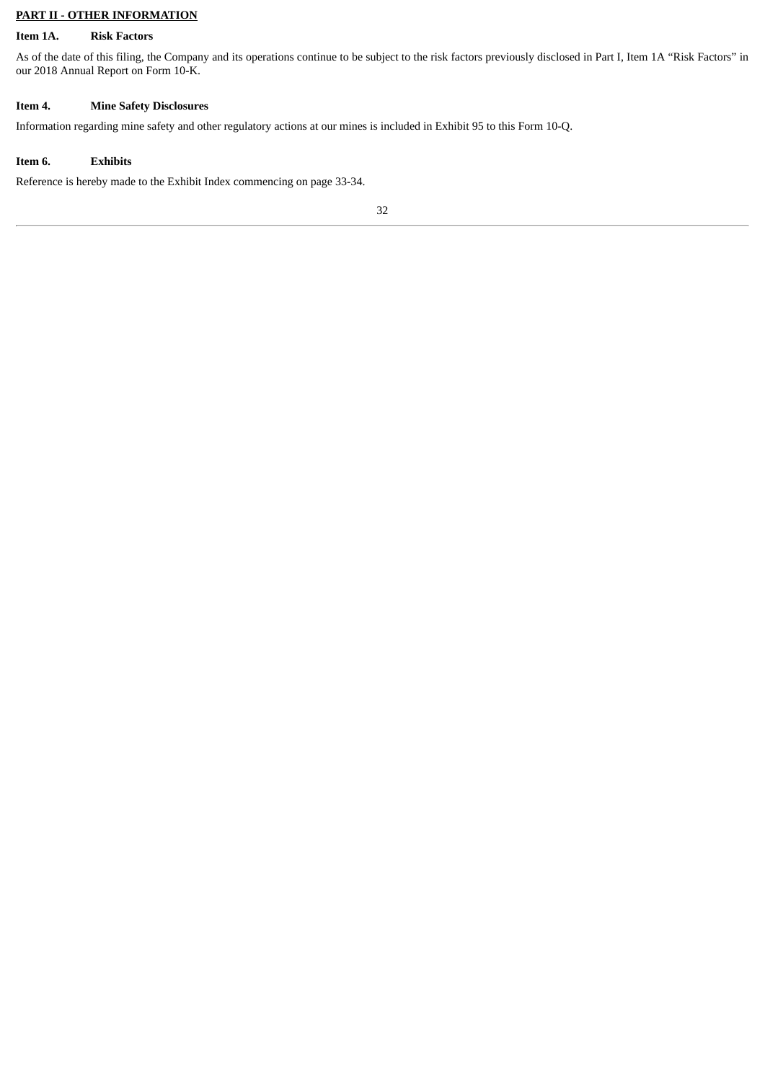## **PART II - OTHER INFORMATION**

## **Item 1A. Risk Factors**

As of the date of this filing, the Company and its operations continue to be subject to the risk factors previously disclosed in Part I, Item 1A "Risk Factors" in our 2018 Annual Report on Form 10-K.

## **Item 4. Mine Safety Disclosures**

Information regarding mine safety and other regulatory actions at our mines is included in Exhibit 95 to this Form 10-Q.

## **Item 6. Exhibits**

Reference is hereby made to the Exhibit Index commencing on page 33-34.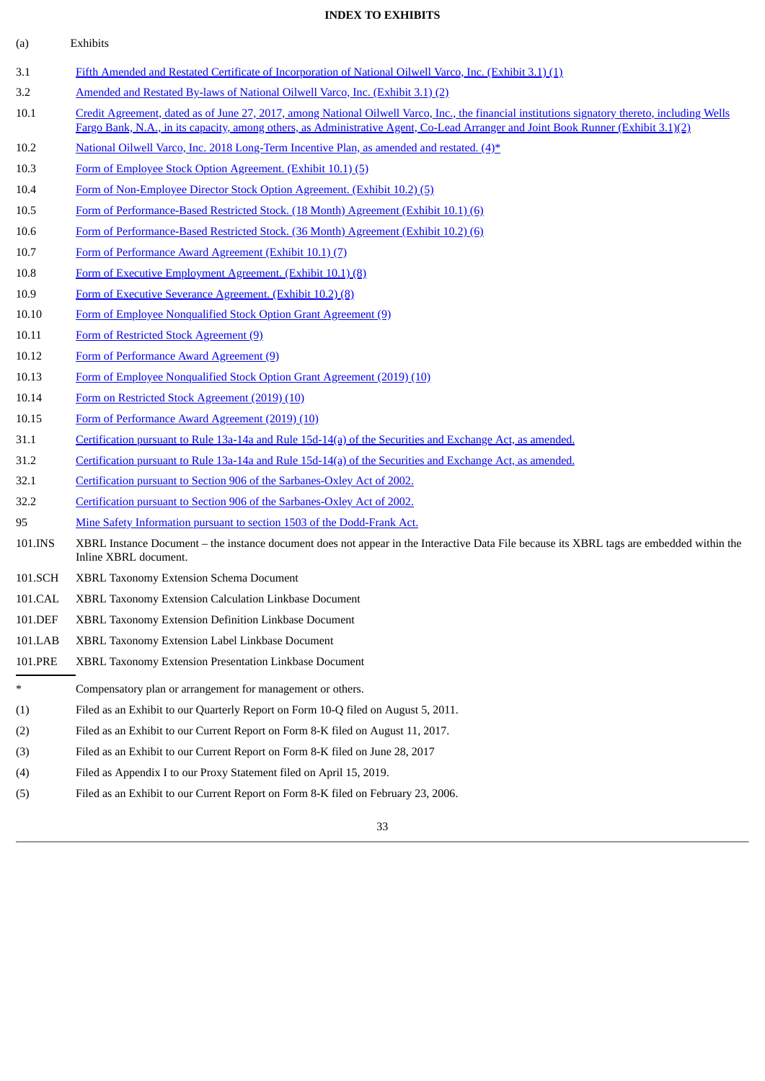## **INDEX TO EXHIBITS**

| (a)     | Exhibits                                                                                                                                                                                                                                                                            |
|---------|-------------------------------------------------------------------------------------------------------------------------------------------------------------------------------------------------------------------------------------------------------------------------------------|
| 3.1     | Fifth Amended and Restated Certificate of Incorporation of National Oilwell Varco, Inc. (Exhibit 3.1) (1)                                                                                                                                                                           |
| 3.2     | Amended and Restated By-laws of National Oilwell Varco, Inc. (Exhibit 3.1) (2)                                                                                                                                                                                                      |
| 10.1    | Credit Agreement, dated as of June 27, 2017, among National Oilwell Varco, Inc., the financial institutions signatory thereto, including Wells<br>Fargo Bank, N.A., in its capacity, among others, as Administrative Agent, Co-Lead Arranger and Joint Book Runner (Exhibit 3.1)(2) |
| 10.2    | National Oilwell Varco, Inc. 2018 Long-Term Incentive Plan, as amended and restated. (4)*                                                                                                                                                                                           |
| 10.3    | Form of Employee Stock Option Agreement. (Exhibit 10.1) (5)                                                                                                                                                                                                                         |
| 10.4    | Form of Non-Employee Director Stock Option Agreement. (Exhibit 10.2) (5)                                                                                                                                                                                                            |
| 10.5    | Form of Performance-Based Restricted Stock. (18 Month) Agreement (Exhibit 10.1) (6)                                                                                                                                                                                                 |
| 10.6    | Form of Performance-Based Restricted Stock. (36 Month) Agreement (Exhibit 10.2) (6)                                                                                                                                                                                                 |
| 10.7    | Form of Performance Award Agreement (Exhibit 10.1) (7)                                                                                                                                                                                                                              |
| 10.8    | Form of Executive Employment Agreement. (Exhibit 10.1) (8)                                                                                                                                                                                                                          |
| 10.9    | Form of Executive Severance Agreement. (Exhibit 10.2) (8)                                                                                                                                                                                                                           |
| 10.10   | Form of Employee Nonqualified Stock Option Grant Agreement (9)                                                                                                                                                                                                                      |
| 10.11   | Form of Restricted Stock Agreement (9)                                                                                                                                                                                                                                              |
| 10.12   | Form of Performance Award Agreement (9)                                                                                                                                                                                                                                             |
| 10.13   | Form of Employee Nonqualified Stock Option Grant Agreement (2019) (10)                                                                                                                                                                                                              |
| 10.14   | Form on Restricted Stock Agreement (2019) (10)                                                                                                                                                                                                                                      |
| 10.15   | Form of Performance Award Agreement (2019) (10)                                                                                                                                                                                                                                     |
| 31.1    | Certification pursuant to Rule 13a-14a and Rule 15d-14(a) of the Securities and Exchange Act, as amended.                                                                                                                                                                           |
| 31.2    | Certification pursuant to Rule 13a-14a and Rule 15d-14(a) of the Securities and Exchange Act, as amended.                                                                                                                                                                           |
| 32.1    | Certification pursuant to Section 906 of the Sarbanes-Oxley Act of 2002.                                                                                                                                                                                                            |
| 32.2    | Certification pursuant to Section 906 of the Sarbanes-Oxley Act of 2002.                                                                                                                                                                                                            |
| 95      | Mine Safety Information pursuant to section 1503 of the Dodd-Frank Act.                                                                                                                                                                                                             |
| 101.INS | XBRL Instance Document - the instance document does not appear in the Interactive Data File because its XBRL tags are embedded within the<br>Inline XBRL document.                                                                                                                  |
| 101.SCH | XBRL Taxonomy Extension Schema Document                                                                                                                                                                                                                                             |
| 101.CAL | XBRL Taxonomy Extension Calculation Linkbase Document                                                                                                                                                                                                                               |
| 101.DEF | XBRL Taxonomy Extension Definition Linkbase Document                                                                                                                                                                                                                                |
| 101.LAB | XBRL Taxonomy Extension Label Linkbase Document                                                                                                                                                                                                                                     |
| 101.PRE | XBRL Taxonomy Extension Presentation Linkbase Document                                                                                                                                                                                                                              |
| *       | Compensatory plan or arrangement for management or others.                                                                                                                                                                                                                          |
| (1)     | Filed as an Exhibit to our Quarterly Report on Form 10-Q filed on August 5, 2011.                                                                                                                                                                                                   |
| (2)     | Filed as an Exhibit to our Current Report on Form 8-K filed on August 11, 2017.                                                                                                                                                                                                     |
| (3)     | Filed as an Exhibit to our Current Report on Form 8-K filed on June 28, 2017                                                                                                                                                                                                        |
| (4)     | Filed as Appendix I to our Proxy Statement filed on April 15, 2019.                                                                                                                                                                                                                 |
| (5)     | Filed as an Exhibit to our Current Report on Form 8-K filed on February 23, 2006.                                                                                                                                                                                                   |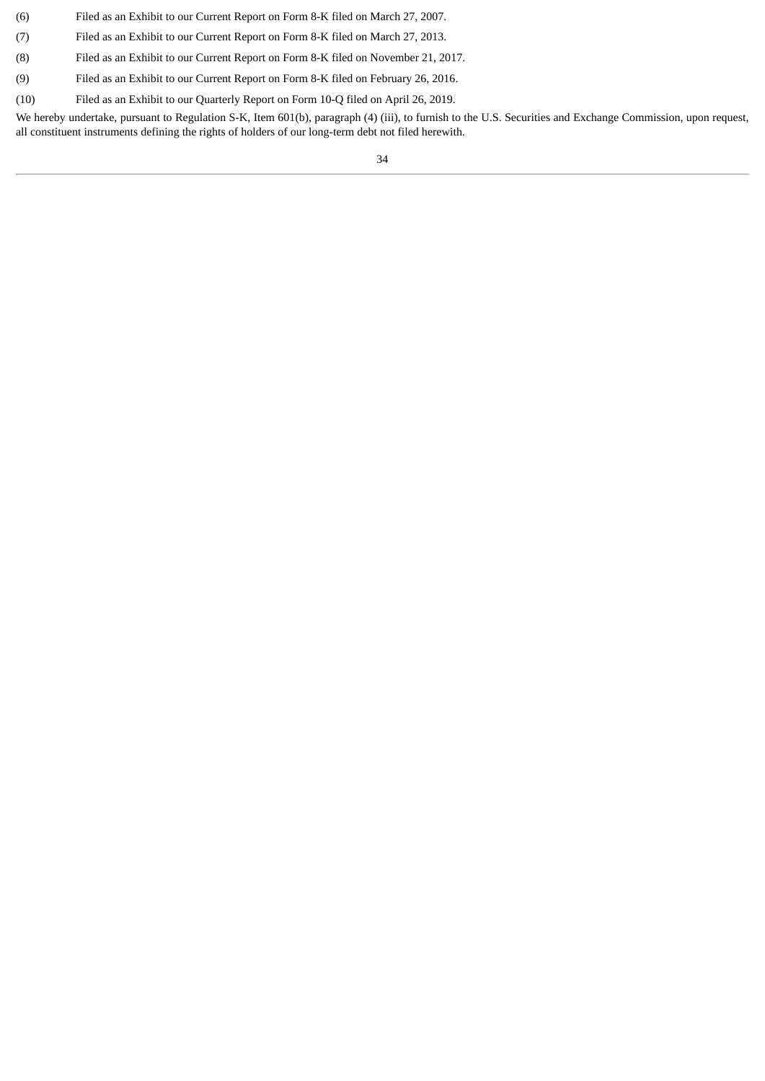- (6) Filed as an Exhibit to our Current Report on Form 8-K filed on March 27, 2007.
- (7) Filed as an Exhibit to our Current Report on Form 8-K filed on March 27, 2013.
- (8) Filed as an Exhibit to our Current Report on Form 8-K filed on November 21, 2017.
- (9) Filed as an Exhibit to our Current Report on Form 8-K filed on February 26, 2016.
- (10) Filed as an Exhibit to our Quarterly Report on Form 10-Q filed on April 26, 2019.

We hereby undertake, pursuant to Regulation S-K, Item 601(b), paragraph (4) (iii), to furnish to the U.S. Securities and Exchange Commission, upon request, all constituent instruments defining the rights of holders of our long-term debt not filed herewith.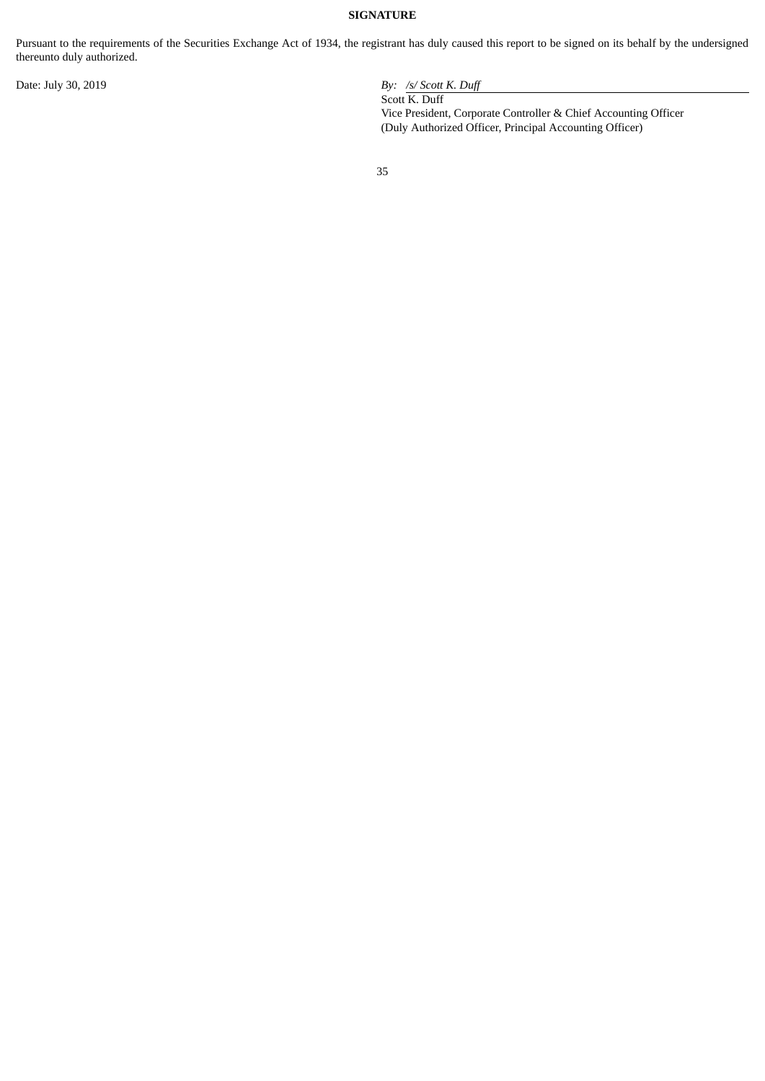## **SIGNATURE**

Pursuant to the requirements of the Securities Exchange Act of 1934, the registrant has duly caused this report to be signed on its behalf by the undersigned thereunto duly authorized.

Date: July 30, 2019 *By: /s/ Scott K. Duff*

Scott K. Duff Vice President, Corporate Controller & Chief Accounting Officer (Duly Authorized Officer, Principal Accounting Officer)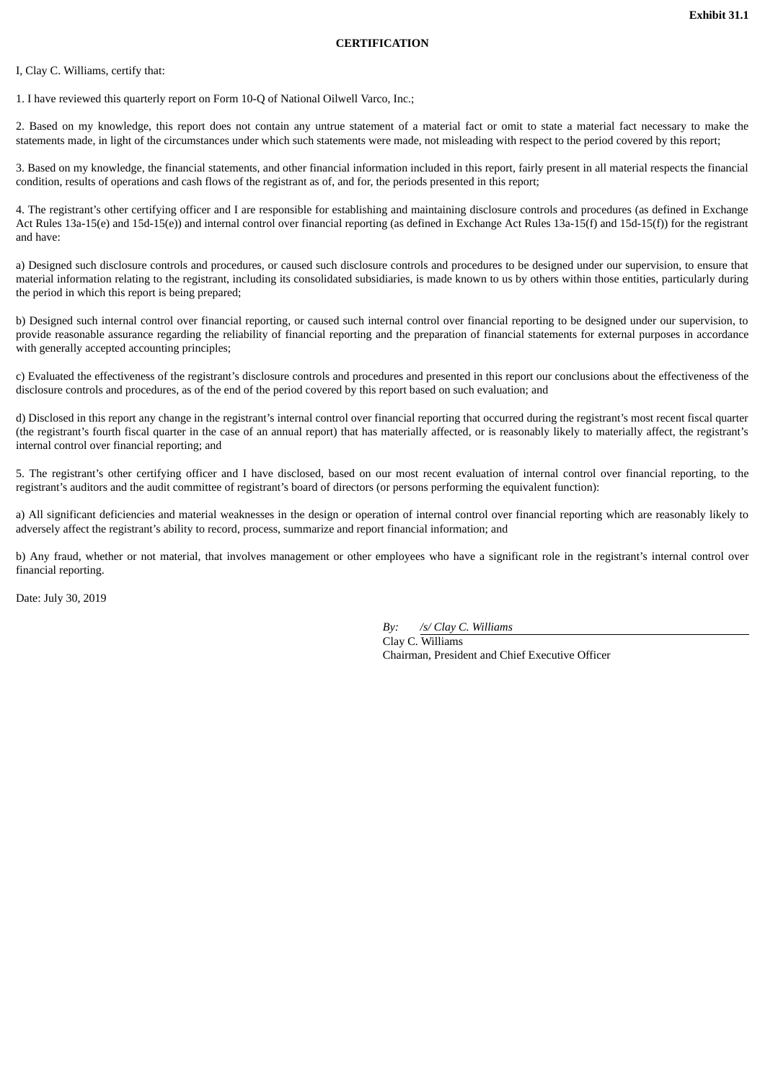## **CERTIFICATION**

<span id="page-35-0"></span>I, Clay C. Williams, certify that:

1. I have reviewed this quarterly report on Form 10-Q of National Oilwell Varco, Inc.;

2. Based on my knowledge, this report does not contain any untrue statement of a material fact or omit to state a material fact necessary to make the statements made, in light of the circumstances under which such statements were made, not misleading with respect to the period covered by this report;

3. Based on my knowledge, the financial statements, and other financial information included in this report, fairly present in all material respects the financial condition, results of operations and cash flows of the registrant as of, and for, the periods presented in this report;

4. The registrant's other certifying officer and I are responsible for establishing and maintaining disclosure controls and procedures (as defined in Exchange Act Rules 13a-15(e) and 15d-15(e)) and internal control over financial reporting (as defined in Exchange Act Rules 13a-15(f) and 15d-15(f)) for the registrant and have:

a) Designed such disclosure controls and procedures, or caused such disclosure controls and procedures to be designed under our supervision, to ensure that material information relating to the registrant, including its consolidated subsidiaries, is made known to us by others within those entities, particularly during the period in which this report is being prepared;

b) Designed such internal control over financial reporting, or caused such internal control over financial reporting to be designed under our supervision, to provide reasonable assurance regarding the reliability of financial reporting and the preparation of financial statements for external purposes in accordance with generally accepted accounting principles;

c) Evaluated the effectiveness of the registrant's disclosure controls and procedures and presented in this report our conclusions about the effectiveness of the disclosure controls and procedures, as of the end of the period covered by this report based on such evaluation; and

d) Disclosed in this report any change in the registrant's internal control over financial reporting that occurred during the registrant's most recent fiscal quarter (the registrant's fourth fiscal quarter in the case of an annual report) that has materially affected, or is reasonably likely to materially affect, the registrant's internal control over financial reporting; and

5. The registrant's other certifying officer and I have disclosed, based on our most recent evaluation of internal control over financial reporting, to the registrant's auditors and the audit committee of registrant's board of directors (or persons performing the equivalent function):

a) All significant deficiencies and material weaknesses in the design or operation of internal control over financial reporting which are reasonably likely to adversely affect the registrant's ability to record, process, summarize and report financial information; and

b) Any fraud, whether or not material, that involves management or other employees who have a significant role in the registrant's internal control over financial reporting.

Date: July 30, 2019

*By: /s/ Clay C. Williams* Clay C. Williams Chairman, President and Chief Executive Officer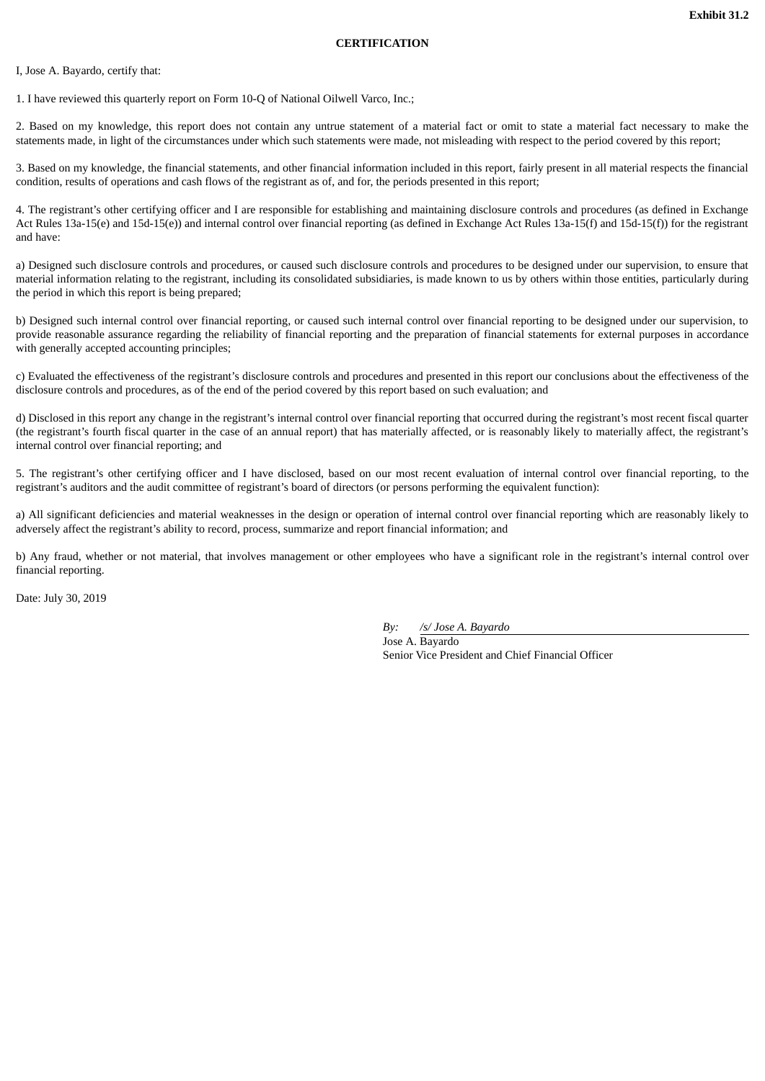## **CERTIFICATION**

<span id="page-36-0"></span>I, Jose A. Bayardo, certify that:

1. I have reviewed this quarterly report on Form 10-Q of National Oilwell Varco, Inc.;

2. Based on my knowledge, this report does not contain any untrue statement of a material fact or omit to state a material fact necessary to make the statements made, in light of the circumstances under which such statements were made, not misleading with respect to the period covered by this report;

3. Based on my knowledge, the financial statements, and other financial information included in this report, fairly present in all material respects the financial condition, results of operations and cash flows of the registrant as of, and for, the periods presented in this report;

4. The registrant's other certifying officer and I are responsible for establishing and maintaining disclosure controls and procedures (as defined in Exchange Act Rules 13a-15(e) and 15d-15(e)) and internal control over financial reporting (as defined in Exchange Act Rules 13a-15(f) and 15d-15(f)) for the registrant and have:

a) Designed such disclosure controls and procedures, or caused such disclosure controls and procedures to be designed under our supervision, to ensure that material information relating to the registrant, including its consolidated subsidiaries, is made known to us by others within those entities, particularly during the period in which this report is being prepared;

b) Designed such internal control over financial reporting, or caused such internal control over financial reporting to be designed under our supervision, to provide reasonable assurance regarding the reliability of financial reporting and the preparation of financial statements for external purposes in accordance with generally accepted accounting principles;

c) Evaluated the effectiveness of the registrant's disclosure controls and procedures and presented in this report our conclusions about the effectiveness of the disclosure controls and procedures, as of the end of the period covered by this report based on such evaluation; and

d) Disclosed in this report any change in the registrant's internal control over financial reporting that occurred during the registrant's most recent fiscal quarter (the registrant's fourth fiscal quarter in the case of an annual report) that has materially affected, or is reasonably likely to materially affect, the registrant's internal control over financial reporting; and

5. The registrant's other certifying officer and I have disclosed, based on our most recent evaluation of internal control over financial reporting, to the registrant's auditors and the audit committee of registrant's board of directors (or persons performing the equivalent function):

a) All significant deficiencies and material weaknesses in the design or operation of internal control over financial reporting which are reasonably likely to adversely affect the registrant's ability to record, process, summarize and report financial information; and

b) Any fraud, whether or not material, that involves management or other employees who have a significant role in the registrant's internal control over financial reporting.

Date: July 30, 2019

*By: /s/ Jose A. Bayardo* Jose A. Bayardo Senior Vice President and Chief Financial Officer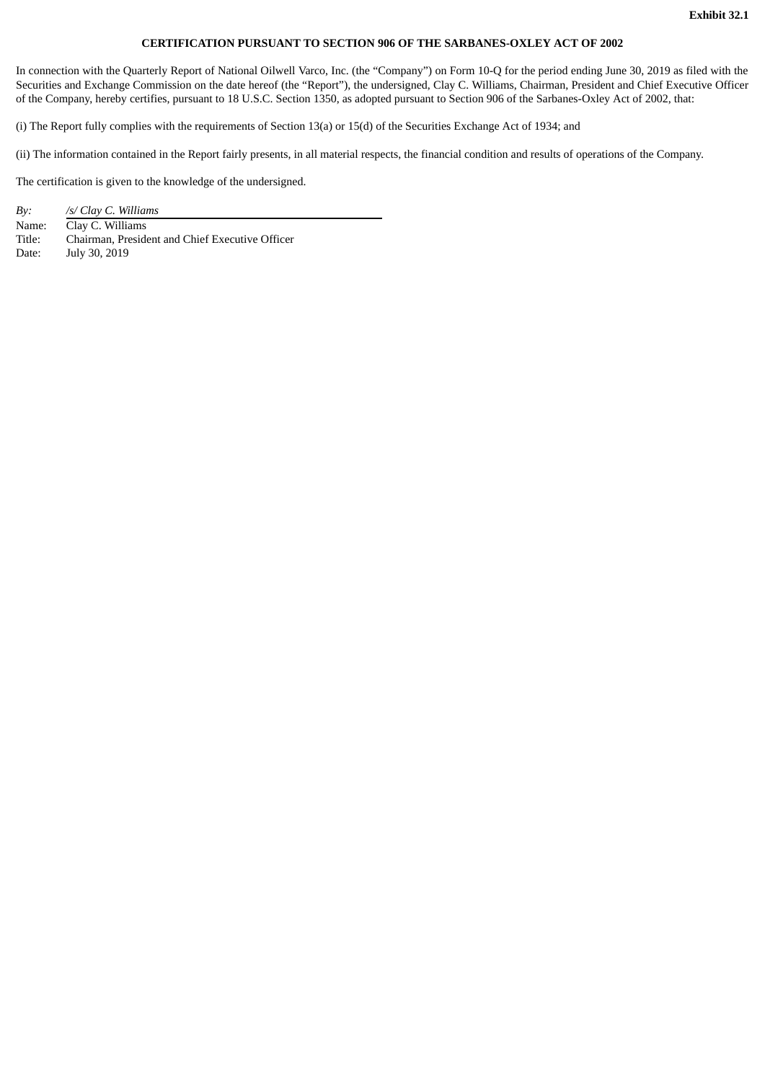## **CERTIFICATION PURSUANT TO SECTION 906 OF THE SARBANES-OXLEY ACT OF 2002**

<span id="page-37-0"></span>In connection with the Quarterly Report of National Oilwell Varco, Inc. (the "Company") on Form 10-Q for the period ending June 30, 2019 as filed with the Securities and Exchange Commission on the date hereof (the "Report"), the undersigned, Clay C. Williams, Chairman, President and Chief Executive Officer of the Company, hereby certifies, pursuant to 18 U.S.C. Section 1350, as adopted pursuant to Section 906 of the Sarbanes-Oxley Act of 2002, that:

(i) The Report fully complies with the requirements of Section 13(a) or 15(d) of the Securities Exchange Act of 1934; and

(ii) The information contained in the Report fairly presents, in all material respects, the financial condition and results of operations of the Company.

The certification is given to the knowledge of the undersigned.

| By:    | /s/ Clay C. Williams                            |
|--------|-------------------------------------------------|
| Name:  | Clay C. Williams                                |
| Title: | Chairman, President and Chief Executive Officer |
| Date:  | July 30, 2019                                   |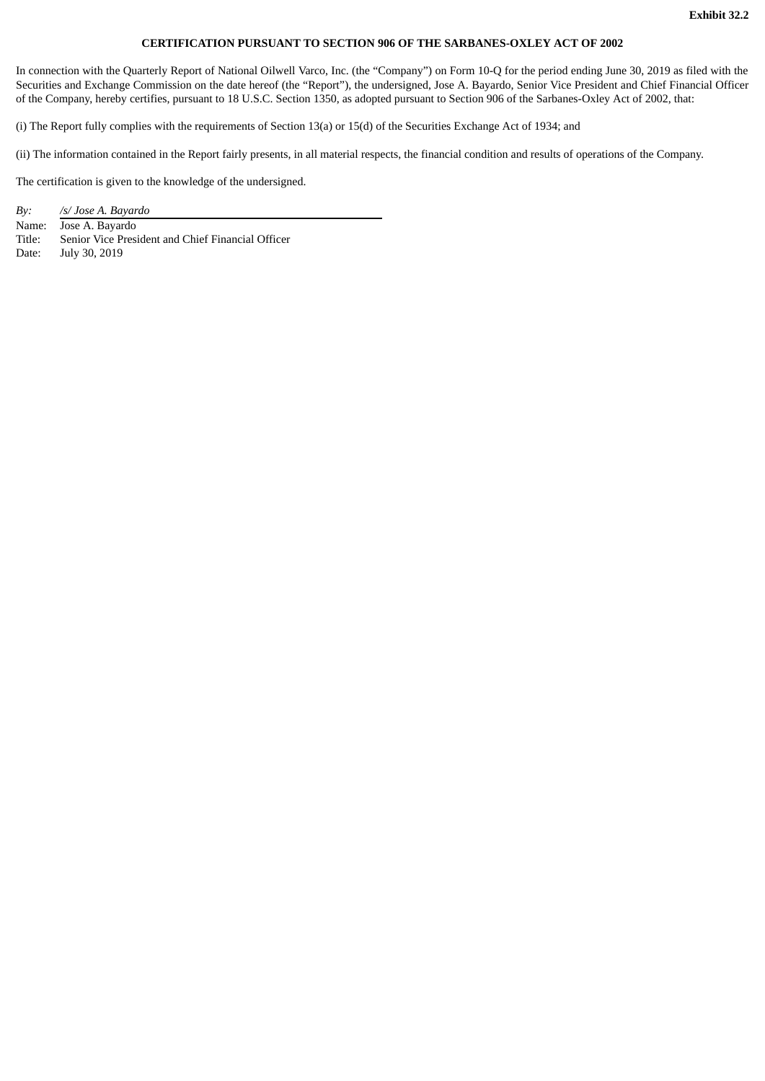#### **CERTIFICATION PURSUANT TO SECTION 906 OF THE SARBANES-OXLEY ACT OF 2002**

<span id="page-38-0"></span>In connection with the Quarterly Report of National Oilwell Varco, Inc. (the "Company") on Form 10-Q for the period ending June 30, 2019 as filed with the Securities and Exchange Commission on the date hereof (the "Report"), the undersigned, Jose A. Bayardo, Senior Vice President and Chief Financial Officer of the Company, hereby certifies, pursuant to 18 U.S.C. Section 1350, as adopted pursuant to Section 906 of the Sarbanes-Oxley Act of 2002, that:

(i) The Report fully complies with the requirements of Section 13(a) or 15(d) of the Securities Exchange Act of 1934; and

(ii) The information contained in the Report fairly presents, in all material respects, the financial condition and results of operations of the Company.

The certification is given to the knowledge of the undersigned.

*By: /s/ Jose A. Bayardo* Name: Jose A. Bayardo Title: Senior Vice President and Chief Financial Officer Date: July 30, 2019